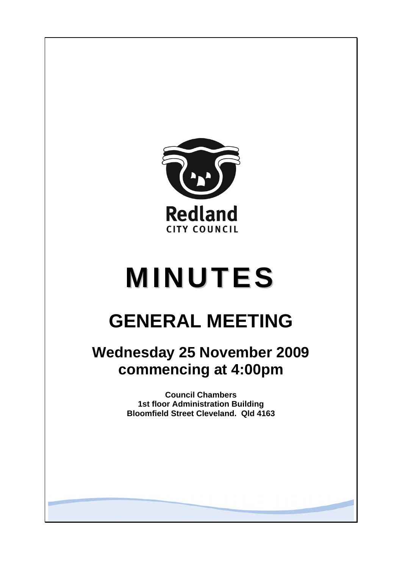

# **MINUTES**

# **GENERAL MEETING**

## **Wednesday 25 November 2009 commencing at 4:00pm**

**Council Chambers 1st floor Administration Building Bloomfield Street Cleveland. Qld 4163**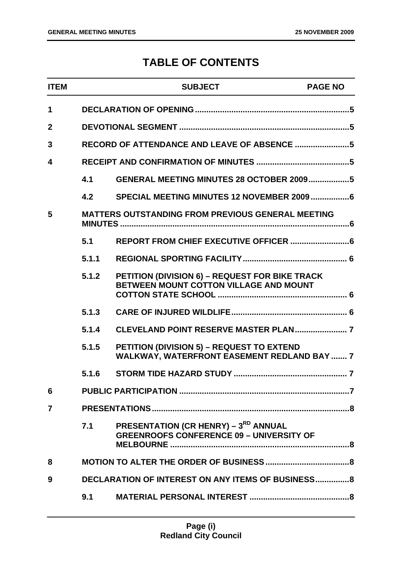### **TABLE OF CONTENTS**

|       | <b>SUBJECT</b>                                                                                         | <b>PAGE NO</b>                                                                                                                                                      |
|-------|--------------------------------------------------------------------------------------------------------|---------------------------------------------------------------------------------------------------------------------------------------------------------------------|
|       |                                                                                                        |                                                                                                                                                                     |
|       |                                                                                                        |                                                                                                                                                                     |
|       |                                                                                                        |                                                                                                                                                                     |
|       |                                                                                                        |                                                                                                                                                                     |
| 4.1   | GENERAL MEETING MINUTES 28 OCTOBER 20095                                                               |                                                                                                                                                                     |
| 4.2   |                                                                                                        |                                                                                                                                                                     |
|       |                                                                                                        |                                                                                                                                                                     |
| 5.1   |                                                                                                        |                                                                                                                                                                     |
| 5.1.1 |                                                                                                        |                                                                                                                                                                     |
| 5.1.2 | PETITION (DIVISION 6) - REQUEST FOR BIKE TRACK<br>BETWEEN MOUNT COTTON VILLAGE AND MOUNT               |                                                                                                                                                                     |
| 5.1.3 |                                                                                                        |                                                                                                                                                                     |
| 5.1.4 |                                                                                                        |                                                                                                                                                                     |
| 5.1.5 | <b>PETITION (DIVISION 5) - REQUEST TO EXTEND</b><br><b>WALKWAY, WATERFRONT EASEMENT REDLAND BAY  7</b> |                                                                                                                                                                     |
| 5.1.6 |                                                                                                        |                                                                                                                                                                     |
|       |                                                                                                        |                                                                                                                                                                     |
|       |                                                                                                        |                                                                                                                                                                     |
| 7.1   | <b>PRESENTATION (CR HENRY) – 3RD ANNUAL</b><br><b>GREENROOFS CONFERENCE 09 - UNIVERSITY OF</b>         |                                                                                                                                                                     |
|       |                                                                                                        |                                                                                                                                                                     |
|       |                                                                                                        |                                                                                                                                                                     |
| 9.1   |                                                                                                        |                                                                                                                                                                     |
|       |                                                                                                        | RECORD OF ATTENDANCE AND LEAVE OF ABSENCE 5<br><b>MATTERS OUTSTANDING FROM PREVIOUS GENERAL MEETING</b><br><b>DECLARATION OF INTEREST ON ANY ITEMS OF BUSINESS8</b> |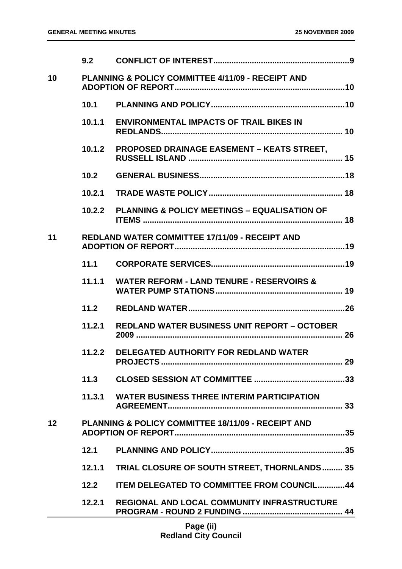|    | 9.2    |                                                               |  |
|----|--------|---------------------------------------------------------------|--|
| 10 |        | PLANNING & POLICY COMMITTEE 4/11/09 - RECEIPT AND             |  |
|    | 10.1   |                                                               |  |
|    | 10.1.1 | <b>ENVIRONMENTAL IMPACTS OF TRAIL BIKES IN</b>                |  |
|    | 10.1.2 | <b>PROPOSED DRAINAGE EASEMENT - KEATS STREET,</b>             |  |
|    | 10.2   |                                                               |  |
|    | 10.2.1 |                                                               |  |
|    | 10.2.2 | <b>PLANNING &amp; POLICY MEETINGS - EQUALISATION OF</b>       |  |
| 11 |        | <b>REDLAND WATER COMMITTEE 17/11/09 - RECEIPT AND</b>         |  |
|    | 11.1   |                                                               |  |
|    | 11.1.1 | <b>WATER REFORM - LAND TENURE - RESERVOIRS &amp;</b>          |  |
|    | 11.2   |                                                               |  |
|    | 11.2.1 | <b>REDLAND WATER BUSINESS UNIT REPORT - OCTOBER</b>           |  |
|    | 11.2.2 | <b>DELEGATED AUTHORITY FOR REDLAND WATER</b><br>29            |  |
|    | 11.3   |                                                               |  |
|    | 11.3.1 | <b>WATER BUSINESS THREE INTERIM PARTICIPATION</b>             |  |
| 12 |        | <b>PLANNING &amp; POLICY COMMITTEE 18/11/09 - RECEIPT AND</b> |  |
|    | 12.1   |                                                               |  |
|    | 12.1.1 | <b>TRIAL CLOSURE OF SOUTH STREET, THORNLANDS 35</b>           |  |
|    | 12.2   | <b>ITEM DELEGATED TO COMMITTEE FROM COUNCIL44</b>             |  |
|    | 12.2.1 | <b>REGIONAL AND LOCAL COMMUNITY INFRASTRUCTURE</b>            |  |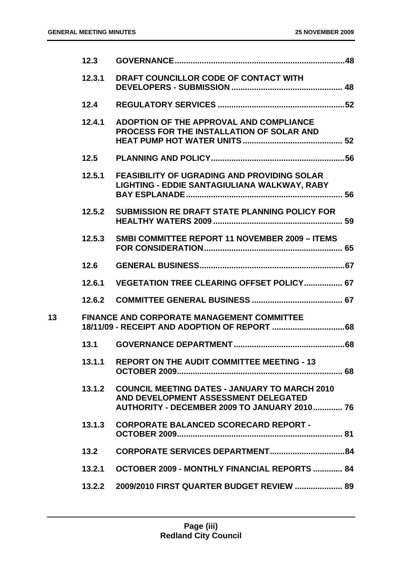|                 | 12.3   |                                                                                                                                              |  |
|-----------------|--------|----------------------------------------------------------------------------------------------------------------------------------------------|--|
|                 | 12.3.1 | DRAFT COUNCILLOR CODE OF CONTACT WITH                                                                                                        |  |
|                 | 12.4   |                                                                                                                                              |  |
|                 | 12.4.1 | ADOPTION OF THE APPROVAL AND COMPLIANCE<br><b>PROCESS FOR THE INSTALLATION OF SOLAR AND</b>                                                  |  |
|                 | 12.5   |                                                                                                                                              |  |
|                 | 12.5.1 | <b>FEASIBILITY OF UGRADING AND PROVIDING SOLAR</b><br>LIGHTING - EDDIE SANTAGIULIANA WALKWAY, RABY                                           |  |
|                 | 12.5.2 | <b>SUBMISSION RE DRAFT STATE PLANNING POLICY FOR</b>                                                                                         |  |
|                 | 12.5.3 | <b>SMBI COMMITTEE REPORT 11 NOVEMBER 2009 - ITEMS</b>                                                                                        |  |
|                 | 12.6   |                                                                                                                                              |  |
|                 | 12.6.1 | <b>VEGETATION TREE CLEARING OFFSET POLICY 67</b>                                                                                             |  |
|                 |        |                                                                                                                                              |  |
| 13 <sup>°</sup> |        | <b>FINANCE AND CORPORATE MANAGEMENT COMMITTEE</b>                                                                                            |  |
|                 | 13.1   |                                                                                                                                              |  |
|                 | 13.1.1 | <b>REPORT ON THE AUDIT COMMITTEE MEETING - 13</b>                                                                                            |  |
|                 |        | 13.1.2 COUNCIL MEETING DATES - JANUARY TO MARCH 2010<br>AND DEVELOPMENT ASSESSMENT DELEGATED<br>AUTHORITY - DECEMBER 2009 TO JANUARY 2010 76 |  |
|                 | 13.1.3 | <b>CORPORATE BALANCED SCORECARD REPORT -</b>                                                                                                 |  |
|                 | 13.2   |                                                                                                                                              |  |
|                 | 13.2.1 | <b>OCTOBER 2009 - MONTHLY FINANCIAL REPORTS  84</b>                                                                                          |  |
|                 | 13.2.2 | 2009/2010 FIRST QUARTER BUDGET REVIEW  89                                                                                                    |  |
|                 |        |                                                                                                                                              |  |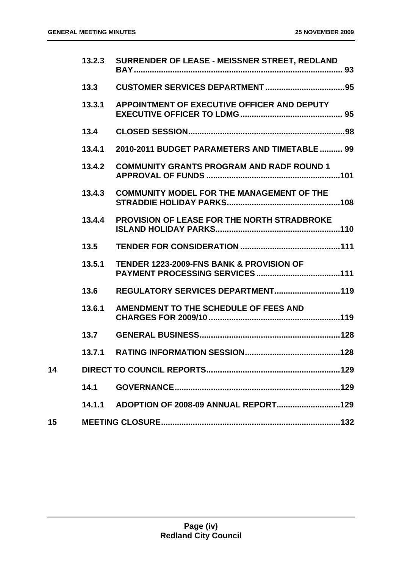|    | 13.2.3 | SURRENDER OF LEASE - MEISSNER STREET, REDLAND       |
|----|--------|-----------------------------------------------------|
|    | 13.3   |                                                     |
|    | 13.3.1 | APPOINTMENT OF EXECUTIVE OFFICER AND DEPUTY         |
|    | 13.4   |                                                     |
|    | 13.4.1 | 2010-2011 BUDGET PARAMETERS AND TIMETABLE 99        |
|    | 13.4.2 | <b>COMMUNITY GRANTS PROGRAM AND RADF ROUND 1</b>    |
|    | 13.4.3 | <b>COMMUNITY MODEL FOR THE MANAGEMENT OF THE</b>    |
|    | 13.4.4 | <b>PROVISION OF LEASE FOR THE NORTH STRADBROKE</b>  |
|    | 13.5   |                                                     |
|    | 13.5.1 | <b>TENDER 1223-2009-FNS BANK &amp; PROVISION OF</b> |
|    | 13.6   | REGULATORY SERVICES DEPARTMENT 119                  |
|    | 13.6.1 | AMENDMENT TO THE SCHEDULE OF FEES AND               |
|    | 13.7   |                                                     |
|    | 13.7.1 |                                                     |
| 14 |        |                                                     |
|    | 14.1   |                                                     |
|    | 14.1.1 |                                                     |
| 15 |        |                                                     |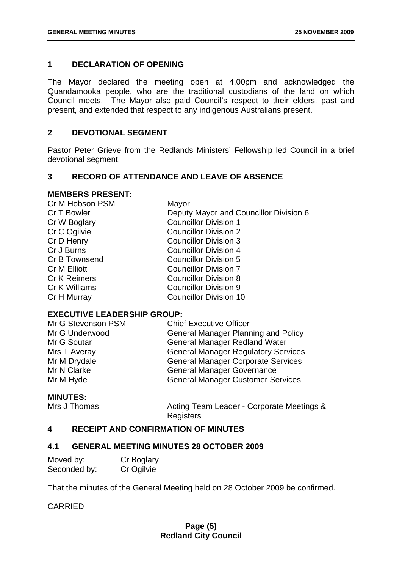#### **1 DECLARATION OF OPENING**

The Mayor declared the meeting open at 4.00pm and acknowledged the Quandamooka people, who are the traditional custodians of the land on which Council meets. The Mayor also paid Council's respect to their elders, past and present, and extended that respect to any indigenous Australians present.

#### **2 DEVOTIONAL SEGMENT**

Pastor Peter Grieve from the Redlands Ministers' Fellowship led Council in a brief devotional segment.

#### **3 RECORD OF ATTENDANCE AND LEAVE OF ABSENCE**

#### **MEMBERS PRESENT:**

| Cr M Hobson PSM     | Mayor                                  |
|---------------------|----------------------------------------|
| Cr T Bowler         | Deputy Mayor and Councillor Division 6 |
| Cr W Boglary        | <b>Councillor Division 1</b>           |
| Cr C Ogilvie        | <b>Councillor Division 2</b>           |
| Cr D Henry          | <b>Councillor Division 3</b>           |
| Cr J Burns          | <b>Councillor Division 4</b>           |
| Cr B Townsend       | <b>Councillor Division 5</b>           |
| <b>Cr M Elliott</b> | <b>Councillor Division 7</b>           |
| <b>Cr K Reimers</b> | <b>Councillor Division 8</b>           |
| Cr K Williams       | <b>Councillor Division 9</b>           |
| Cr H Murray         | <b>Councillor Division 10</b>          |
|                     |                                        |

#### **EXECUTIVE LEADERSHIP GROUP:**

| <b>Chief Executive Officer</b>             |
|--------------------------------------------|
| <b>General Manager Planning and Policy</b> |
| <b>General Manager Redland Water</b>       |
| <b>General Manager Regulatory Services</b> |
| <b>General Manager Corporate Services</b>  |
| <b>General Manager Governance</b>          |
| <b>General Manager Customer Services</b>   |
|                                            |

#### **MINUTES:**

Mrs J Thomas **Acting Team Leader - Corporate Meetings &** Registers

#### **4 RECEIPT AND CONFIRMATION OF MINUTES**

#### **4.1 GENERAL MEETING MINUTES 28 OCTOBER 2009**

| Moved by:    | Cr Boglary |
|--------------|------------|
| Seconded by: | Cr Ogilvie |

That the minutes of the General Meeting held on 28 October 2009 be confirmed.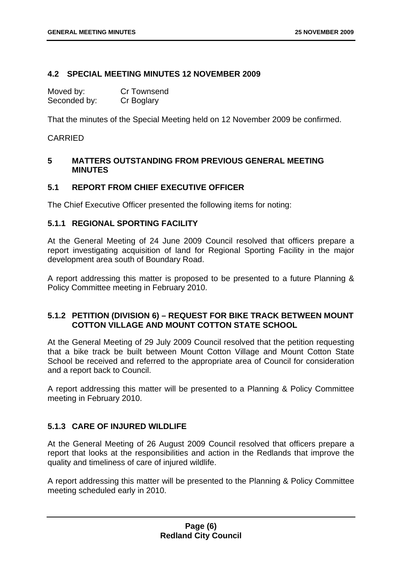#### **4.2 SPECIAL MEETING MINUTES 12 NOVEMBER 2009**

| Moved by:    | <b>Cr Townsend</b> |
|--------------|--------------------|
| Seconded by: | Cr Boglary         |

That the minutes of the Special Meeting held on 12 November 2009 be confirmed.

#### CARRIED

#### **5 MATTERS OUTSTANDING FROM PREVIOUS GENERAL MEETING MINUTES**

#### **5.1 REPORT FROM CHIEF EXECUTIVE OFFICER**

The Chief Executive Officer presented the following items for noting:

#### **5.1.1 REGIONAL SPORTING FACILITY**

At the General Meeting of 24 June 2009 Council resolved that officers prepare a report investigating acquisition of land for Regional Sporting Facility in the major development area south of Boundary Road.

A report addressing this matter is proposed to be presented to a future Planning & Policy Committee meeting in February 2010.

#### **5.1.2 PETITION (DIVISION 6) – REQUEST FOR BIKE TRACK BETWEEN MOUNT COTTON VILLAGE AND MOUNT COTTON STATE SCHOOL**

At the General Meeting of 29 July 2009 Council resolved that the petition requesting that a bike track be built between Mount Cotton Village and Mount Cotton State School be received and referred to the appropriate area of Council for consideration and a report back to Council.

A report addressing this matter will be presented to a Planning & Policy Committee meeting in February 2010.

#### **5.1.3 CARE OF INJURED WILDLIFE**

At the General Meeting of 26 August 2009 Council resolved that officers prepare a report that looks at the responsibilities and action in the Redlands that improve the quality and timeliness of care of injured wildlife.

A report addressing this matter will be presented to the Planning & Policy Committee meeting scheduled early in 2010.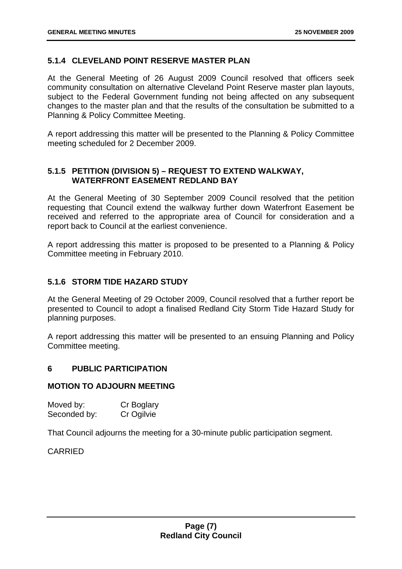#### **5.1.4 CLEVELAND POINT RESERVE MASTER PLAN**

At the General Meeting of 26 August 2009 Council resolved that officers seek community consultation on alternative Cleveland Point Reserve master plan layouts, subject to the Federal Government funding not being affected on any subsequent changes to the master plan and that the results of the consultation be submitted to a Planning & Policy Committee Meeting.

A report addressing this matter will be presented to the Planning & Policy Committee meeting scheduled for 2 December 2009.

#### **5.1.5 PETITION (DIVISION 5) – REQUEST TO EXTEND WALKWAY, WATERFRONT EASEMENT REDLAND BAY**

At the General Meeting of 30 September 2009 Council resolved that the petition requesting that Council extend the walkway further down Waterfront Easement be received and referred to the appropriate area of Council for consideration and a report back to Council at the earliest convenience.

A report addressing this matter is proposed to be presented to a Planning & Policy Committee meeting in February 2010.

#### **5.1.6 STORM TIDE HAZARD STUDY**

At the General Meeting of 29 October 2009, Council resolved that a further report be presented to Council to adopt a finalised Redland City Storm Tide Hazard Study for planning purposes.

A report addressing this matter will be presented to an ensuing Planning and Policy Committee meeting.

#### **6 PUBLIC PARTICIPATION**

#### **MOTION TO ADJOURN MEETING**

| Moved by:    | Cr Boglary |
|--------------|------------|
| Seconded by: | Cr Ogilvie |

That Council adjourns the meeting for a 30-minute public participation segment.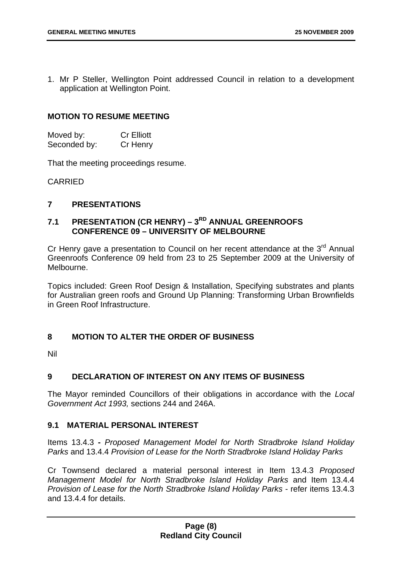1. Mr P Steller, Wellington Point addressed Council in relation to a development application at Wellington Point.

#### **MOTION TO RESUME MEETING**

| Moved by:    | <b>Cr Elliott</b> |
|--------------|-------------------|
| Seconded by: | Cr Henry          |

That the meeting proceedings resume.

CARRIED

#### **7 PRESENTATIONS**

#### 7.1 PRESENTATION (CR HENRY) – 3<sup>RD</sup> ANNUAL GREENROOFS **CONFERENCE 09 – UNIVERSITY OF MELBOURNE**

Cr Henry gave a presentation to Council on her recent attendance at the  $3<sup>rd</sup>$  Annual Greenroofs Conference 09 held from 23 to 25 September 2009 at the University of Melbourne.

Topics included: Green Roof Design & Installation, Specifying substrates and plants for Australian green roofs and Ground Up Planning: Transforming Urban Brownfields in Green Roof Infrastructure.

#### **8 MOTION TO ALTER THE ORDER OF BUSINESS**

Nil

#### **9 DECLARATION OF INTEREST ON ANY ITEMS OF BUSINESS**

The Mayor reminded Councillors of their obligations in accordance with the *Local Government Act 1993,* sections 244 and 246A.

#### **9.1 MATERIAL PERSONAL INTEREST**

Items 13.4.3 **-** *Proposed Management Model for North Stradbroke Island Holiday Parks* and 13.4.4 *Provision of Lease for the North Stradbroke Island Holiday Parks*

Cr Townsend declared a material personal interest in Item 13.4.3 *Proposed Management Model for North Stradbroke Island Holiday Parks* and Item 13.4.4 *Provision of Lease for the North Stradbroke Island Holiday Parks - refer items 13.4.3* and 13.4.4 for details.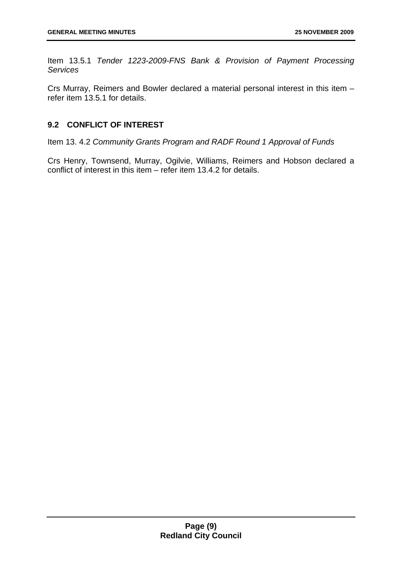Item 13.5.1 *Tender 1223-2009-FNS Bank & Provision of Payment Processing Services* 

Crs Murray, Reimers and Bowler declared a material personal interest in this item – refer item 13.5.1 for details.

#### **9.2 CONFLICT OF INTEREST**

Item 13. 4.2 *Community Grants Program and RADF Round 1 Approval of Funds* 

Crs Henry, Townsend, Murray, Ogilvie, Williams, Reimers and Hobson declared a conflict of interest in this item – refer item 13.4.2 for details.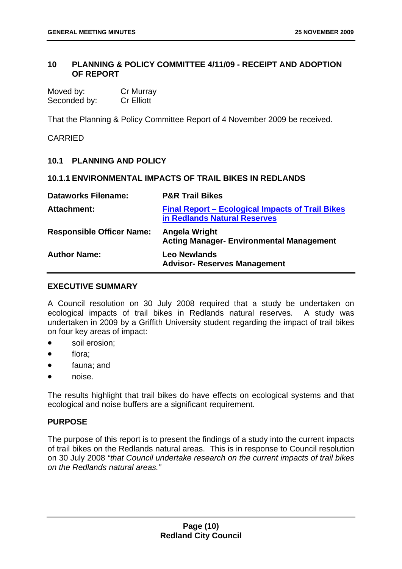#### **10 PLANNING & POLICY COMMITTEE 4/11/09 - RECEIPT AND ADOPTION OF REPORT**

| Moved by:    | Cr Murray         |
|--------------|-------------------|
| Seconded by: | <b>Cr Elliott</b> |

That the Planning & Policy Committee Report of 4 November 2009 be received.

#### CARRIED

#### **10.1 PLANNING AND POLICY**

#### **10.1.1 ENVIRONMENTAL IMPACTS OF TRAIL BIKES IN REDLANDS**

| <b>Dataworks Filename:</b>       | <b>P&amp;R Trail Bikes</b>                                                              |
|----------------------------------|-----------------------------------------------------------------------------------------|
| Attachment:                      | <b>Final Report – Ecological Impacts of Trail Bikes</b><br>in Redlands Natural Reserves |
| <b>Responsible Officer Name:</b> | Angela Wright<br><b>Acting Manager- Environmental Management</b>                        |
| <b>Author Name:</b>              | <b>Leo Newlands</b><br><b>Advisor- Reserves Management</b>                              |

#### **EXECUTIVE SUMMARY**

A Council resolution on 30 July 2008 required that a study be undertaken on ecological impacts of trail bikes in Redlands natural reserves. A study was undertaken in 2009 by a Griffith University student regarding the impact of trail bikes on four key areas of impact:

- soil erosion;
- flora;
- fauna; and
- noise.

The results highlight that trail bikes do have effects on ecological systems and that ecological and noise buffers are a significant requirement.

#### **PURPOSE**

The purpose of this report is to present the findings of a study into the current impacts of trail bikes on the Redlands natural areas. This is in response to Council resolution on 30 July 2008 *"that Council undertake research on the current impacts of trail bikes on the Redlands natural areas."*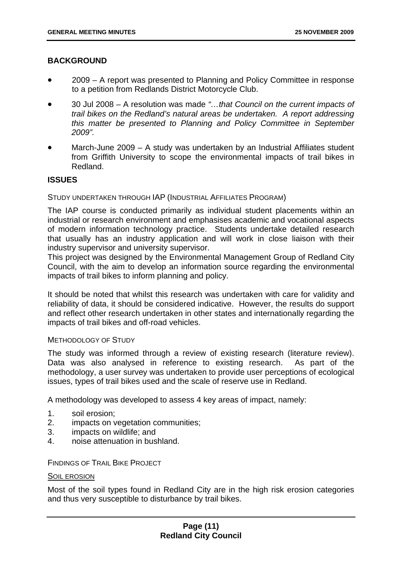#### **BACKGROUND**

- 2009 A report was presented to Planning and Policy Committee in response to a petition from Redlands District Motorcycle Club.
- 30 Jul 2008 A resolution was made *"…that Council on the current impacts of trail bikes on the Redland's natural areas be undertaken. A report addressing this matter be presented to Planning and Policy Committee in September 2009".*
- March-June 2009 A study was undertaken by an Industrial Affiliates student from Griffith University to scope the environmental impacts of trail bikes in Redland.

#### **ISSUES**

#### STUDY UNDERTAKEN THROUGH IAP (INDUSTRIAL AFFILIATES PROGRAM)

The IAP course is conducted primarily as individual student placements within an industrial or research environment and emphasises academic and vocational aspects of modern information technology practice. Students undertake detailed research that usually has an industry application and will work in close liaison with their industry supervisor and university supervisor.

This project was designed by the Environmental Management Group of Redland City Council, with the aim to develop an information source regarding the environmental impacts of trail bikes to inform planning and policy.

It should be noted that whilst this research was undertaken with care for validity and reliability of data, it should be considered indicative. However, the results do support and reflect other research undertaken in other states and internationally regarding the impacts of trail bikes and off-road vehicles.

#### METHODOLOGY OF STUDY

The study was informed through a review of existing research (literature review). Data was also analysed in reference to existing research. As part of the methodology, a user survey was undertaken to provide user perceptions of ecological issues, types of trail bikes used and the scale of reserve use in Redland.

A methodology was developed to assess 4 key areas of impact, namely:

- 1. soil erosion;
- 2. impacts on vegetation communities;
- 3. impacts on wildlife; and
- 4. noise attenuation in bushland.

FINDINGS OF TRAIL BIKE PROJECT

#### SOIL EROSION

Most of the soil types found in Redland City are in the high risk erosion categories and thus very susceptible to disturbance by trail bikes.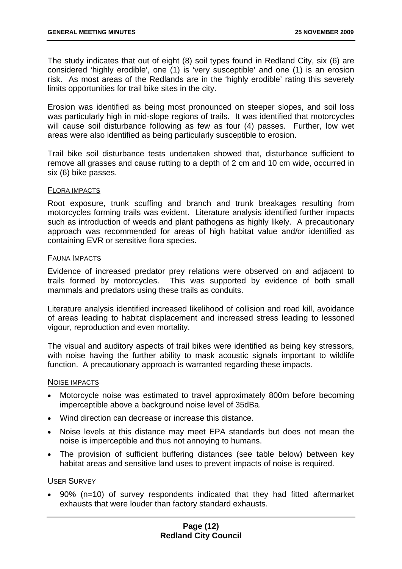The study indicates that out of eight (8) soil types found in Redland City, six (6) are considered 'highly erodible', one (1) is 'very susceptible' and one (1) is an erosion risk. As most areas of the Redlands are in the 'highly erodible' rating this severely limits opportunities for trail bike sites in the city.

Erosion was identified as being most pronounced on steeper slopes, and soil loss was particularly high in mid-slope regions of trails. It was identified that motorcycles will cause soil disturbance following as few as four (4) passes. Further, low wet areas were also identified as being particularly susceptible to erosion.

Trail bike soil disturbance tests undertaken showed that, disturbance sufficient to remove all grasses and cause rutting to a depth of 2 cm and 10 cm wide, occurred in six (6) bike passes.

#### FLORA IMPACTS

Root exposure, trunk scuffing and branch and trunk breakages resulting from motorcycles forming trails was evident. Literature analysis identified further impacts such as introduction of weeds and plant pathogens as highly likely. A precautionary approach was recommended for areas of high habitat value and/or identified as containing EVR or sensitive flora species.

#### FAUNA IMPACTS

Evidence of increased predator prey relations were observed on and adjacent to trails formed by motorcycles. This was supported by evidence of both small mammals and predators using these trails as conduits.

Literature analysis identified increased likelihood of collision and road kill, avoidance of areas leading to habitat displacement and increased stress leading to lessoned vigour, reproduction and even mortality.

The visual and auditory aspects of trail bikes were identified as being key stressors, with noise having the further ability to mask acoustic signals important to wildlife function. A precautionary approach is warranted regarding these impacts.

#### NOISE IMPACTS

- Motorcycle noise was estimated to travel approximately 800m before becoming imperceptible above a background noise level of 35dBa.
- Wind direction can decrease or increase this distance.
- Noise levels at this distance may meet EPA standards but does not mean the noise is imperceptible and thus not annoying to humans.
- The provision of sufficient buffering distances (see table below) between key habitat areas and sensitive land uses to prevent impacts of noise is required.

#### USER SURVEY

• 90% (n=10) of survey respondents indicated that they had fitted aftermarket exhausts that were louder than factory standard exhausts.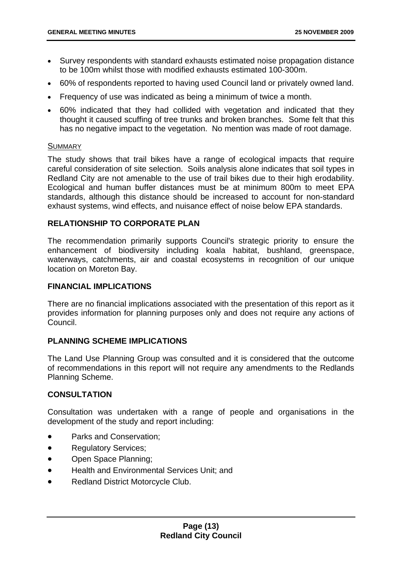- Survey respondents with standard exhausts estimated noise propagation distance to be 100m whilst those with modified exhausts estimated 100-300m.
- 60% of respondents reported to having used Council land or privately owned land.
- Frequency of use was indicated as being a minimum of twice a month.
- 60% indicated that they had collided with vegetation and indicated that they thought it caused scuffing of tree trunks and broken branches. Some felt that this has no negative impact to the vegetation. No mention was made of root damage.

#### **SUMMARY**

The study shows that trail bikes have a range of ecological impacts that require careful consideration of site selection. Soils analysis alone indicates that soil types in Redland City are not amenable to the use of trail bikes due to their high erodability. Ecological and human buffer distances must be at minimum 800m to meet EPA standards, although this distance should be increased to account for non-standard exhaust systems, wind effects, and nuisance effect of noise below EPA standards.

#### **RELATIONSHIP TO CORPORATE PLAN**

The recommendation primarily supports Council's strategic priority to ensure the enhancement of biodiversity including koala habitat, bushland, greenspace, waterways, catchments, air and coastal ecosystems in recognition of our unique location on Moreton Bay.

#### **FINANCIAL IMPLICATIONS**

There are no financial implications associated with the presentation of this report as it provides information for planning purposes only and does not require any actions of Council.

#### **PLANNING SCHEME IMPLICATIONS**

The Land Use Planning Group was consulted and it is considered that the outcome of recommendations in this report will not require any amendments to the Redlands Planning Scheme.

#### **CONSULTATION**

Consultation was undertaken with a range of people and organisations in the development of the study and report including:

- Parks and Conservation:
- Regulatory Services;
- Open Space Planning;
- Health and Environmental Services Unit; and
- Redland District Motorcycle Club.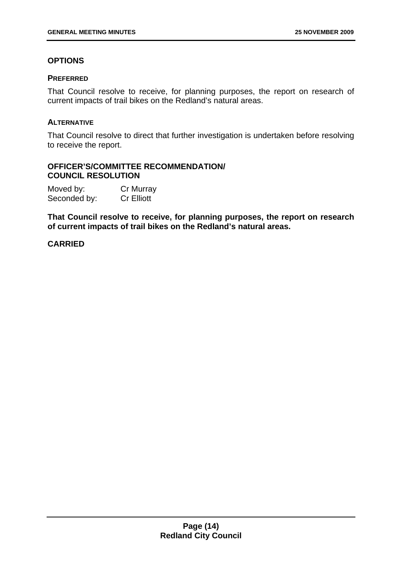#### **OPTIONS**

#### **PREFERRED**

That Council resolve to receive, for planning purposes, the report on research of current impacts of trail bikes on the Redland's natural areas.

#### **ALTERNATIVE**

That Council resolve to direct that further investigation is undertaken before resolving to receive the report.

#### **OFFICER'S/COMMITTEE RECOMMENDATION/ COUNCIL RESOLUTION**

| Moved by:    | Cr Murray         |
|--------------|-------------------|
| Seconded by: | <b>Cr Elliott</b> |

**That Council resolve to receive, for planning purposes, the report on research of current impacts of trail bikes on the Redland's natural areas.**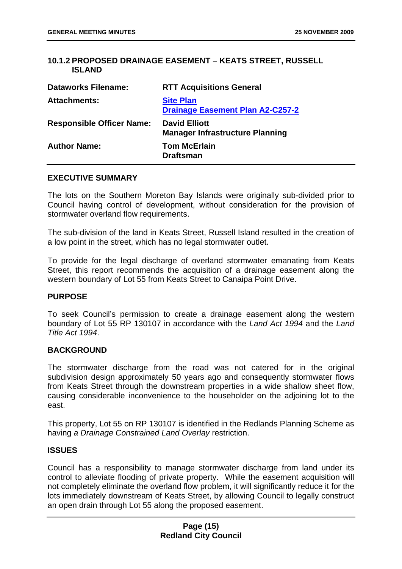#### **10.1.2 PROPOSED DRAINAGE EASEMENT – KEATS STREET, RUSSELL ISLAND**

| <b>Dataworks Filename:</b>       | <b>RTT Acquisitions General</b>                                |
|----------------------------------|----------------------------------------------------------------|
| <b>Attachments:</b>              | <b>Site Plan</b><br><b>Drainage Easement Plan A2-C257-2</b>    |
| <b>Responsible Officer Name:</b> | <b>David Elliott</b><br><b>Manager Infrastructure Planning</b> |
| <b>Author Name:</b>              | <b>Tom McErlain</b><br><b>Draftsman</b>                        |

#### **EXECUTIVE SUMMARY**

The lots on the Southern Moreton Bay Islands were originally sub-divided prior to Council having control of development, without consideration for the provision of stormwater overland flow requirements.

The sub-division of the land in Keats Street, Russell Island resulted in the creation of a low point in the street, which has no legal stormwater outlet.

To provide for the legal discharge of overland stormwater emanating from Keats Street, this report recommends the acquisition of a drainage easement along the western boundary of Lot 55 from Keats Street to Canaipa Point Drive.

#### **PURPOSE**

To seek Council's permission to create a drainage easement along the western boundary of Lot 55 RP 130107 in accordance with the *Land Act 1994* and the *Land Title Act 1994*.

#### **BACKGROUND**

The stormwater discharge from the road was not catered for in the original subdivision design approximately 50 years ago and consequently stormwater flows from Keats Street through the downstream properties in a wide shallow sheet flow, causing considerable inconvenience to the householder on the adjoining lot to the east.

This property, Lot 55 on RP 130107 is identified in the Redlands Planning Scheme as having *a Drainage Constrained Land Overlay* restriction.

#### **ISSUES**

Council has a responsibility to manage stormwater discharge from land under its control to alleviate flooding of private property. While the easement acquisition will not completely eliminate the overland flow problem, it will significantly reduce it for the lots immediately downstream of Keats Street, by allowing Council to legally construct an open drain through Lot 55 along the proposed easement.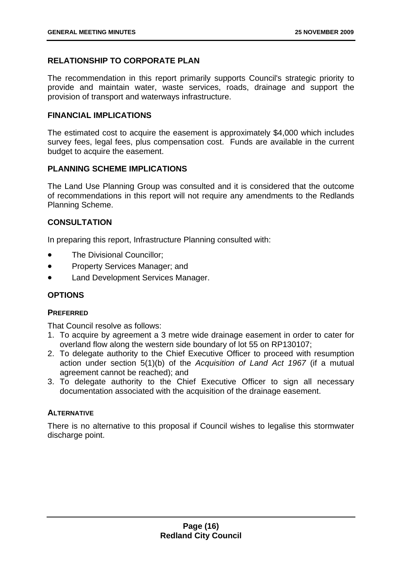#### **RELATIONSHIP TO CORPORATE PLAN**

The recommendation in this report primarily supports Council's strategic priority to provide and maintain water, waste services, roads, drainage and support the provision of transport and waterways infrastructure.

#### **FINANCIAL IMPLICATIONS**

The estimated cost to acquire the easement is approximately \$4,000 which includes survey fees, legal fees, plus compensation cost. Funds are available in the current budget to acquire the easement.

#### **PLANNING SCHEME IMPLICATIONS**

The Land Use Planning Group was consulted and it is considered that the outcome of recommendations in this report will not require any amendments to the Redlands Planning Scheme.

#### **CONSULTATION**

In preparing this report, Infrastructure Planning consulted with:

- The Divisional Councillor;
- Property Services Manager; and
- Land Development Services Manager.

#### **OPTIONS**

#### **PREFERRED**

That Council resolve as follows:

- 1. To acquire by agreement a 3 metre wide drainage easement in order to cater for overland flow along the western side boundary of lot 55 on RP130107;
- 2. To delegate authority to the Chief Executive Officer to proceed with resumption action under section 5(1)(b) of the *Acquisition of Land Act 1967* (if a mutual agreement cannot be reached); and
- 3. To delegate authority to the Chief Executive Officer to sign all necessary documentation associated with the acquisition of the drainage easement.

#### **ALTERNATIVE**

There is no alternative to this proposal if Council wishes to legalise this stormwater discharge point.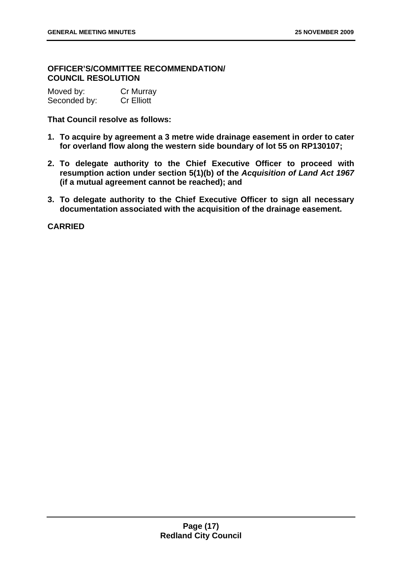#### **OFFICER'S/COMMITTEE RECOMMENDATION/ COUNCIL RESOLUTION**

| Moved by:    | Cr Murray         |
|--------------|-------------------|
| Seconded by: | <b>Cr Elliott</b> |

#### **That Council resolve as follows:**

- **1. To acquire by agreement a 3 metre wide drainage easement in order to cater for overland flow along the western side boundary of lot 55 on RP130107;**
- **2. To delegate authority to the Chief Executive Officer to proceed with resumption action under section 5(1)(b) of the** *Acquisition of Land Act 1967* **(if a mutual agreement cannot be reached); and**
- **3. To delegate authority to the Chief Executive Officer to sign all necessary documentation associated with the acquisition of the drainage easement.**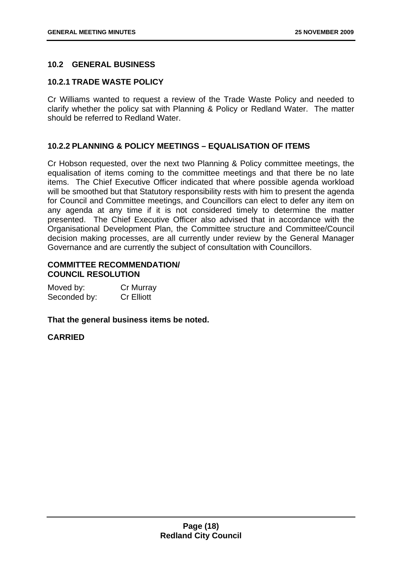#### **10.2 GENERAL BUSINESS**

#### **10.2.1 TRADE WASTE POLICY**

Cr Williams wanted to request a review of the Trade Waste Policy and needed to clarify whether the policy sat with Planning & Policy or Redland Water. The matter should be referred to Redland Water.

#### **10.2.2 PLANNING & POLICY MEETINGS – EQUALISATION OF ITEMS**

Cr Hobson requested, over the next two Planning & Policy committee meetings, the equalisation of items coming to the committee meetings and that there be no late items. The Chief Executive Officer indicated that where possible agenda workload will be smoothed but that Statutory responsibility rests with him to present the agenda for Council and Committee meetings, and Councillors can elect to defer any item on any agenda at any time if it is not considered timely to determine the matter presented. The Chief Executive Officer also advised that in accordance with the Organisational Development Plan, the Committee structure and Committee/Council decision making processes, are all currently under review by the General Manager Governance and are currently the subject of consultation with Councillors.

#### **COMMITTEE RECOMMENDATION/ COUNCIL RESOLUTION**

| Moved by:    | Cr Murray         |
|--------------|-------------------|
| Seconded by: | <b>Cr Elliott</b> |

**That the general business items be noted.**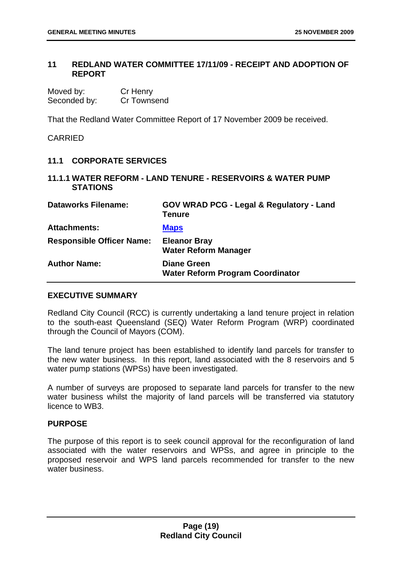#### **11 REDLAND WATER COMMITTEE 17/11/09 - RECEIPT AND ADOPTION OF REPORT**

| Moved by:    | Cr Henry    |
|--------------|-------------|
| Seconded by: | Cr Townsend |

That the Redland Water Committee Report of 17 November 2009 be received.

**CARRIED** 

#### **11.1 CORPORATE SERVICES**

#### **11.1.1 WATER REFORM - LAND TENURE - RESERVOIRS & WATER PUMP STATIONS**

| <b>Dataworks Filename:</b>       | <b>GOV WRAD PCG - Legal &amp; Regulatory - Land</b><br><b>Tenure</b> |
|----------------------------------|----------------------------------------------------------------------|
| <b>Attachments:</b>              | <b>Maps</b>                                                          |
| <b>Responsible Officer Name:</b> | <b>Eleanor Bray</b><br><b>Water Reform Manager</b>                   |
| <b>Author Name:</b>              | <b>Diane Green</b><br><b>Water Reform Program Coordinator</b>        |

#### **EXECUTIVE SUMMARY**

Redland City Council (RCC) is currently undertaking a land tenure project in relation to the south-east Queensland (SEQ) Water Reform Program (WRP) coordinated through the Council of Mayors (COM).

The land tenure project has been established to identify land parcels for transfer to the new water business. In this report, land associated with the 8 reservoirs and 5 water pump stations (WPSs) have been investigated.

A number of surveys are proposed to separate land parcels for transfer to the new water business whilst the majority of land parcels will be transferred via statutory licence to WB3.

#### **PURPOSE**

The purpose of this report is to seek council approval for the reconfiguration of land associated with the water reservoirs and WPSs, and agree in principle to the proposed reservoir and WPS land parcels recommended for transfer to the new water business.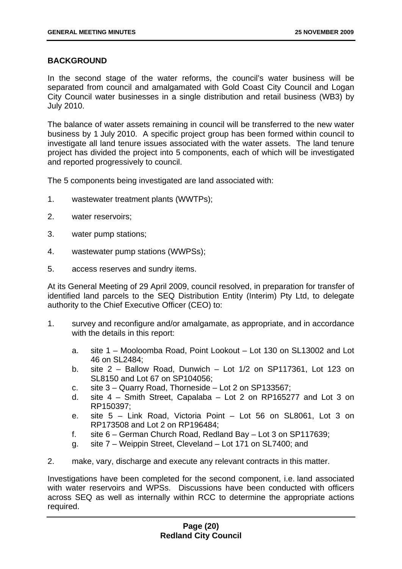#### **BACKGROUND**

In the second stage of the water reforms, the council's water business will be separated from council and amalgamated with Gold Coast City Council and Logan City Council water businesses in a single distribution and retail business (WB3) by July 2010.

The balance of water assets remaining in council will be transferred to the new water business by 1 July 2010. A specific project group has been formed within council to investigate all land tenure issues associated with the water assets. The land tenure project has divided the project into 5 components, each of which will be investigated and reported progressively to council.

The 5 components being investigated are land associated with:

- 1. wastewater treatment plants (WWTPs);
- 2. water reservoirs;
- 3. water pump stations;
- 4. wastewater pump stations (WWPSs);
- 5. access reserves and sundry items.

At its General Meeting of 29 April 2009, council resolved, in preparation for transfer of identified land parcels to the SEQ Distribution Entity (Interim) Pty Ltd, to delegate authority to the Chief Executive Officer (CEO) to:

- 1. survey and reconfigure and/or amalgamate, as appropriate, and in accordance with the details in this report:
	- a. site 1 Mooloomba Road, Point Lookout Lot 130 on SL13002 and Lot 46 on SL2484;
	- b. site 2 Ballow Road, Dunwich Lot 1/2 on SP117361, Lot 123 on SL8150 and Lot 67 on SP104056;
	- c. site 3 Quarry Road, Thorneside Lot 2 on SP133567;
	- d. site 4 Smith Street, Capalaba Lot 2 on RP165277 and Lot 3 on RP150397;
	- e. site 5 Link Road, Victoria Point Lot 56 on SL8061, Lot 3 on RP173508 and Lot 2 on RP196484;
	- f. site 6 German Church Road, Redland Bay Lot 3 on SP117639;
	- g. site 7 Weippin Street, Cleveland Lot 171 on SL7400; and
- 2. make, vary, discharge and execute any relevant contracts in this matter.

Investigations have been completed for the second component, i.e. land associated with water reservoirs and WPSs. Discussions have been conducted with officers across SEQ as well as internally within RCC to determine the appropriate actions required.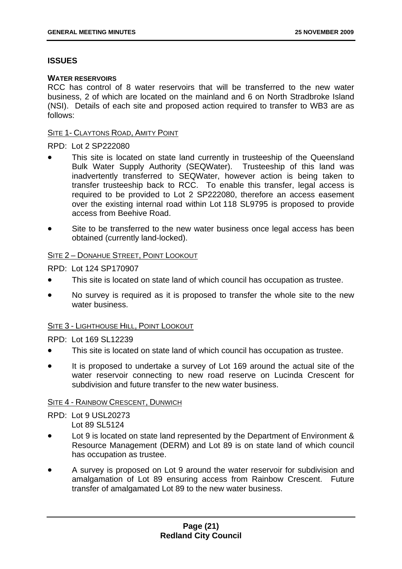#### **ISSUES**

#### **WATER RESERVOIRS**

RCC has control of 8 water reservoirs that will be transferred to the new water business, 2 of which are located on the mainland and 6 on North Stradbroke Island (NSI). Details of each site and proposed action required to transfer to WB3 are as follows:

#### SITE 1- CLAYTONS ROAD, AMITY POINT

#### RPD: Lot 2 SP222080

- This site is located on state land currently in trusteeship of the Queensland Bulk Water Supply Authority (SEQWater). Trusteeship of this land was inadvertently transferred to SEQWater, however action is being taken to transfer trusteeship back to RCC. To enable this transfer, legal access is required to be provided to Lot 2 SP222080, therefore an access easement over the existing internal road within Lot 118 SL9795 is proposed to provide access from Beehive Road.
- Site to be transferred to the new water business once legal access has been obtained (currently land-locked).

#### SITE 2 – DONAHUE STREET, POINT LOOKOUT

RPD: Lot 124 SP170907

- This site is located on state land of which council has occupation as trustee.
- No survey is required as it is proposed to transfer the whole site to the new water business.

#### SITE 3 - LIGHTHOUSE HILL, POINT LOOKOUT

#### RPD: Lot 169 SL12239

- This site is located on state land of which council has occupation as trustee.
- It is proposed to undertake a survey of Lot 169 around the actual site of the water reservoir connecting to new road reserve on Lucinda Crescent for subdivision and future transfer to the new water business.

#### **SITE 4 - RAINBOW CRESCENT, DUNWICH**

RPD: Lot 9 USL20273 Lot 89 SL5124

- Lot 9 is located on state land represented by the Department of Environment & Resource Management (DERM) and Lot 89 is on state land of which council has occupation as trustee.
- A survey is proposed on Lot 9 around the water reservoir for subdivision and amalgamation of Lot 89 ensuring access from Rainbow Crescent. Future transfer of amalgamated Lot 89 to the new water business.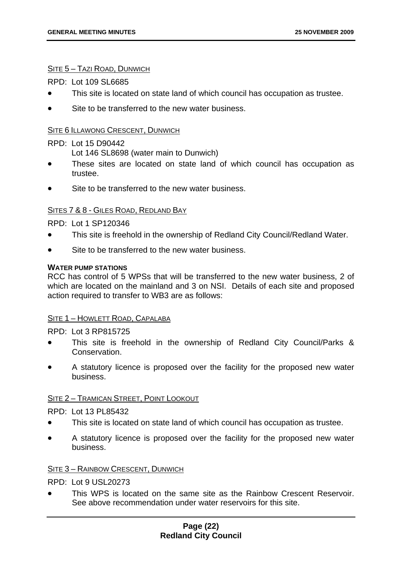#### SITE 5 – TAZI ROAD, DUNWICH

 $RPD:$  Lot 109 SL6685

- This site is located on state land of which council has occupation as trustee.
- Site to be transferred to the new water business.

#### SITE 6 ILLAWONG CRESCENT, DUNWICH

#### RPD: Lot 15 D90442

Lot 146 SL8698 (water main to Dunwich)

- These sites are located on state land of which council has occupation as trustee.
- Site to be transferred to the new water business.

#### SITES 7 & 8 - GILES ROAD, REDLAND BAY

RPD: Lot 1 SP120346

- This site is freehold in the ownership of Redland City Council/Redland Water.
- Site to be transferred to the new water business.

#### **WATER PUMP STATIONS**

RCC has control of 5 WPSs that will be transferred to the new water business, 2 of which are located on the mainland and 3 on NSI. Details of each site and proposed action required to transfer to WB3 are as follows:

#### SITE 1 – HOWLETT ROAD, CAPALABA

RPD: Lot 3 RP815725

- This site is freehold in the ownership of Redland City Council/Parks & Conservation.
- A statutory licence is proposed over the facility for the proposed new water business.

#### SITE 2 – TRAMICAN STREET, POINT LOOKOUT

#### RPD: Lot 13 PL85432

- This site is located on state land of which council has occupation as trustee.
- A statutory licence is proposed over the facility for the proposed new water business.

#### SITE 3 – RAINBOW CRESCENT, DUNWICH

RPD: Lot 9 USL20273

• This WPS is located on the same site as the Rainbow Crescent Reservoir. See above recommendation under water reservoirs for this site.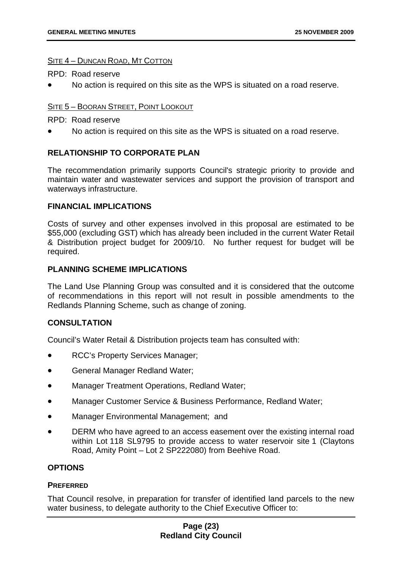#### SITE 4 – DUNCAN ROAD, MT COTTON

RPD: Road reserve

• No action is required on this site as the WPS is situated on a road reserve.

#### SITE 5 – BOORAN STREET, POINT LOOKOUT

RPD: Road reserve

• No action is required on this site as the WPS is situated on a road reserve.

#### **RELATIONSHIP TO CORPORATE PLAN**

The recommendation primarily supports Council's strategic priority to provide and maintain water and wastewater services and support the provision of transport and waterways infrastructure.

#### **FINANCIAL IMPLICATIONS**

Costs of survey and other expenses involved in this proposal are estimated to be \$55,000 (excluding GST) which has already been included in the current Water Retail & Distribution project budget for 2009/10. No further request for budget will be required.

#### **PLANNING SCHEME IMPLICATIONS**

The Land Use Planning Group was consulted and it is considered that the outcome of recommendations in this report will not result in possible amendments to the Redlands Planning Scheme, such as change of zoning.

#### **CONSULTATION**

Council's Water Retail & Distribution projects team has consulted with:

- RCC's Property Services Manager;
- General Manager Redland Water;
- Manager Treatment Operations, Redland Water;
- Manager Customer Service & Business Performance, Redland Water;
- Manager Environmental Management; and
- DERM who have agreed to an access easement over the existing internal road within Lot 118 SL9795 to provide access to water reservoir site 1 (Claytons Road, Amity Point – Lot 2 SP222080) from Beehive Road.

#### **OPTIONS**

#### **PREFERRED**

That Council resolve, in preparation for transfer of identified land parcels to the new water business, to delegate authority to the Chief Executive Officer to:

#### **Page (23) Redland City Council**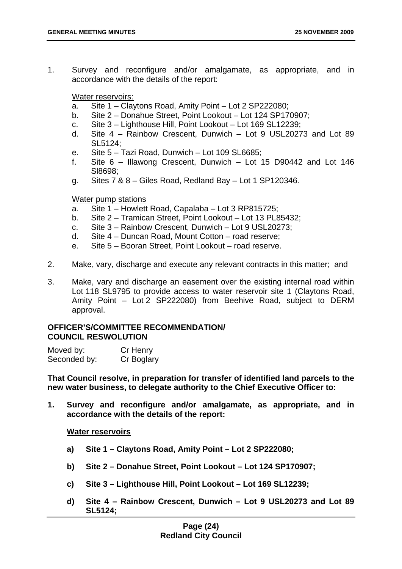1. Survey and reconfigure and/or amalgamate, as appropriate, and in accordance with the details of the report:

Water reservoirs:

- a. Site 1 Claytons Road, Amity Point Lot 2 SP222080;
- b. Site 2 Donahue Street, Point Lookout Lot 124 SP170907;
- c. Site 3 Lighthouse Hill, Point Lookout Lot 169 SL12239;
- d. Site 4 Rainbow Crescent, Dunwich Lot 9 USL20273 and Lot 89 SL5124;
- e. Site 5 Tazi Road, Dunwich Lot 109 SL6685;
- f. Site 6 Illawong Crescent, Dunwich Lot 15 D90442 and Lot 146 Sl8698;
- g. Sites 7 & 8 Giles Road, Redland Bay Lot 1 SP120346.

#### Water pump stations

- a. Site 1 Howlett Road, Capalaba Lot 3 RP815725;
- b. Site 2 Tramican Street, Point Lookout Lot 13 PL85432;
- c. Site 3 Rainbow Crescent, Dunwich Lot 9 USL20273;
- d. Site 4 Duncan Road, Mount Cotton road reserve;
- e. Site 5 Booran Street, Point Lookout road reserve.
- 2. Make, vary, discharge and execute any relevant contracts in this matter; and
- 3. Make, vary and discharge an easement over the existing internal road within Lot 118 SL9795 to provide access to water reservoir site 1 (Claytons Road, Amity Point – Lot 2 SP222080) from Beehive Road, subject to DERM approval.

#### **OFFICER'S/COMMITTEE RECOMMENDATION/ COUNCIL RESWOLUTION**

| Moved by:    | Cr Henry   |
|--------------|------------|
| Seconded by: | Cr Boglary |

**That Council resolve, in preparation for transfer of identified land parcels to the new water business, to delegate authority to the Chief Executive Officer to:** 

**1. Survey and reconfigure and/or amalgamate, as appropriate, and in accordance with the details of the report:** 

#### **Water reservoirs**

- **a) Site 1 Claytons Road, Amity Point Lot 2 SP222080;**
- **b) Site 2 Donahue Street, Point Lookout Lot 124 SP170907;**
- **c) Site 3 Lighthouse Hill, Point Lookout Lot 169 SL12239;**
- **d) Site 4 Rainbow Crescent, Dunwich Lot 9 USL20273 and Lot 89 SL5124;**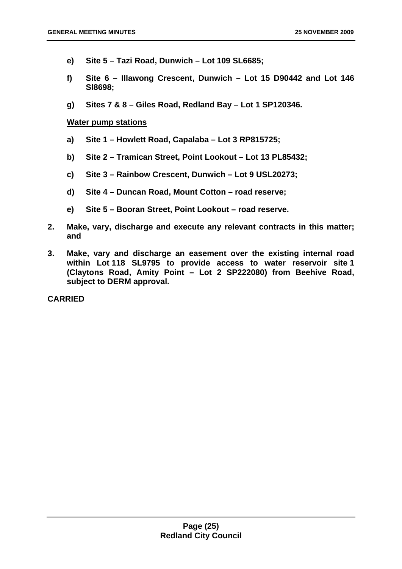- **e) Site 5 Tazi Road, Dunwich Lot 109 SL6685;**
- **f) Site 6 Illawong Crescent, Dunwich Lot 15 D90442 and Lot 146 Sl8698;**
- **g) Sites 7 & 8 Giles Road, Redland Bay Lot 1 SP120346.**

#### **Water pump stations**

- **a) Site 1 Howlett Road, Capalaba Lot 3 RP815725;**
- **b) Site 2 Tramican Street, Point Lookout Lot 13 PL85432;**
- **c) Site 3 Rainbow Crescent, Dunwich Lot 9 USL20273;**
- **d) Site 4 Duncan Road, Mount Cotton road reserve;**
- **e) Site 5 Booran Street, Point Lookout road reserve.**
- **2. Make, vary, discharge and execute any relevant contracts in this matter; and**
- **3. Make, vary and discharge an easement over the existing internal road within Lot 118 SL9795 to provide access to water reservoir site 1 (Claytons Road, Amity Point – Lot 2 SP222080) from Beehive Road, subject to DERM approval.**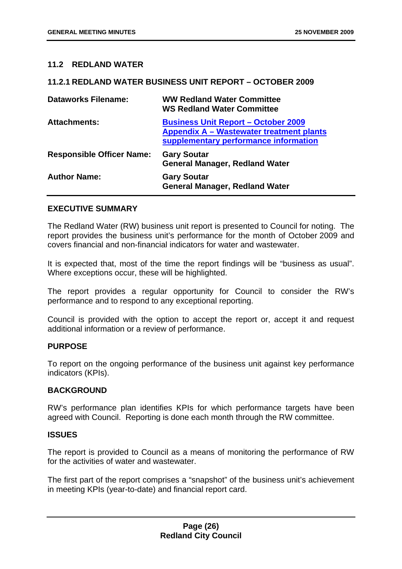#### **11.2 REDLAND WATER**

#### **11.2.1 REDLAND WATER BUSINESS UNIT REPORT – OCTOBER 2009**

| <b>Dataworks Filename:</b>       | <b>WW Redland Water Committee</b><br><b>WS Redland Water Committee</b>                                                          |
|----------------------------------|---------------------------------------------------------------------------------------------------------------------------------|
| <b>Attachments:</b>              | <b>Business Unit Report - October 2009</b><br>Appendix A - Wastewater treatment plants<br>supplementary performance information |
| <b>Responsible Officer Name:</b> | <b>Gary Soutar</b><br><b>General Manager, Redland Water</b>                                                                     |
| <b>Author Name:</b>              | <b>Gary Soutar</b><br><b>General Manager, Redland Water</b>                                                                     |

#### **EXECUTIVE SUMMARY**

The Redland Water (RW) business unit report is presented to Council for noting. The report provides the business unit's performance for the month of October 2009 and covers financial and non-financial indicators for water and wastewater.

It is expected that, most of the time the report findings will be "business as usual". Where exceptions occur, these will be highlighted.

The report provides a regular opportunity for Council to consider the RW's performance and to respond to any exceptional reporting.

Council is provided with the option to accept the report or, accept it and request additional information or a review of performance.

#### **PURPOSE**

To report on the ongoing performance of the business unit against key performance indicators (KPIs).

#### **BACKGROUND**

RW's performance plan identifies KPIs for which performance targets have been agreed with Council. Reporting is done each month through the RW committee.

#### **ISSUES**

The report is provided to Council as a means of monitoring the performance of RW for the activities of water and wastewater.

The first part of the report comprises a "snapshot" of the business unit's achievement in meeting KPIs (year-to-date) and financial report card.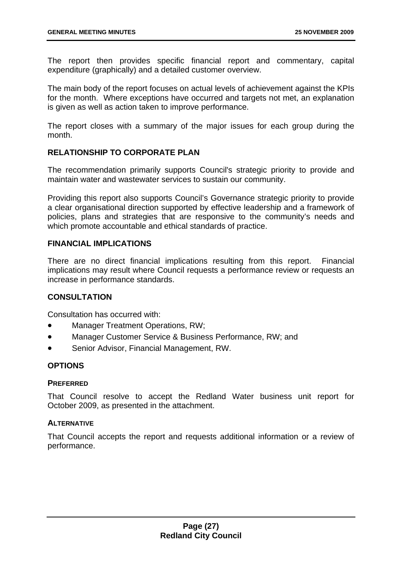The report then provides specific financial report and commentary, capital expenditure (graphically) and a detailed customer overview.

The main body of the report focuses on actual levels of achievement against the KPIs for the month. Where exceptions have occurred and targets not met, an explanation is given as well as action taken to improve performance.

The report closes with a summary of the major issues for each group during the month.

#### **RELATIONSHIP TO CORPORATE PLAN**

The recommendation primarily supports Council's strategic priority to provide and maintain water and wastewater services to sustain our community.

Providing this report also supports Council's Governance strategic priority to provide a clear organisational direction supported by effective leadership and a framework of policies, plans and strategies that are responsive to the community's needs and which promote accountable and ethical standards of practice.

#### **FINANCIAL IMPLICATIONS**

There are no direct financial implications resulting from this report. Financial implications may result where Council requests a performance review or requests an increase in performance standards.

#### **CONSULTATION**

Consultation has occurred with:

- Manager Treatment Operations, RW;
- Manager Customer Service & Business Performance, RW; and
- Senior Advisor, Financial Management, RW.

#### **OPTIONS**

#### **PREFERRED**

That Council resolve to accept the Redland Water business unit report for October 2009, as presented in the attachment.

#### **ALTERNATIVE**

That Council accepts the report and requests additional information or a review of performance.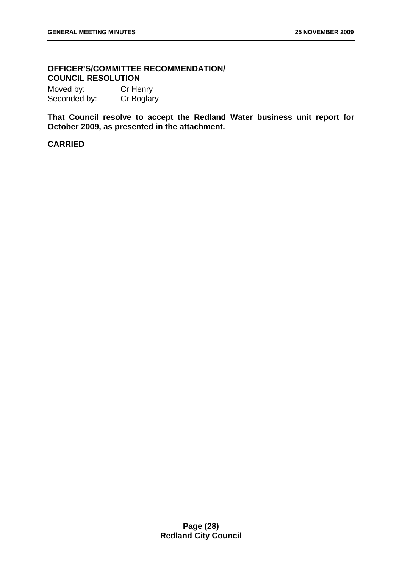#### **OFFICER'S/COMMITTEE RECOMMENDATION/ COUNCIL RESOLUTION**

Moved by: Cr Henry Seconded by: Cr Boglary

**That Council resolve to accept the Redland Water business unit report for October 2009, as presented in the attachment.**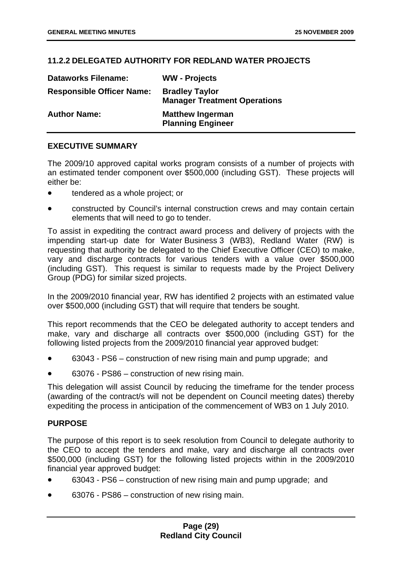#### **11.2.2 DELEGATED AUTHORITY FOR REDLAND WATER PROJECTS**

| <b>Dataworks Filename:</b>       | <b>WW</b> - Projects                                         |
|----------------------------------|--------------------------------------------------------------|
| <b>Responsible Officer Name:</b> | <b>Bradley Taylor</b><br><b>Manager Treatment Operations</b> |
| <b>Author Name:</b>              | <b>Matthew Ingerman</b><br><b>Planning Engineer</b>          |

#### **EXECUTIVE SUMMARY**

The 2009/10 approved capital works program consists of a number of projects with an estimated tender component over \$500,000 (including GST). These projects will either be:

- tendered as a whole project; or
- constructed by Council's internal construction crews and may contain certain elements that will need to go to tender.

To assist in expediting the contract award process and delivery of projects with the impending start-up date for Water Business 3 (WB3), Redland Water (RW) is requesting that authority be delegated to the Chief Executive Officer (CEO) to make, vary and discharge contracts for various tenders with a value over \$500,000 (including GST). This request is similar to requests made by the Project Delivery Group (PDG) for similar sized projects.

In the 2009/2010 financial year, RW has identified 2 projects with an estimated value over \$500,000 (including GST) that will require that tenders be sought.

This report recommends that the CEO be delegated authority to accept tenders and make, vary and discharge all contracts over \$500,000 (including GST) for the following listed projects from the 2009/2010 financial year approved budget:

- 63043 PS6 construction of new rising main and pump upgrade; and
- 63076 PS86 construction of new rising main.

This delegation will assist Council by reducing the timeframe for the tender process (awarding of the contract/s will not be dependent on Council meeting dates) thereby expediting the process in anticipation of the commencement of WB3 on 1 July 2010.

#### **PURPOSE**

The purpose of this report is to seek resolution from Council to delegate authority to the CEO to accept the tenders and make, vary and discharge all contracts over \$500,000 (including GST) for the following listed projects within in the 2009/2010 financial year approved budget:

- 63043 PS6 construction of new rising main and pump upgrade; and
- 63076 PS86 construction of new rising main.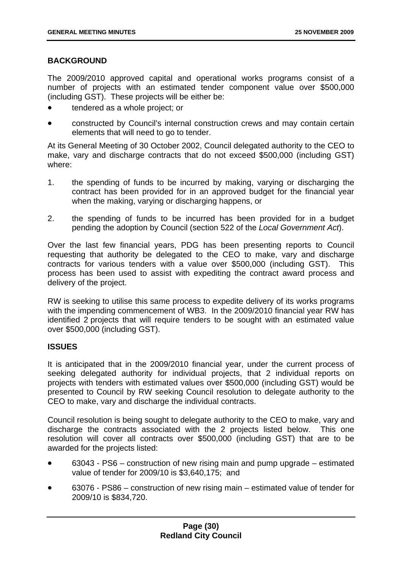#### **BACKGROUND**

The 2009/2010 approved capital and operational works programs consist of a number of projects with an estimated tender component value over \$500,000 (including GST). These projects will be either be:

- tendered as a whole project; or
- constructed by Council's internal construction crews and may contain certain elements that will need to go to tender.

At its General Meeting of 30 October 2002, Council delegated authority to the CEO to make, vary and discharge contracts that do not exceed \$500,000 (including GST) where:

- 1. the spending of funds to be incurred by making, varying or discharging the contract has been provided for in an approved budget for the financial year when the making, varying or discharging happens, or
- 2. the spending of funds to be incurred has been provided for in a budget pending the adoption by Council (section 522 of the *Local Government Act*).

Over the last few financial years, PDG has been presenting reports to Council requesting that authority be delegated to the CEO to make, vary and discharge contracts for various tenders with a value over \$500,000 (including GST). This process has been used to assist with expediting the contract award process and delivery of the project.

RW is seeking to utilise this same process to expedite delivery of its works programs with the impending commencement of WB3. In the 2009/2010 financial year RW has identified 2 projects that will require tenders to be sought with an estimated value over \$500,000 (including GST).

#### **ISSUES**

It is anticipated that in the 2009/2010 financial year, under the current process of seeking delegated authority for individual projects, that 2 individual reports on projects with tenders with estimated values over \$500,000 (including GST) would be presented to Council by RW seeking Council resolution to delegate authority to the CEO to make, vary and discharge the individual contracts.

Council resolution is being sought to delegate authority to the CEO to make, vary and discharge the contracts associated with the 2 projects listed below. This one resolution will cover all contracts over \$500,000 (including GST) that are to be awarded for the projects listed:

- 63043 PS6 construction of new rising main and pump upgrade estimated value of tender for 2009/10 is \$3,640,175; and
- 63076 PS86 construction of new rising main estimated value of tender for 2009/10 is \$834,720.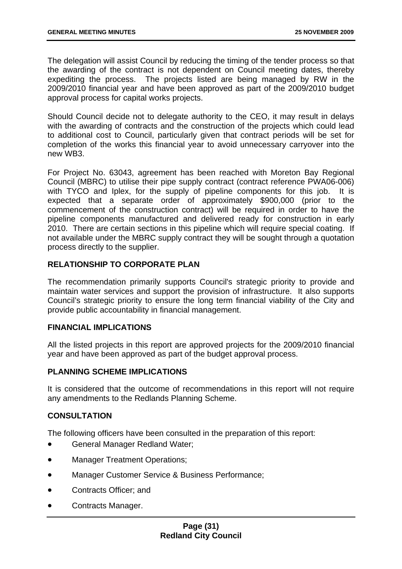The delegation will assist Council by reducing the timing of the tender process so that the awarding of the contract is not dependent on Council meeting dates, thereby expediting the process. The projects listed are being managed by RW in the 2009/2010 financial year and have been approved as part of the 2009/2010 budget approval process for capital works projects.

Should Council decide not to delegate authority to the CEO, it may result in delays with the awarding of contracts and the construction of the projects which could lead to additional cost to Council, particularly given that contract periods will be set for completion of the works this financial year to avoid unnecessary carryover into the new WB3.

For Project No. 63043, agreement has been reached with Moreton Bay Regional Council (MBRC) to utilise their pipe supply contract (contract reference PWA06-006) with TYCO and Iplex, for the supply of pipeline components for this job. It is expected that a separate order of approximately \$900,000 (prior to the commencement of the construction contract) will be required in order to have the pipeline components manufactured and delivered ready for construction in early 2010. There are certain sections in this pipeline which will require special coating. If not available under the MBRC supply contract they will be sought through a quotation process directly to the supplier.

#### **RELATIONSHIP TO CORPORATE PLAN**

The recommendation primarily supports Council's strategic priority to provide and maintain water services and support the provision of infrastructure. It also supports Council's strategic priority to ensure the long term financial viability of the City and provide public accountability in financial management.

#### **FINANCIAL IMPLICATIONS**

All the listed projects in this report are approved projects for the 2009/2010 financial year and have been approved as part of the budget approval process.

#### **PLANNING SCHEME IMPLICATIONS**

It is considered that the outcome of recommendations in this report will not require any amendments to the Redlands Planning Scheme.

#### **CONSULTATION**

The following officers have been consulted in the preparation of this report:

- General Manager Redland Water;
- Manager Treatment Operations;
- Manager Customer Service & Business Performance;
- Contracts Officer; and
- Contracts Manager.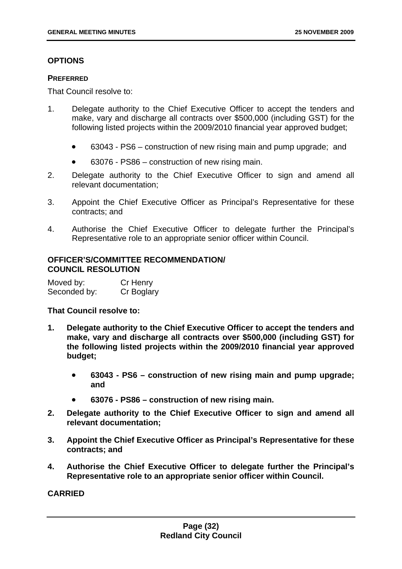#### **OPTIONS**

#### **PREFERRED**

That Council resolve to:

- 1. Delegate authority to the Chief Executive Officer to accept the tenders and make, vary and discharge all contracts over \$500,000 (including GST) for the following listed projects within the 2009/2010 financial year approved budget;
	- 63043 PS6 construction of new rising main and pump upgrade; and
	- 63076 PS86 construction of new rising main.
- 2. Delegate authority to the Chief Executive Officer to sign and amend all relevant documentation;
- 3. Appoint the Chief Executive Officer as Principal's Representative for these contracts; and
- 4. Authorise the Chief Executive Officer to delegate further the Principal's Representative role to an appropriate senior officer within Council.

#### **OFFICER'S/COMMITTEE RECOMMENDATION/ COUNCIL RESOLUTION**

| Moved by:    | Cr Henry   |
|--------------|------------|
| Seconded by: | Cr Boglary |

#### **That Council resolve to:**

- **1. Delegate authority to the Chief Executive Officer to accept the tenders and make, vary and discharge all contracts over \$500,000 (including GST) for the following listed projects within the 2009/2010 financial year approved budget;** 
	- **63043 PS6 construction of new rising main and pump upgrade; and**
	- **63076 PS86 construction of new rising main.**
- **2. Delegate authority to the Chief Executive Officer to sign and amend all relevant documentation;**
- **3. Appoint the Chief Executive Officer as Principal's Representative for these contracts; and**
- **4. Authorise the Chief Executive Officer to delegate further the Principal's Representative role to an appropriate senior officer within Council.**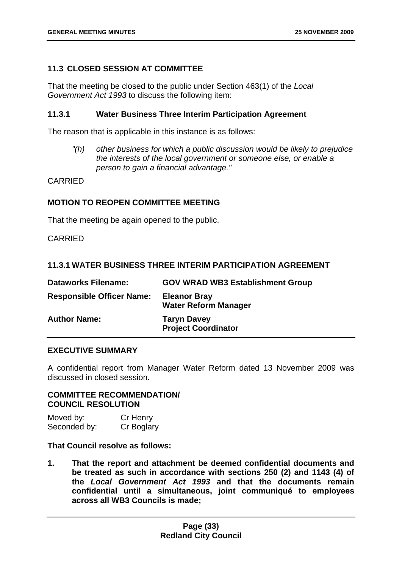#### **11.3 CLOSED SESSION AT COMMITTEE**

That the meeting be closed to the public under Section 463(1) of the *Local Government Act 1993* to discuss the following item:

#### **11.3.1 Water Business Three Interim Participation Agreement**

The reason that is applicable in this instance is as follows:

*"(h) other business for which a public discussion would be likely to prejudice the interests of the local government or someone else, or enable a person to gain a financial advantage."* 

#### CARRIED

#### **MOTION TO REOPEN COMMITTEE MEETING**

That the meeting be again opened to the public.

CARRIED

#### **11.3.1 WATER BUSINESS THREE INTERIM PARTICIPATION AGREEMENT**

| <b>Dataworks Filename:</b>       | <b>GOV WRAD WB3 Establishment Group</b>            |
|----------------------------------|----------------------------------------------------|
| <b>Responsible Officer Name:</b> | <b>Eleanor Bray</b><br><b>Water Reform Manager</b> |
| <b>Author Name:</b>              | <b>Taryn Davey</b><br><b>Project Coordinator</b>   |

#### **EXECUTIVE SUMMARY**

A confidential report from Manager Water Reform dated 13 November 2009 was discussed in closed session.

#### **COMMITTEE RECOMMENDATION/ COUNCIL RESOLUTION**

Moved by: Cr Henry Seconded by: Cr Boglary

**That Council resolve as follows:** 

**1. That the report and attachment be deemed confidential documents and be treated as such in accordance with sections 250 (2) and 1143 (4) of the** *Local Government Act 1993* **and that the documents remain confidential until a simultaneous, joint communiqué to employees across all WB3 Councils is made;**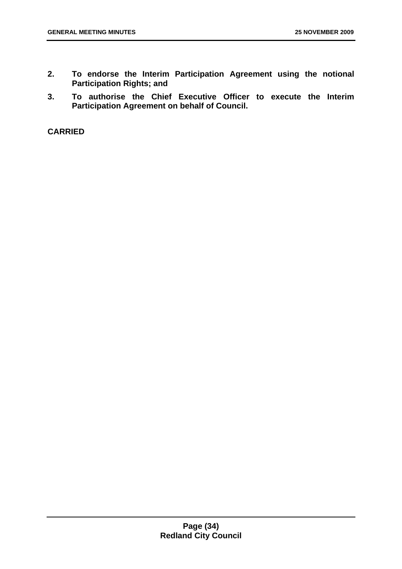- **2. To endorse the Interim Participation Agreement using the notional Participation Rights; and**
- **3. To authorise the Chief Executive Officer to execute the Interim Participation Agreement on behalf of Council.**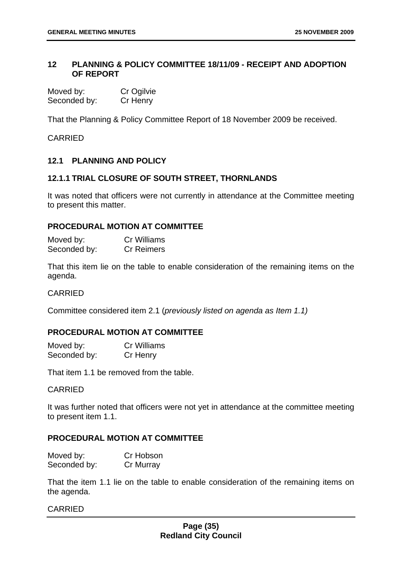#### **12 PLANNING & POLICY COMMITTEE 18/11/09 - RECEIPT AND ADOPTION OF REPORT**

| Moved by:    | Cr Ogilvie |
|--------------|------------|
| Seconded by: | Cr Henry   |

That the Planning & Policy Committee Report of 18 November 2009 be received.

CARRIED

#### **12.1 PLANNING AND POLICY**

#### **12.1.1 TRIAL CLOSURE OF SOUTH STREET, THORNLANDS**

It was noted that officers were not currently in attendance at the Committee meeting to present this matter.

#### **PROCEDURAL MOTION AT COMMITTEE**

| Moved by:    | <b>Cr Williams</b> |
|--------------|--------------------|
| Seconded by: | <b>Cr Reimers</b>  |

That this item lie on the table to enable consideration of the remaining items on the agenda.

#### **CARRIED**

Committee considered item 2.1 (*previously listed on agenda as Item 1.1)*

#### **PROCEDURAL MOTION AT COMMITTEE**

Moved by: Cr Williams Seconded by: Cr Henry

That item 1.1 be removed from the table.

#### CARRIED

It was further noted that officers were not yet in attendance at the committee meeting to present item 1.1.

#### **PROCEDURAL MOTION AT COMMITTEE**

| Moved by:    | Cr Hobson |
|--------------|-----------|
| Seconded by: | Cr Murray |

That the item 1.1 lie on the table to enable consideration of the remaining items on the agenda.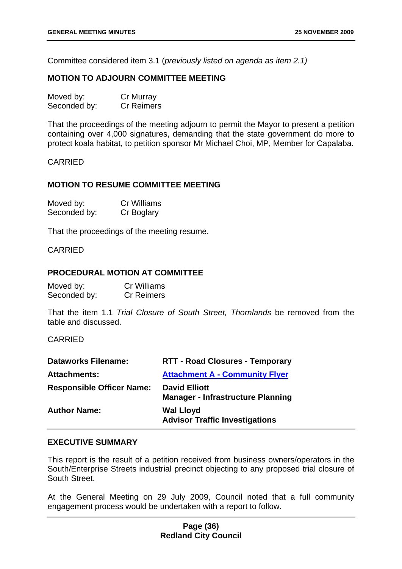Committee considered item 3.1 (*previously listed on agenda as item 2.1)* 

### **MOTION TO ADJOURN COMMITTEE MEETING**

| Moved by:    | Cr Murray         |
|--------------|-------------------|
| Seconded by: | <b>Cr Reimers</b> |

That the proceedings of the meeting adjourn to permit the Mayor to present a petition containing over 4,000 signatures, demanding that the state government do more to protect koala habitat, to petition sponsor Mr Michael Choi, MP, Member for Capalaba.

#### CARRIED

#### **MOTION TO RESUME COMMITTEE MEETING**

| Moved by:    | Cr Williams |
|--------------|-------------|
| Seconded by: | Cr Boglary  |

That the proceedings of the meeting resume.

#### CARRIED

#### **PROCEDURAL MOTION AT COMMITTEE**

| Moved by:    | Cr Williams       |
|--------------|-------------------|
| Seconded by: | <b>Cr Reimers</b> |

That the item 1.1 *Trial Closure of South Street, Thornlands* be removed from the table and discussed.

#### CARRIED

| <b>Dataworks Filename:</b>       | <b>RTT - Road Closures - Temporary</b>                           |
|----------------------------------|------------------------------------------------------------------|
| <b>Attachments:</b>              | <b>Attachment A - Community Flyer</b>                            |
| <b>Responsible Officer Name:</b> | <b>David Elliott</b><br><b>Manager - Infrastructure Planning</b> |
| <b>Author Name:</b>              | <b>Wal Lloyd</b><br><b>Advisor Traffic Investigations</b>        |

### **EXECUTIVE SUMMARY**

This report is the result of a petition received from business owners/operators in the South/Enterprise Streets industrial precinct objecting to any proposed trial closure of South Street.

At the General Meeting on 29 July 2009, Council noted that a full community engagement process would be undertaken with a report to follow.

## **Page (36) Redland City Council**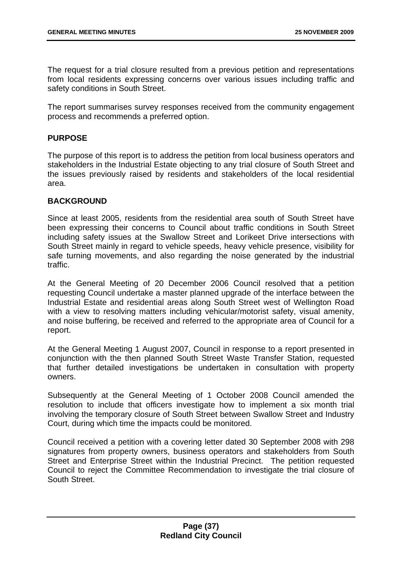The request for a trial closure resulted from a previous petition and representations from local residents expressing concerns over various issues including traffic and safety conditions in South Street.

The report summarises survey responses received from the community engagement process and recommends a preferred option.

## **PURPOSE**

The purpose of this report is to address the petition from local business operators and stakeholders in the Industrial Estate objecting to any trial closure of South Street and the issues previously raised by residents and stakeholders of the local residential area.

## **BACKGROUND**

Since at least 2005, residents from the residential area south of South Street have been expressing their concerns to Council about traffic conditions in South Street including safety issues at the Swallow Street and Lorikeet Drive intersections with South Street mainly in regard to vehicle speeds, heavy vehicle presence, visibility for safe turning movements, and also regarding the noise generated by the industrial traffic.

At the General Meeting of 20 December 2006 Council resolved that a petition requesting Council undertake a master planned upgrade of the interface between the Industrial Estate and residential areas along South Street west of Wellington Road with a view to resolving matters including vehicular/motorist safety, visual amenity, and noise buffering, be received and referred to the appropriate area of Council for a report.

At the General Meeting 1 August 2007, Council in response to a report presented in conjunction with the then planned South Street Waste Transfer Station, requested that further detailed investigations be undertaken in consultation with property owners.

Subsequently at the General Meeting of 1 October 2008 Council amended the resolution to include that officers investigate how to implement a six month trial involving the temporary closure of South Street between Swallow Street and Industry Court, during which time the impacts could be monitored.

Council received a petition with a covering letter dated 30 September 2008 with 298 signatures from property owners, business operators and stakeholders from South Street and Enterprise Street within the Industrial Precinct. The petition requested Council to reject the Committee Recommendation to investigate the trial closure of South Street.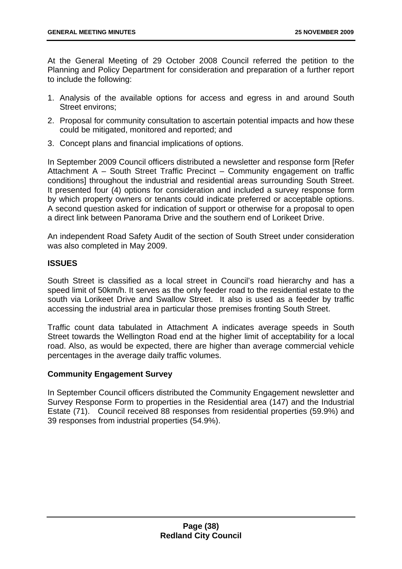At the General Meeting of 29 October 2008 Council referred the petition to the Planning and Policy Department for consideration and preparation of a further report to include the following:

- 1. Analysis of the available options for access and egress in and around South Street environs;
- 2. Proposal for community consultation to ascertain potential impacts and how these could be mitigated, monitored and reported; and
- 3. Concept plans and financial implications of options.

In September 2009 Council officers distributed a newsletter and response form [Refer Attachment A – South Street Traffic Precinct – Community engagement on traffic conditions] throughout the industrial and residential areas surrounding South Street. It presented four (4) options for consideration and included a survey response form by which property owners or tenants could indicate preferred or acceptable options. A second question asked for indication of support or otherwise for a proposal to open a direct link between Panorama Drive and the southern end of Lorikeet Drive.

An independent Road Safety Audit of the section of South Street under consideration was also completed in May 2009.

## **ISSUES**

South Street is classified as a local street in Council's road hierarchy and has a speed limit of 50km/h. It serves as the only feeder road to the residential estate to the south via Lorikeet Drive and Swallow Street. It also is used as a feeder by traffic accessing the industrial area in particular those premises fronting South Street.

Traffic count data tabulated in Attachment A indicates average speeds in South Street towards the Wellington Road end at the higher limit of acceptability for a local road. Also, as would be expected, there are higher than average commercial vehicle percentages in the average daily traffic volumes.

## **Community Engagement Survey**

In September Council officers distributed the Community Engagement newsletter and Survey Response Form to properties in the Residential area (147) and the Industrial Estate (71). Council received 88 responses from residential properties (59.9%) and 39 responses from industrial properties (54.9%).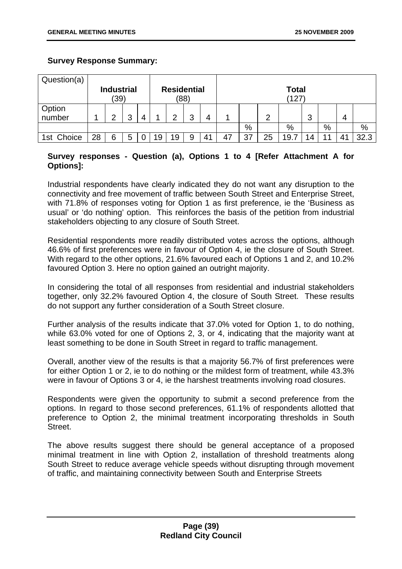## **Survey Response Summary:**

| Question(a) |    |                   |   |   |    |                    |      |    |    |    |    |              |    |    |    |      |
|-------------|----|-------------------|---|---|----|--------------------|------|----|----|----|----|--------------|----|----|----|------|
|             |    | <b>Industrial</b> |   |   |    | <b>Residential</b> |      |    |    |    |    | <b>Total</b> |    |    |    |      |
|             |    | (39)              |   |   |    |                    | (88) |    |    |    |    | (127)        |    |    |    |      |
| Option      |    |                   |   |   |    |                    |      |    |    |    |    |              |    |    |    |      |
| number      |    | ◠                 | 3 | 4 |    | ⌒                  | 3    | 4  |    |    | ◠  |              | 3  |    | 4  |      |
|             |    |                   |   |   |    |                    |      |    |    | %  |    | %            |    | %  |    | $\%$ |
| 1st Choice  | 28 | 6                 | 5 |   | 19 | 19                 | 9    | 41 | 47 | 37 | 25 | 19.1         | 14 | 11 | 11 | 32.3 |

# **Survey responses - Question (a), Options 1 to 4 [Refer Attachment A for Options]:**

Industrial respondents have clearly indicated they do not want any disruption to the connectivity and free movement of traffic between South Street and Enterprise Street, with 71.8% of responses voting for Option 1 as first preference, ie the 'Business as usual' or 'do nothing' option. This reinforces the basis of the petition from industrial stakeholders objecting to any closure of South Street.

Residential respondents more readily distributed votes across the options, although 46.6% of first preferences were in favour of Option 4, ie the closure of South Street. With regard to the other options, 21.6% favoured each of Options 1 and 2, and 10.2% favoured Option 3. Here no option gained an outright majority.

In considering the total of all responses from residential and industrial stakeholders together, only 32.2% favoured Option 4, the closure of South Street. These results do not support any further consideration of a South Street closure.

Further analysis of the results indicate that 37.0% voted for Option 1, to do nothing, while 63.0% voted for one of Options 2, 3, or 4, indicating that the majority want at least something to be done in South Street in regard to traffic management.

Overall, another view of the results is that a majority 56.7% of first preferences were for either Option 1 or 2, ie to do nothing or the mildest form of treatment, while 43.3% were in favour of Options 3 or 4, ie the harshest treatments involving road closures.

Respondents were given the opportunity to submit a second preference from the options. In regard to those second preferences, 61.1% of respondents allotted that preference to Option 2, the minimal treatment incorporating thresholds in South Street.

The above results suggest there should be general acceptance of a proposed minimal treatment in line with Option 2, installation of threshold treatments along South Street to reduce average vehicle speeds without disrupting through movement of traffic, and maintaining connectivity between South and Enterprise Streets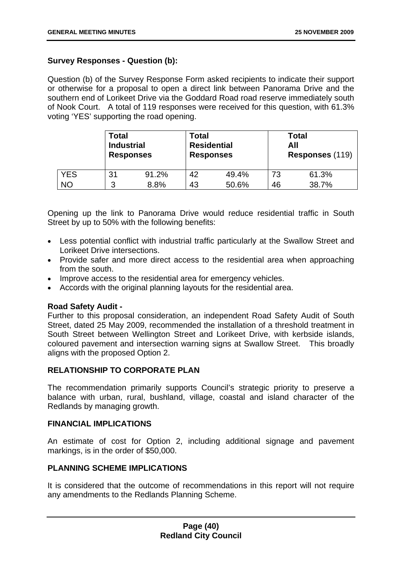## **Survey Responses - Question (b):**

Question (b) of the Survey Response Form asked recipients to indicate their support or otherwise for a proposal to open a direct link between Panorama Drive and the southern end of Lorikeet Drive via the Goddard Road road reserve immediately south of Nook Court. A total of 119 responses were received for this question, with 61.3% voting 'YES' supporting the road opening.

|            | Total<br><b>Industrial</b><br><b>Responses</b> |       | Total | <b>Residential</b><br><b>Responses</b> |    | Total<br>All<br>Responses (119) |  |  |
|------------|------------------------------------------------|-------|-------|----------------------------------------|----|---------------------------------|--|--|
| <b>YES</b> | 31                                             | 91.2% | 42    | 49.4%                                  | 73 | 61.3%                           |  |  |
| <b>NO</b>  | 3                                              | 8.8%  | 43    | 50.6%                                  | 46 | 38.7%                           |  |  |

Opening up the link to Panorama Drive would reduce residential traffic in South Street by up to 50% with the following benefits:

- Less potential conflict with industrial traffic particularly at the Swallow Street and Lorikeet Drive intersections.
- Provide safer and more direct access to the residential area when approaching from the south.
- Improve access to the residential area for emergency vehicles.
- Accords with the original planning layouts for the residential area.

### **Road Safety Audit -**

Further to this proposal consideration, an independent Road Safety Audit of South Street, dated 25 May 2009, recommended the installation of a threshold treatment in South Street between Wellington Street and Lorikeet Drive, with kerbside islands, coloured pavement and intersection warning signs at Swallow Street. This broadly aligns with the proposed Option 2.

## **RELATIONSHIP TO CORPORATE PLAN**

The recommendation primarily supports Council's strategic priority to preserve a balance with urban, rural, bushland, village, coastal and island character of the Redlands by managing growth.

### **FINANCIAL IMPLICATIONS**

An estimate of cost for Option 2, including additional signage and pavement markings, is in the order of \$50,000.

### **PLANNING SCHEME IMPLICATIONS**

It is considered that the outcome of recommendations in this report will not require any amendments to the Redlands Planning Scheme.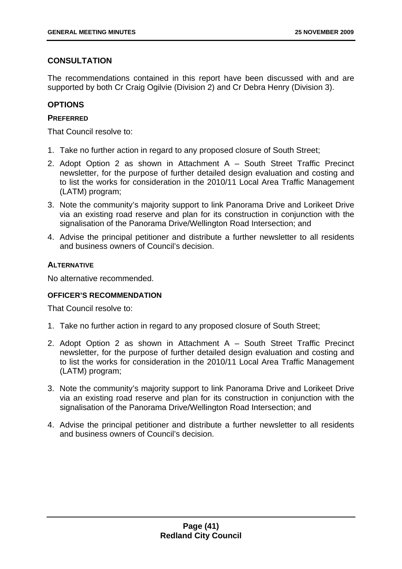# **CONSULTATION**

The recommendations contained in this report have been discussed with and are supported by both Cr Craig Ogilvie (Division 2) and Cr Debra Henry (Division 3).

# **OPTIONS**

## **PREFERRED**

That Council resolve to:

- 1. Take no further action in regard to any proposed closure of South Street;
- 2. Adopt Option 2 as shown in Attachment A South Street Traffic Precinct newsletter, for the purpose of further detailed design evaluation and costing and to list the works for consideration in the 2010/11 Local Area Traffic Management (LATM) program;
- 3. Note the community's majority support to link Panorama Drive and Lorikeet Drive via an existing road reserve and plan for its construction in conjunction with the signalisation of the Panorama Drive/Wellington Road Intersection; and
- 4. Advise the principal petitioner and distribute a further newsletter to all residents and business owners of Council's decision.

## **ALTERNATIVE**

No alternative recommended.

# **OFFICER'S RECOMMENDATION**

That Council resolve to:

- 1. Take no further action in regard to any proposed closure of South Street;
- 2. Adopt Option 2 as shown in Attachment A South Street Traffic Precinct newsletter, for the purpose of further detailed design evaluation and costing and to list the works for consideration in the 2010/11 Local Area Traffic Management (LATM) program;
- 3. Note the community's majority support to link Panorama Drive and Lorikeet Drive via an existing road reserve and plan for its construction in conjunction with the signalisation of the Panorama Drive/Wellington Road Intersection; and
- 4. Advise the principal petitioner and distribute a further newsletter to all residents and business owners of Council's decision.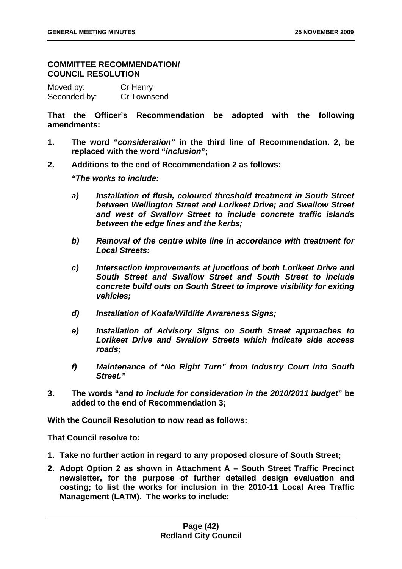## **COMMITTEE RECOMMENDATION/ COUNCIL RESOLUTION**

Moved by: Cr Henry Seconded by: Cr Townsend

**That the Officer's Recommendation be adopted with the following amendments:** 

- **1. The word "***consideration"* **in the third line of Recommendation. 2, be replaced with the word "***inclusion***";**
- **2. Additions to the end of Recommendation 2 as follows:**

*"The works to include:* 

- *a) Installation of flush, coloured threshold treatment in South Street between Wellington Street and Lorikeet Drive; and Swallow Street and west of Swallow Street to include concrete traffic islands between the edge lines and the kerbs;*
- *b) Removal of the centre white line in accordance with treatment for Local Streets:*
- *c) Intersection improvements at junctions of both Lorikeet Drive and South Street and Swallow Street and South Street to include concrete build outs on South Street to improve visibility for exiting vehicles;*
- *d) Installation of Koala/Wildlife Awareness Signs;*
- *e) Installation of Advisory Signs on South Street approaches to Lorikeet Drive and Swallow Streets which indicate side access roads;*
- *f) Maintenance of "No Right Turn" from Industry Court into South Street."*
- **3. The words "***and to include for consideration in the 2010/2011 budget***" be added to the end of Recommendation 3;**

**With the Council Resolution to now read as follows:** 

**That Council resolve to:** 

- **1. Take no further action in regard to any proposed closure of South Street;**
- **2. Adopt Option 2 as shown in Attachment A South Street Traffic Precinct newsletter, for the purpose of further detailed design evaluation and costing; to list the works for inclusion in the 2010-11 Local Area Traffic Management (LATM). The works to include:**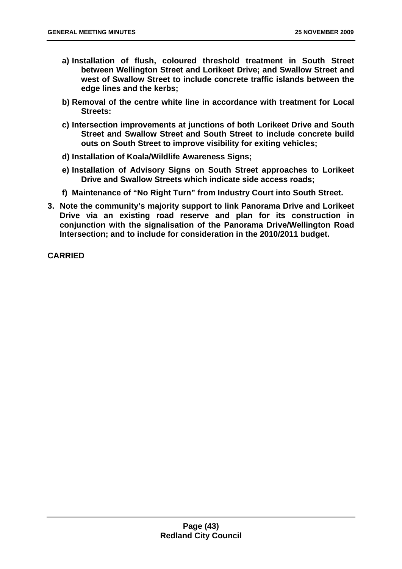- **a) Installation of flush, coloured threshold treatment in South Street between Wellington Street and Lorikeet Drive; and Swallow Street and west of Swallow Street to include concrete traffic islands between the edge lines and the kerbs;**
- **b) Removal of the centre white line in accordance with treatment for Local Streets:**
- **c) Intersection improvements at junctions of both Lorikeet Drive and South Street and Swallow Street and South Street to include concrete build outs on South Street to improve visibility for exiting vehicles;**
- **d) Installation of Koala/Wildlife Awareness Signs;**
- **e) Installation of Advisory Signs on South Street approaches to Lorikeet Drive and Swallow Streets which indicate side access roads;**
- **f) Maintenance of "No Right Turn" from Industry Court into South Street.**
- **3. Note the community's majority support to link Panorama Drive and Lorikeet Drive via an existing road reserve and plan for its construction in conjunction with the signalisation of the Panorama Drive/Wellington Road Intersection; and to include for consideration in the 2010/2011 budget.**

**CARRIED**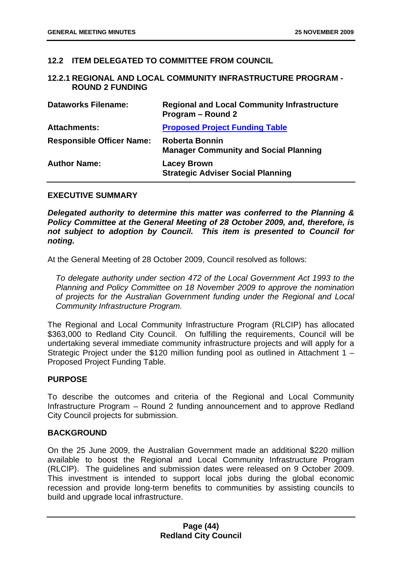## **12.2 ITEM DELEGATED TO COMMITTEE FROM COUNCIL**

### **12.2.1 REGIONAL AND LOCAL COMMUNITY INFRASTRUCTURE PROGRAM - ROUND 2 FUNDING**

| <b>Dataworks Filename:</b>       | <b>Regional and Local Community Infrastructure</b><br>Program - Round 2 |
|----------------------------------|-------------------------------------------------------------------------|
| <b>Attachments:</b>              | <b>Proposed Project Funding Table</b>                                   |
| <b>Responsible Officer Name:</b> | <b>Roberta Bonnin</b><br><b>Manager Community and Social Planning</b>   |
| <b>Author Name:</b>              | <b>Lacey Brown</b><br><b>Strategic Adviser Social Planning</b>          |

#### **EXECUTIVE SUMMARY**

*Delegated authority to determine this matter was conferred to the Planning & Policy Committee at the General Meeting of 28 October 2009, and, therefore, is not subject to adoption by Council. This item is presented to Council for noting.* 

At the General Meeting of 28 October 2009, Council resolved as follows:

*To delegate authority under section 472 of the Local Government Act 1993 to the Planning and Policy Committee on 18 November 2009 to approve the nomination of projects for the Australian Government funding under the Regional and Local Community Infrastructure Program.* 

The Regional and Local Community Infrastructure Program (RLCIP) has allocated \$363,000 to Redland City Council. On fulfilling the requirements, Council will be undertaking several immediate community infrastructure projects and will apply for a Strategic Project under the \$120 million funding pool as outlined in Attachment 1 – Proposed Project Funding Table.

### **PURPOSE**

To describe the outcomes and criteria of the Regional and Local Community Infrastructure Program – Round 2 funding announcement and to approve Redland City Council projects for submission.

### **BACKGROUND**

On the 25 June 2009, the Australian Government made an additional \$220 million available to boost the Regional and Local Community Infrastructure Program (RLCIP). The guidelines and submission dates were released on 9 October 2009. This investment is intended to support local jobs during the global economic recession and provide long-term benefits to communities by assisting councils to build and upgrade local infrastructure.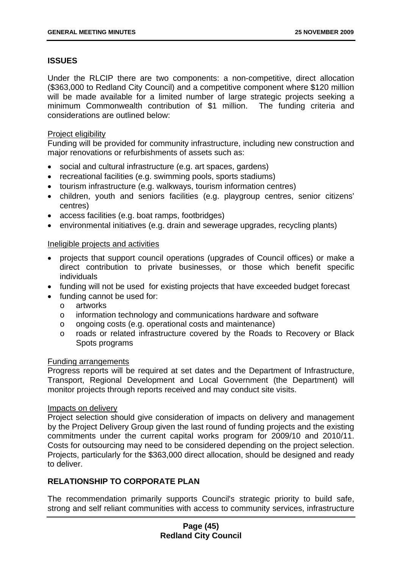# **ISSUES**

Under the RLCIP there are two components: a non-competitive, direct allocation (\$363,000 to Redland City Council) and a competitive component where \$120 million will be made available for a limited number of large strategic projects seeking a minimum Commonwealth contribution of \$1 million. The funding criteria and considerations are outlined below:

## Project eligibility

Funding will be provided for community infrastructure, including new construction and major renovations or refurbishments of assets such as:

- social and cultural infrastructure (e.g. art spaces, gardens)
- recreational facilities (e.g. swimming pools, sports stadiums)
- tourism infrastructure (e.g. walkways, tourism information centres)
- children, youth and seniors facilities (e.g. playgroup centres, senior citizens' centres)
- access facilities (e.g. boat ramps, footbridges)
- environmental initiatives (e.g. drain and sewerage upgrades, recycling plants)

### Ineligible projects and activities

- projects that support council operations (upgrades of Council offices) or make a direct contribution to private businesses, or those which benefit specific individuals
- funding will not be used for existing projects that have exceeded budget forecast
- funding cannot be used for:
	- o artworks
	- o information technology and communications hardware and software
	- o ongoing costs (e.g. operational costs and maintenance)
	- o roads or related infrastructure covered by the Roads to Recovery or Black Spots programs

### Funding arrangements

Progress reports will be required at set dates and the Department of Infrastructure, Transport, Regional Development and Local Government (the Department) will monitor projects through reports received and may conduct site visits.

#### Impacts on delivery

Project selection should give consideration of impacts on delivery and management by the Project Delivery Group given the last round of funding projects and the existing commitments under the current capital works program for 2009/10 and 2010/11. Costs for outsourcing may need to be considered depending on the project selection. Projects, particularly for the \$363,000 direct allocation, should be designed and ready to deliver.

# **RELATIONSHIP TO CORPORATE PLAN**

The recommendation primarily supports Council's strategic priority to build safe, strong and self reliant communities with access to community services, infrastructure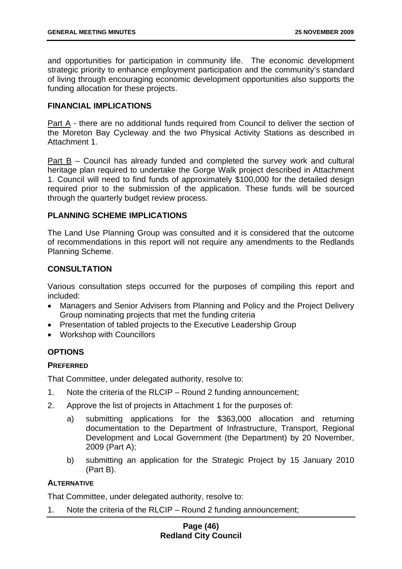and opportunities for participation in community life. The economic development strategic priority to enhance employment participation and the community's standard of living through encouraging economic development opportunities also supports the funding allocation for these projects.

## **FINANCIAL IMPLICATIONS**

Part A - there are no additional funds required from Council to deliver the section of the Moreton Bay Cycleway and the two Physical Activity Stations as described in Attachment 1.

Part B – Council has already funded and completed the survey work and cultural heritage plan required to undertake the Gorge Walk project described in Attachment 1. Council will need to find funds of approximately \$100,000 for the detailed design required prior to the submission of the application. These funds will be sourced through the quarterly budget review process.

## **PLANNING SCHEME IMPLICATIONS**

The Land Use Planning Group was consulted and it is considered that the outcome of recommendations in this report will not require any amendments to the Redlands Planning Scheme.

# **CONSULTATION**

Various consultation steps occurred for the purposes of compiling this report and included:

- Managers and Senior Advisers from Planning and Policy and the Project Delivery Group nominating projects that met the funding criteria
- Presentation of tabled projects to the Executive Leadership Group
- Workshop with Councillors

# **OPTIONS**

# **PREFERRED**

That Committee, under delegated authority, resolve to:

- 1. Note the criteria of the RLCIP Round 2 funding announcement;
- 2. Approve the list of projects in Attachment 1 for the purposes of:
	- a) submitting applications for the \$363,000 allocation and returning documentation to the Department of Infrastructure, Transport, Regional Development and Local Government (the Department) by 20 November, 2009 (Part A);
	- b) submitting an application for the Strategic Project by 15 January 2010 (Part B).

### **ALTERNATIVE**

That Committee, under delegated authority, resolve to:

1. Note the criteria of the RLCIP – Round 2 funding announcement;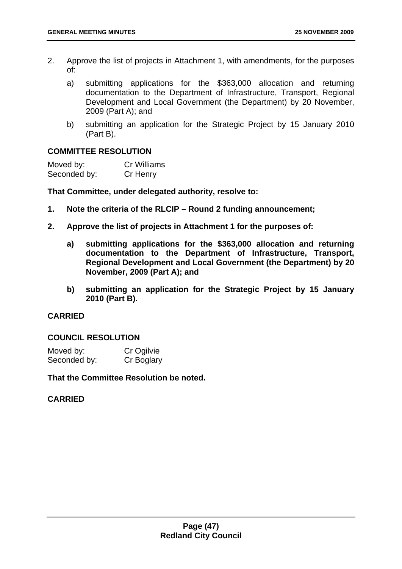- 2. Approve the list of projects in Attachment 1, with amendments, for the purposes of:
	- a) submitting applications for the \$363,000 allocation and returning documentation to the Department of Infrastructure, Transport, Regional Development and Local Government (the Department) by 20 November, 2009 (Part A); and
	- b) submitting an application for the Strategic Project by 15 January 2010 (Part B).

## **COMMITTEE RESOLUTION**

| Moved by:    | <b>Cr Williams</b> |
|--------------|--------------------|
| Seconded by: | Cr Henry           |

**That Committee, under delegated authority, resolve to:** 

- **1. Note the criteria of the RLCIP Round 2 funding announcement;**
- **2. Approve the list of projects in Attachment 1 for the purposes of:** 
	- **a) submitting applications for the \$363,000 allocation and returning documentation to the Department of Infrastructure, Transport, Regional Development and Local Government (the Department) by 20 November, 2009 (Part A); and**
	- **b) submitting an application for the Strategic Project by 15 January 2010 (Part B).**

### **CARRIED**

## **COUNCIL RESOLUTION**

| Moved by:    | Cr Ogilvie |
|--------------|------------|
| Seconded by: | Cr Boglary |

**That the Committee Resolution be noted.** 

### **CARRIED**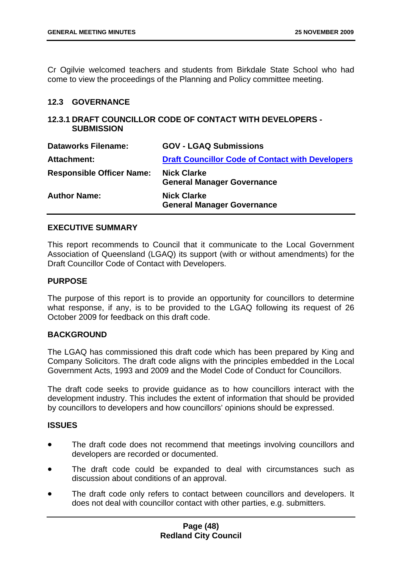Cr Ogilvie welcomed teachers and students from Birkdale State School who had come to view the proceedings of the Planning and Policy committee meeting.

### **12.3 GOVERNANCE**

## **12.3.1 DRAFT COUNCILLOR CODE OF CONTACT WITH DEVELOPERS - SUBMISSION**

| <b>Dataworks Filename:</b>       | <b>GOV - LGAQ Submissions</b>                           |
|----------------------------------|---------------------------------------------------------|
| <b>Attachment:</b>               | <b>Draft Councillor Code of Contact with Developers</b> |
| <b>Responsible Officer Name:</b> | <b>Nick Clarke</b><br><b>General Manager Governance</b> |
| <b>Author Name:</b>              | <b>Nick Clarke</b><br><b>General Manager Governance</b> |

## **EXECUTIVE SUMMARY**

This report recommends to Council that it communicate to the Local Government Association of Queensland (LGAQ) its support (with or without amendments) for the Draft Councillor Code of Contact with Developers.

## **PURPOSE**

The purpose of this report is to provide an opportunity for councillors to determine what response, if any, is to be provided to the LGAQ following its request of 26 October 2009 for feedback on this draft code.

# **BACKGROUND**

The LGAQ has commissioned this draft code which has been prepared by King and Company Solicitors. The draft code aligns with the principles embedded in the Local Government Acts, 1993 and 2009 and the Model Code of Conduct for Councillors.

The draft code seeks to provide guidance as to how councillors interact with the development industry. This includes the extent of information that should be provided by councillors to developers and how councillors' opinions should be expressed.

### **ISSUES**

- The draft code does not recommend that meetings involving councillors and developers are recorded or documented.
- The draft code could be expanded to deal with circumstances such as discussion about conditions of an approval.
- The draft code only refers to contact between councillors and developers. It does not deal with councillor contact with other parties, e.g. submitters.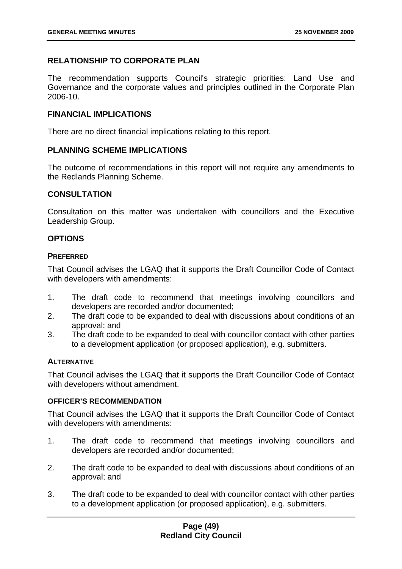# **RELATIONSHIP TO CORPORATE PLAN**

The recommendation supports Council's strategic priorities: Land Use and Governance and the corporate values and principles outlined in the Corporate Plan 2006-10.

## **FINANCIAL IMPLICATIONS**

There are no direct financial implications relating to this report.

## **PLANNING SCHEME IMPLICATIONS**

The outcome of recommendations in this report will not require any amendments to the Redlands Planning Scheme.

## **CONSULTATION**

Consultation on this matter was undertaken with councillors and the Executive Leadership Group.

# **OPTIONS**

## **PREFERRED**

That Council advises the LGAQ that it supports the Draft Councillor Code of Contact with developers with amendments:

- 1. The draft code to recommend that meetings involving councillors and developers are recorded and/or documented;
- 2. The draft code to be expanded to deal with discussions about conditions of an approval; and
- 3. The draft code to be expanded to deal with councillor contact with other parties to a development application (or proposed application), e.g. submitters.

# **ALTERNATIVE**

That Council advises the LGAQ that it supports the Draft Councillor Code of Contact with developers without amendment.

### **OFFICER'S RECOMMENDATION**

That Council advises the LGAQ that it supports the Draft Councillor Code of Contact with developers with amendments:

- 1. The draft code to recommend that meetings involving councillors and developers are recorded and/or documented;
- 2. The draft code to be expanded to deal with discussions about conditions of an approval; and
- 3. The draft code to be expanded to deal with councillor contact with other parties to a development application (or proposed application), e.g. submitters.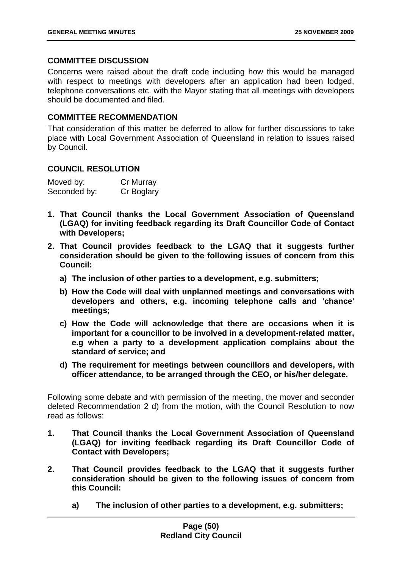## **COMMITTEE DISCUSSION**

Concerns were raised about the draft code including how this would be managed with respect to meetings with developers after an application had been lodged, telephone conversations etc. with the Mayor stating that all meetings with developers should be documented and filed.

## **COMMITTEE RECOMMENDATION**

That consideration of this matter be deferred to allow for further discussions to take place with Local Government Association of Queensland in relation to issues raised by Council.

## **COUNCIL RESOLUTION**

| Moved by:    | Cr Murray  |
|--------------|------------|
| Seconded by: | Cr Boglary |

- **1. That Council thanks the Local Government Association of Queensland (LGAQ) for inviting feedback regarding its Draft Councillor Code of Contact with Developers;**
- **2. That Council provides feedback to the LGAQ that it suggests further consideration should be given to the following issues of concern from this Council:** 
	- **a) The inclusion of other parties to a development, e.g. submitters;**
	- **b) How the Code will deal with unplanned meetings and conversations with developers and others, e.g. incoming telephone calls and 'chance' meetings;**
	- **c) How the Code will acknowledge that there are occasions when it is important for a councillor to be involved in a development-related matter, e.g when a party to a development application complains about the standard of service; and**
	- **d) The requirement for meetings between councillors and developers, with officer attendance, to be arranged through the CEO, or his/her delegate.**

Following some debate and with permission of the meeting, the mover and seconder deleted Recommendation 2 d) from the motion, with the Council Resolution to now read as follows:

- **1. That Council thanks the Local Government Association of Queensland (LGAQ) for inviting feedback regarding its Draft Councillor Code of Contact with Developers;**
- **2. That Council provides feedback to the LGAQ that it suggests further consideration should be given to the following issues of concern from this Council:** 
	- **a) The inclusion of other parties to a development, e.g. submitters;**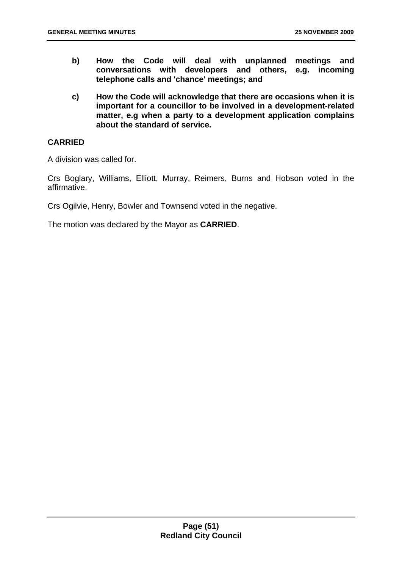- **b) How the Code will deal with unplanned meetings and conversations with developers and others, e.g. incoming telephone calls and 'chance' meetings; and**
- **c) How the Code will acknowledge that there are occasions when it is important for a councillor to be involved in a development-related matter, e.g when a party to a development application complains about the standard of service.**

# **CARRIED**

A division was called for.

Crs Boglary, Williams, Elliott, Murray, Reimers, Burns and Hobson voted in the affirmative.

Crs Ogilvie, Henry, Bowler and Townsend voted in the negative.

The motion was declared by the Mayor as **CARRIED**.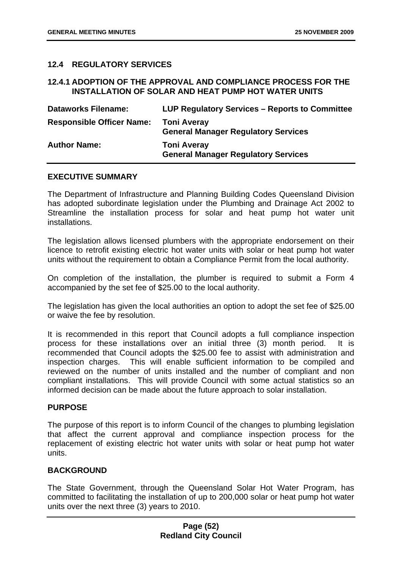## **12.4 REGULATORY SERVICES**

### **12.4.1 ADOPTION OF THE APPROVAL AND COMPLIANCE PROCESS FOR THE INSTALLATION OF SOLAR AND HEAT PUMP HOT WATER UNITS**

| <b>Dataworks Filename:</b>       | LUP Regulatory Services – Reports to Committee                   |
|----------------------------------|------------------------------------------------------------------|
| <b>Responsible Officer Name:</b> | <b>Toni Averay</b><br><b>General Manager Regulatory Services</b> |
| <b>Author Name:</b>              | <b>Toni Averay</b><br><b>General Manager Regulatory Services</b> |

### **EXECUTIVE SUMMARY**

The Department of Infrastructure and Planning Building Codes Queensland Division has adopted subordinate legislation under the Plumbing and Drainage Act 2002 to Streamline the installation process for solar and heat pump hot water unit installations.

The legislation allows licensed plumbers with the appropriate endorsement on their licence to retrofit existing electric hot water units with solar or heat pump hot water units without the requirement to obtain a Compliance Permit from the local authority.

On completion of the installation, the plumber is required to submit a Form 4 accompanied by the set fee of \$25.00 to the local authority.

The legislation has given the local authorities an option to adopt the set fee of \$25.00 or waive the fee by resolution.

It is recommended in this report that Council adopts a full compliance inspection process for these installations over an initial three (3) month period. recommended that Council adopts the \$25.00 fee to assist with administration and inspection charges. This will enable sufficient information to be compiled and reviewed on the number of units installed and the number of compliant and non compliant installations. This will provide Council with some actual statistics so an informed decision can be made about the future approach to solar installation.

### **PURPOSE**

The purpose of this report is to inform Council of the changes to plumbing legislation that affect the current approval and compliance inspection process for the replacement of existing electric hot water units with solar or heat pump hot water units.

## **BACKGROUND**

The State Government, through the Queensland Solar Hot Water Program, has committed to facilitating the installation of up to 200,000 solar or heat pump hot water units over the next three (3) years to 2010.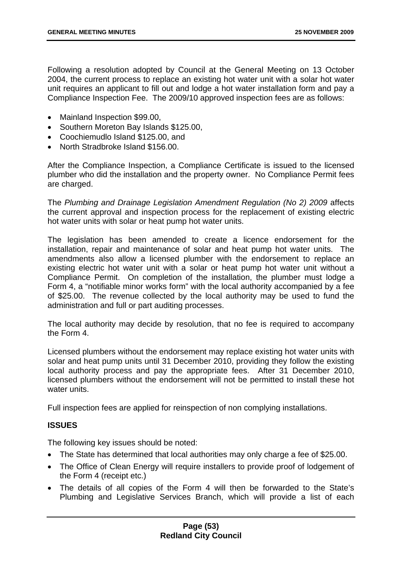Following a resolution adopted by Council at the General Meeting on 13 October 2004, the current process to replace an existing hot water unit with a solar hot water unit requires an applicant to fill out and lodge a hot water installation form and pay a Compliance Inspection Fee. The 2009/10 approved inspection fees are as follows:

- Mainland Inspection \$99.00,
- Southern Moreton Bay Islands \$125.00,
- Coochiemudlo Island \$125.00, and
- North Stradbroke Island \$156.00.

After the Compliance Inspection, a Compliance Certificate is issued to the licensed plumber who did the installation and the property owner. No Compliance Permit fees are charged.

The *Plumbing and Drainage Legislation Amendment Regulation (No 2) 2009* affects the current approval and inspection process for the replacement of existing electric hot water units with solar or heat pump hot water units.

The legislation has been amended to create a licence endorsement for the installation, repair and maintenance of solar and heat pump hot water units. The amendments also allow a licensed plumber with the endorsement to replace an existing electric hot water unit with a solar or heat pump hot water unit without a Compliance Permit. On completion of the installation, the plumber must lodge a Form 4, a "notifiable minor works form" with the local authority accompanied by a fee of \$25.00. The revenue collected by the local authority may be used to fund the administration and full or part auditing processes.

The local authority may decide by resolution, that no fee is required to accompany the Form 4.

Licensed plumbers without the endorsement may replace existing hot water units with solar and heat pump units until 31 December 2010, providing they follow the existing local authority process and pay the appropriate fees. After 31 December 2010, licensed plumbers without the endorsement will not be permitted to install these hot water units.

Full inspection fees are applied for reinspection of non complying installations.

### **ISSUES**

The following key issues should be noted:

- The State has determined that local authorities may only charge a fee of \$25.00.
- The Office of Clean Energy will require installers to provide proof of lodgement of the Form 4 (receipt etc.)
- The details of all copies of the Form 4 will then be forwarded to the State's Plumbing and Legislative Services Branch, which will provide a list of each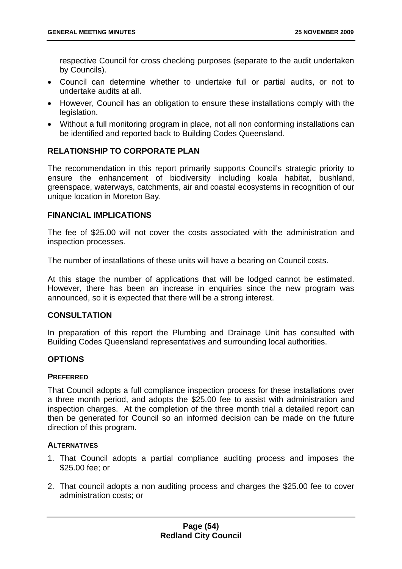respective Council for cross checking purposes (separate to the audit undertaken by Councils).

- Council can determine whether to undertake full or partial audits, or not to undertake audits at all.
- However, Council has an obligation to ensure these installations comply with the legislation.
- Without a full monitoring program in place, not all non conforming installations can be identified and reported back to Building Codes Queensland.

# **RELATIONSHIP TO CORPORATE PLAN**

The recommendation in this report primarily supports Council's strategic priority to ensure the enhancement of biodiversity including koala habitat, bushland, greenspace, waterways, catchments, air and coastal ecosystems in recognition of our unique location in Moreton Bay.

### **FINANCIAL IMPLICATIONS**

The fee of \$25.00 will not cover the costs associated with the administration and inspection processes.

The number of installations of these units will have a bearing on Council costs.

At this stage the number of applications that will be lodged cannot be estimated. However, there has been an increase in enquiries since the new program was announced, so it is expected that there will be a strong interest.

### **CONSULTATION**

In preparation of this report the Plumbing and Drainage Unit has consulted with Building Codes Queensland representatives and surrounding local authorities.

### **OPTIONS**

### **PREFERRED**

That Council adopts a full compliance inspection process for these installations over a three month period, and adopts the \$25.00 fee to assist with administration and inspection charges. At the completion of the three month trial a detailed report can then be generated for Council so an informed decision can be made on the future direction of this program.

### **ALTERNATIVES**

- 1. That Council adopts a partial compliance auditing process and imposes the \$25.00 fee; or
- 2. That council adopts a non auditing process and charges the \$25.00 fee to cover administration costs; or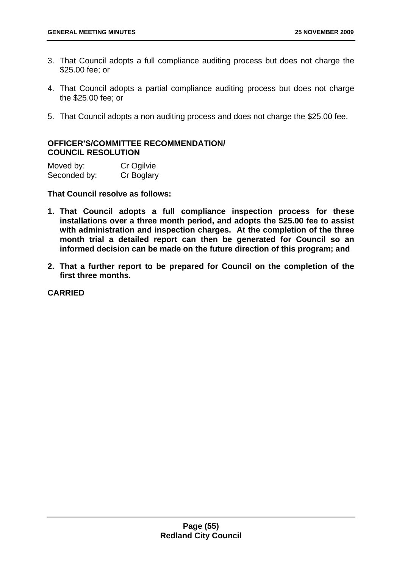- 3. That Council adopts a full compliance auditing process but does not charge the \$25.00 fee; or
- 4. That Council adopts a partial compliance auditing process but does not charge the \$25.00 fee; or
- 5. That Council adopts a non auditing process and does not charge the \$25.00 fee.

# **OFFICER'S/COMMITTEE RECOMMENDATION/ COUNCIL RESOLUTION**

| Moved by:    | Cr Ogilvie |
|--------------|------------|
| Seconded by: | Cr Boglary |

**That Council resolve as follows:** 

- **1. That Council adopts a full compliance inspection process for these installations over a three month period, and adopts the \$25.00 fee to assist with administration and inspection charges. At the completion of the three month trial a detailed report can then be generated for Council so an informed decision can be made on the future direction of this program; and**
- **2. That a further report to be prepared for Council on the completion of the first three months.**

**CARRIED**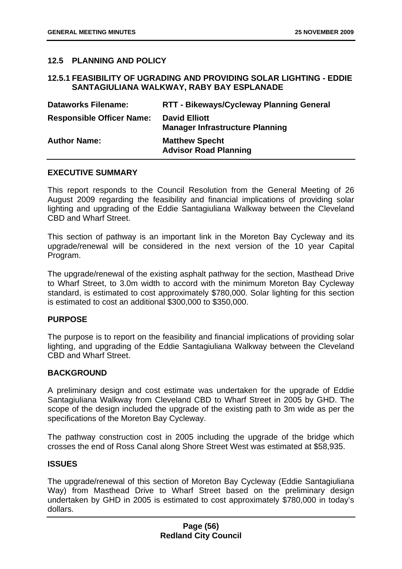## **12.5 PLANNING AND POLICY**

## **12.5.1 FEASIBILITY OF UGRADING AND PROVIDING SOLAR LIGHTING - EDDIE SANTAGIULIANA WALKWAY, RABY BAY ESPLANADE**

| <b>Dataworks Filename:</b>       | <b>RTT - Bikeways/Cycleway Planning General</b>                |
|----------------------------------|----------------------------------------------------------------|
| <b>Responsible Officer Name:</b> | <b>David Elliott</b><br><b>Manager Infrastructure Planning</b> |
| <b>Author Name:</b>              | <b>Matthew Specht</b><br><b>Advisor Road Planning</b>          |

#### **EXECUTIVE SUMMARY**

This report responds to the Council Resolution from the General Meeting of 26 August 2009 regarding the feasibility and financial implications of providing solar lighting and upgrading of the Eddie Santagiuliana Walkway between the Cleveland CBD and Wharf Street.

This section of pathway is an important link in the Moreton Bay Cycleway and its upgrade/renewal will be considered in the next version of the 10 year Capital Program.

The upgrade/renewal of the existing asphalt pathway for the section, Masthead Drive to Wharf Street, to 3.0m width to accord with the minimum Moreton Bay Cycleway standard, is estimated to cost approximately \$780,000. Solar lighting for this section is estimated to cost an additional \$300,000 to \$350,000.

#### **PURPOSE**

The purpose is to report on the feasibility and financial implications of providing solar lighting, and upgrading of the Eddie Santagiuliana Walkway between the Cleveland CBD and Wharf Street.

### **BACKGROUND**

A preliminary design and cost estimate was undertaken for the upgrade of Eddie Santagiuliana Walkway from Cleveland CBD to Wharf Street in 2005 by GHD. The scope of the design included the upgrade of the existing path to 3m wide as per the specifications of the Moreton Bay Cycleway.

The pathway construction cost in 2005 including the upgrade of the bridge which crosses the end of Ross Canal along Shore Street West was estimated at \$58,935.

#### **ISSUES**

The upgrade/renewal of this section of Moreton Bay Cycleway (Eddie Santagiuliana Way) from Masthead Drive to Wharf Street based on the preliminary design undertaken by GHD in 2005 is estimated to cost approximately \$780,000 in today's dollars.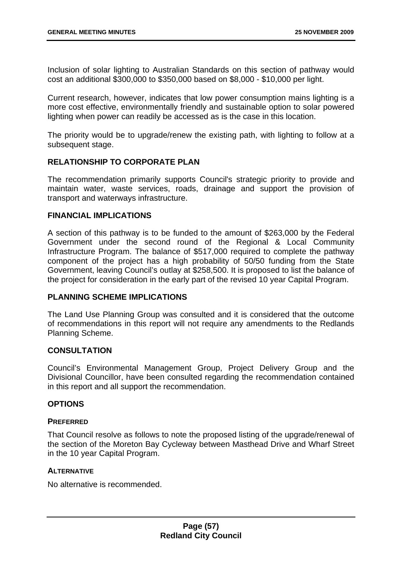Inclusion of solar lighting to Australian Standards on this section of pathway would cost an additional \$300,000 to \$350,000 based on \$8,000 - \$10,000 per light.

Current research, however, indicates that low power consumption mains lighting is a more cost effective, environmentally friendly and sustainable option to solar powered lighting when power can readily be accessed as is the case in this location.

The priority would be to upgrade/renew the existing path, with lighting to follow at a subsequent stage.

## **RELATIONSHIP TO CORPORATE PLAN**

The recommendation primarily supports Council's strategic priority to provide and maintain water, waste services, roads, drainage and support the provision of transport and waterways infrastructure.

### **FINANCIAL IMPLICATIONS**

A section of this pathway is to be funded to the amount of \$263,000 by the Federal Government under the second round of the Regional & Local Community Infrastructure Program. The balance of \$517,000 required to complete the pathway component of the project has a high probability of 50/50 funding from the State Government, leaving Council's outlay at \$258,500. It is proposed to list the balance of the project for consideration in the early part of the revised 10 year Capital Program.

### **PLANNING SCHEME IMPLICATIONS**

The Land Use Planning Group was consulted and it is considered that the outcome of recommendations in this report will not require any amendments to the Redlands Planning Scheme.

### **CONSULTATION**

Council's Environmental Management Group, Project Delivery Group and the Divisional Councillor, have been consulted regarding the recommendation contained in this report and all support the recommendation.

## **OPTIONS**

### **PREFERRED**

That Council resolve as follows to note the proposed listing of the upgrade/renewal of the section of the Moreton Bay Cycleway between Masthead Drive and Wharf Street in the 10 year Capital Program.

### **ALTERNATIVE**

No alternative is recommended.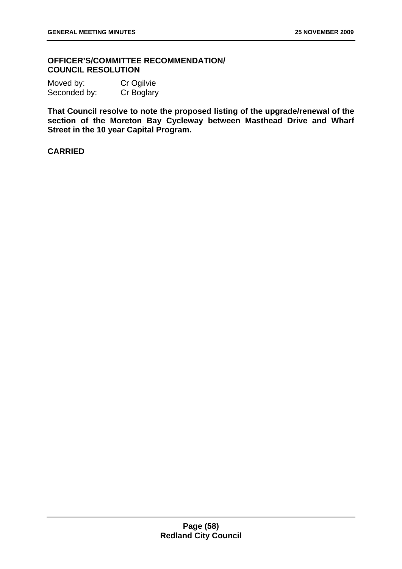## **OFFICER'S/COMMITTEE RECOMMENDATION/ COUNCIL RESOLUTION**

Moved by: Cr Ogilvie Seconded by: Cr Boglary

**That Council resolve to note the proposed listing of the upgrade/renewal of the section of the Moreton Bay Cycleway between Masthead Drive and Wharf Street in the 10 year Capital Program.** 

### **CARRIED**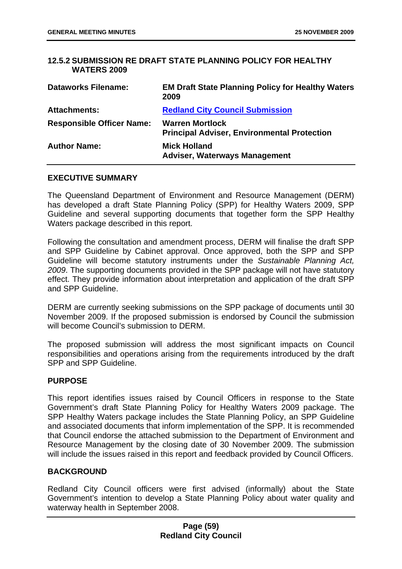## **12.5.2 SUBMISSION RE DRAFT STATE PLANNING POLICY FOR HEALTHY WATERS 2009**

| <b>Dataworks Filename:</b>       | <b>EM Draft State Planning Policy for Healthy Waters</b><br>2009             |
|----------------------------------|------------------------------------------------------------------------------|
| <b>Attachments:</b>              | <b>Redland City Council Submission</b>                                       |
| <b>Responsible Officer Name:</b> | <b>Warren Mortlock</b><br><b>Principal Adviser, Environmental Protection</b> |
| <b>Author Name:</b>              | <b>Mick Holland</b><br><b>Adviser, Waterways Management</b>                  |

### **EXECUTIVE SUMMARY**

The Queensland Department of Environment and Resource Management (DERM) has developed a draft State Planning Policy (SPP) for Healthy Waters 2009, SPP Guideline and several supporting documents that together form the SPP Healthy Waters package described in this report.

Following the consultation and amendment process, DERM will finalise the draft SPP and SPP Guideline by Cabinet approval. Once approved, both the SPP and SPP Guideline will become statutory instruments under the *Sustainable Planning Act, 2009*. The supporting documents provided in the SPP package will not have statutory effect. They provide information about interpretation and application of the draft SPP and SPP Guideline.

DERM are currently seeking submissions on the SPP package of documents until 30 November 2009. If the proposed submission is endorsed by Council the submission will become Council's submission to DERM.

The proposed submission will address the most significant impacts on Council responsibilities and operations arising from the requirements introduced by the draft SPP and SPP Guideline.

### **PURPOSE**

This report identifies issues raised by Council Officers in response to the State Government's draft State Planning Policy for Healthy Waters 2009 package. The SPP Healthy Waters package includes the State Planning Policy, an SPP Guideline and associated documents that inform implementation of the SPP. It is recommended that Council endorse the attached submission to the Department of Environment and Resource Management by the closing date of 30 November 2009. The submission will include the issues raised in this report and feedback provided by Council Officers.

### **BACKGROUND**

Redland City Council officers were first advised (informally) about the State Government's intention to develop a State Planning Policy about water quality and waterway health in September 2008.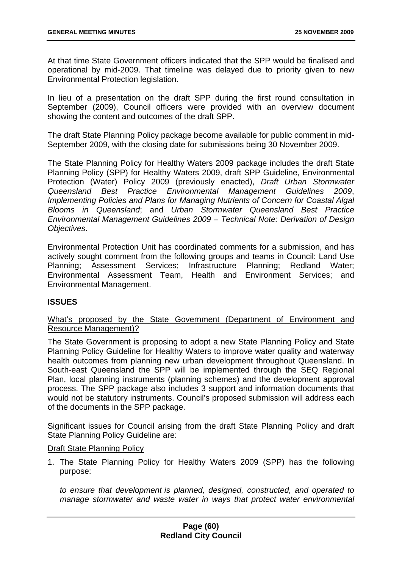At that time State Government officers indicated that the SPP would be finalised and operational by mid-2009. That timeline was delayed due to priority given to new Environmental Protection legislation.

In lieu of a presentation on the draft SPP during the first round consultation in September (2009), Council officers were provided with an overview document showing the content and outcomes of the draft SPP.

The draft State Planning Policy package become available for public comment in mid-September 2009, with the closing date for submissions being 30 November 2009.

The State Planning Policy for Healthy Waters 2009 package includes the draft State Planning Policy (SPP) for Healthy Waters 2009, draft SPP Guideline, Environmental Protection (Water) Policy 2009 (previously enacted), *Draft Urban Stormwater Queensland Best Practice Environmental Management Guidelines 2009*, *Implementing Policies and Plans for Managing Nutrients of Concern for Coastal Algal Blooms in Queensland*; and *Urban Stormwater Queensland Best Practice Environmental Management Guidelines 2009 – Technical Note: Derivation of Design Objectives*.

Environmental Protection Unit has coordinated comments for a submission, and has actively sought comment from the following groups and teams in Council: Land Use Planning; Assessment Services; Infrastructure Planning; Redland Water; Environmental Assessment Team, Health and Environment Services; and Environmental Management.

# **ISSUES**

What's proposed by the State Government (Department of Environment and Resource Management)?

The State Government is proposing to adopt a new State Planning Policy and State Planning Policy Guideline for Healthy Waters to improve water quality and waterway health outcomes from planning new urban development throughout Queensland. In South-east Queensland the SPP will be implemented through the SEQ Regional Plan, local planning instruments (planning schemes) and the development approval process. The SPP package also includes 3 support and information documents that would not be statutory instruments. Council's proposed submission will address each of the documents in the SPP package.

Significant issues for Council arising from the draft State Planning Policy and draft State Planning Policy Guideline are:

### Draft State Planning Policy

1. The State Planning Policy for Healthy Waters 2009 (SPP) has the following purpose:

*to ensure that development is planned, designed, constructed, and operated to manage stormwater and waste water in ways that protect water environmental*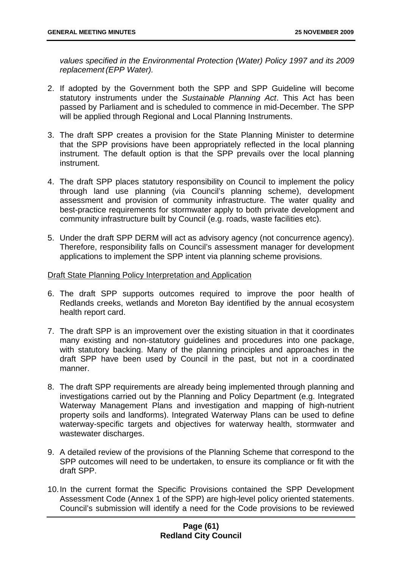*values specified in the Environmental Protection (Water) Policy 1997 and its 2009 replacement (EPP Water).* 

- 2. If adopted by the Government both the SPP and SPP Guideline will become statutory instruments under the *Sustainable Planning Act*. This Act has been passed by Parliament and is scheduled to commence in mid-December. The SPP will be applied through Regional and Local Planning Instruments.
- 3. The draft SPP creates a provision for the State Planning Minister to determine that the SPP provisions have been appropriately reflected in the local planning instrument. The default option is that the SPP prevails over the local planning instrument.
- 4. The draft SPP places statutory responsibility on Council to implement the policy through land use planning (via Council's planning scheme), development assessment and provision of community infrastructure. The water quality and best-practice requirements for stormwater apply to both private development and community infrastructure built by Council (e.g. roads, waste facilities etc).
- 5. Under the draft SPP DERM will act as advisory agency (not concurrence agency). Therefore, responsibility falls on Council's assessment manager for development applications to implement the SPP intent via planning scheme provisions.

### Draft State Planning Policy Interpretation and Application

- 6. The draft SPP supports outcomes required to improve the poor health of Redlands creeks, wetlands and Moreton Bay identified by the annual ecosystem health report card.
- 7. The draft SPP is an improvement over the existing situation in that it coordinates many existing and non-statutory guidelines and procedures into one package, with statutory backing. Many of the planning principles and approaches in the draft SPP have been used by Council in the past, but not in a coordinated manner.
- 8. The draft SPP requirements are already being implemented through planning and investigations carried out by the Planning and Policy Department (e.g. Integrated Waterway Management Plans and investigation and mapping of high-nutrient property soils and landforms). Integrated Waterway Plans can be used to define waterway-specific targets and objectives for waterway health, stormwater and wastewater discharges.
- 9. A detailed review of the provisions of the Planning Scheme that correspond to the SPP outcomes will need to be undertaken, to ensure its compliance or fit with the draft SPP.
- 10. In the current format the Specific Provisions contained the SPP Development Assessment Code (Annex 1 of the SPP) are high-level policy oriented statements. Council's submission will identify a need for the Code provisions to be reviewed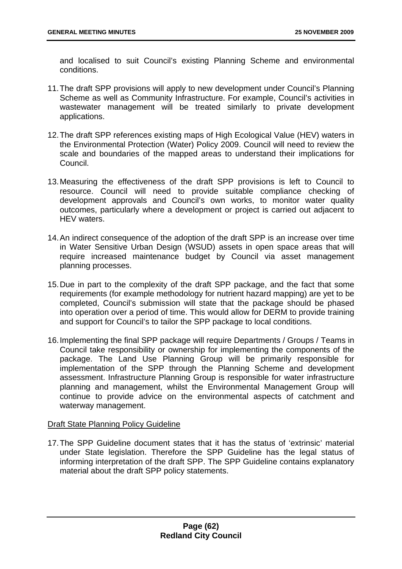and localised to suit Council's existing Planning Scheme and environmental conditions.

- 11. The draft SPP provisions will apply to new development under Council's Planning Scheme as well as Community Infrastructure. For example, Council's activities in wastewater management will be treated similarly to private development applications.
- 12. The draft SPP references existing maps of High Ecological Value (HEV) waters in the Environmental Protection (Water) Policy 2009. Council will need to review the scale and boundaries of the mapped areas to understand their implications for Council.
- 13. Measuring the effectiveness of the draft SPP provisions is left to Council to resource. Council will need to provide suitable compliance checking of development approvals and Council's own works, to monitor water quality outcomes, particularly where a development or project is carried out adjacent to HEV waters.
- 14. An indirect consequence of the adoption of the draft SPP is an increase over time in Water Sensitive Urban Design (WSUD) assets in open space areas that will require increased maintenance budget by Council via asset management planning processes.
- 15. Due in part to the complexity of the draft SPP package, and the fact that some requirements (for example methodology for nutrient hazard mapping) are yet to be completed, Council's submission will state that the package should be phased into operation over a period of time. This would allow for DERM to provide training and support for Council's to tailor the SPP package to local conditions.
- 16. Implementing the final SPP package will require Departments / Groups / Teams in Council take responsibility or ownership for implementing the components of the package. The Land Use Planning Group will be primarily responsible for implementation of the SPP through the Planning Scheme and development assessment. Infrastructure Planning Group is responsible for water infrastructure planning and management, whilst the Environmental Management Group will continue to provide advice on the environmental aspects of catchment and waterway management.

## **Draft State Planning Policy Guideline**

17. The SPP Guideline document states that it has the status of 'extrinsic' material under State legislation. Therefore the SPP Guideline has the legal status of informing interpretation of the draft SPP. The SPP Guideline contains explanatory material about the draft SPP policy statements.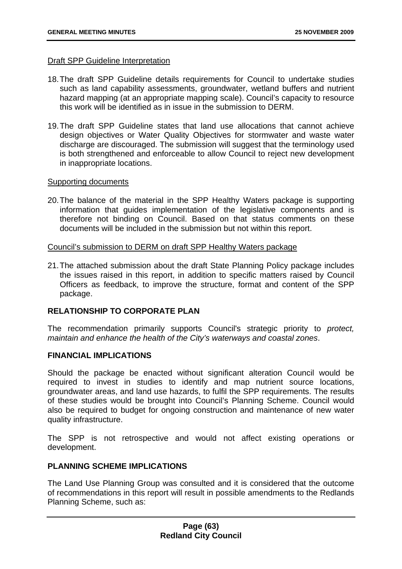#### Draft SPP Guideline Interpretation

- 18. The draft SPP Guideline details requirements for Council to undertake studies such as land capability assessments, groundwater, wetland buffers and nutrient hazard mapping (at an appropriate mapping scale). Council's capacity to resource this work will be identified as in issue in the submission to DERM.
- 19. The draft SPP Guideline states that land use allocations that cannot achieve design objectives or Water Quality Objectives for stormwater and waste water discharge are discouraged. The submission will suggest that the terminology used is both strengthened and enforceable to allow Council to reject new development in inappropriate locations.

### Supporting documents

20. The balance of the material in the SPP Healthy Waters package is supporting information that guides implementation of the legislative components and is therefore not binding on Council. Based on that status comments on these documents will be included in the submission but not within this report.

Council's submission to DERM on draft SPP Healthy Waters package

21. The attached submission about the draft State Planning Policy package includes the issues raised in this report, in addition to specific matters raised by Council Officers as feedback, to improve the structure, format and content of the SPP package.

### **RELATIONSHIP TO CORPORATE PLAN**

The recommendation primarily supports Council's strategic priority to *protect, maintain and enhance the health of the City's waterways and coastal zones*.

### **FINANCIAL IMPLICATIONS**

Should the package be enacted without significant alteration Council would be required to invest in studies to identify and map nutrient source locations, groundwater areas, and land use hazards, to fulfil the SPP requirements. The results of these studies would be brought into Council's Planning Scheme. Council would also be required to budget for ongoing construction and maintenance of new water quality infrastructure.

The SPP is not retrospective and would not affect existing operations or development.

## **PLANNING SCHEME IMPLICATIONS**

The Land Use Planning Group was consulted and it is considered that the outcome of recommendations in this report will result in possible amendments to the Redlands Planning Scheme, such as: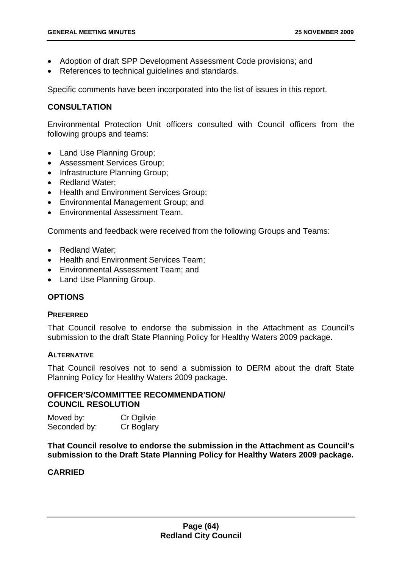- Adoption of draft SPP Development Assessment Code provisions; and
- References to technical guidelines and standards.

Specific comments have been incorporated into the list of issues in this report.

## **CONSULTATION**

Environmental Protection Unit officers consulted with Council officers from the following groups and teams:

- Land Use Planning Group;
- Assessment Services Group;
- Infrastructure Planning Group;
- Redland Water;
- Health and Environment Services Group;
- Environmental Management Group; and
- Environmental Assessment Team.

Comments and feedback were received from the following Groups and Teams:

- Redland Water;
- Health and Environment Services Team;
- Environmental Assessment Team; and
- Land Use Planning Group.

# **OPTIONS**

### **PREFERRED**

That Council resolve to endorse the submission in the Attachment as Council's submission to the draft State Planning Policy for Healthy Waters 2009 package.

### **ALTERNATIVE**

That Council resolves not to send a submission to DERM about the draft State Planning Policy for Healthy Waters 2009 package.

### **OFFICER'S/COMMITTEE RECOMMENDATION/ COUNCIL RESOLUTION**

| Moved by:    | Cr Ogilvie |
|--------------|------------|
| Seconded by: | Cr Boglary |

**That Council resolve to endorse the submission in the Attachment as Council's submission to the Draft State Planning Policy for Healthy Waters 2009 package.** 

# **CARRIED**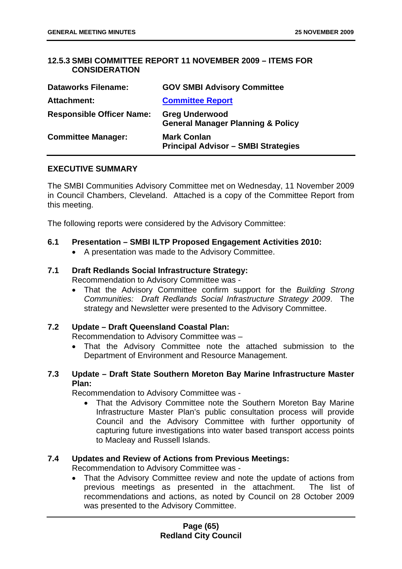# **12.5.3 SMBI COMMITTEE REPORT 11 NOVEMBER 2009 – ITEMS FOR CONSIDERATION**

| <b>Dataworks Filename:</b>       | <b>GOV SMBI Advisory Committee</b>                                    |
|----------------------------------|-----------------------------------------------------------------------|
| <b>Attachment:</b>               | <b>Committee Report</b>                                               |
| <b>Responsible Officer Name:</b> | <b>Greg Underwood</b><br><b>General Manager Planning &amp; Policy</b> |
| <b>Committee Manager:</b>        | <b>Mark Conlan</b><br><b>Principal Advisor - SMBI Strategies</b>      |

## **EXECUTIVE SUMMARY**

The SMBI Communities Advisory Committee met on Wednesday, 11 November 2009 in Council Chambers, Cleveland. Attached is a copy of the Committee Report from this meeting.

The following reports were considered by the Advisory Committee:

### **6.1 Presentation – SMBI ILTP Proposed Engagement Activities 2010:**

• A presentation was made to the Advisory Committee.

# **7.1 Draft Redlands Social Infrastructure Strategy:**

Recommendation to Advisory Committee was -

• That the Advisory Committee confirm support for the *Building Strong Communities: Draft Redlands Social Infrastructure Strategy 2009*. The strategy and Newsletter were presented to the Advisory Committee.

### **7.2 Update – Draft Queensland Coastal Plan:**

Recommendation to Advisory Committee was –

• That the Advisory Committee note the attached submission to the Department of Environment and Resource Management.

## **7.3 Update – Draft State Southern Moreton Bay Marine Infrastructure Master Plan:**

Recommendation to Advisory Committee was -

• That the Advisory Committee note the Southern Moreton Bay Marine Infrastructure Master Plan's public consultation process will provide Council and the Advisory Committee with further opportunity of capturing future investigations into water based transport access points to Macleay and Russell Islands.

# **7.4 Updates and Review of Actions from Previous Meetings:**

Recommendation to Advisory Committee was -

• That the Advisory Committee review and note the update of actions from previous meetings as presented in the attachment. The list of recommendations and actions, as noted by Council on 28 October 2009 was presented to the Advisory Committee.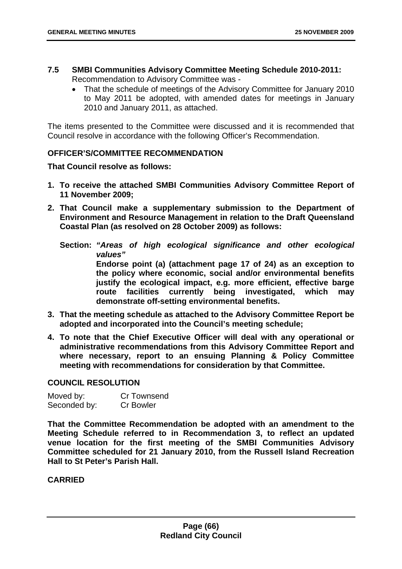- **7.5 SMBI Communities Advisory Committee Meeting Schedule 2010-2011:** Recommendation to Advisory Committee was -
	- That the schedule of meetings of the Advisory Committee for January 2010 to May 2011 be adopted, with amended dates for meetings in January 2010 and January 2011, as attached.

The items presented to the Committee were discussed and it is recommended that Council resolve in accordance with the following Officer's Recommendation.

## **OFFICER'S/COMMITTEE RECOMMENDATION**

**That Council resolve as follows:** 

- **1. To receive the attached SMBI Communities Advisory Committee Report of 11 November 2009;**
- **2. That Council make a supplementary submission to the Department of Environment and Resource Management in relation to the Draft Queensland Coastal Plan (as resolved on 28 October 2009) as follows:** 
	- **Section:** *"Areas of high ecological significance and other ecological values"* **Endorse point (a) (attachment page 17 of 24) as an exception to the policy where economic, social and/or environmental benefits justify the ecological impact, e.g. more efficient, effective barge route facilities currently being investigated, which may demonstrate off-setting environmental benefits.**
- **3. That the meeting schedule as attached to the Advisory Committee Report be adopted and incorporated into the Council's meeting schedule;**
- **4. To note that the Chief Executive Officer will deal with any operational or administrative recommendations from this Advisory Committee Report and where necessary, report to an ensuing Planning & Policy Committee meeting with recommendations for consideration by that Committee.**

## **COUNCIL RESOLUTION**

| Moved by:    | Cr Townsend      |
|--------------|------------------|
| Seconded by: | <b>Cr Bowler</b> |

**That the Committee Recommendation be adopted with an amendment to the Meeting Schedule referred to in Recommendation 3, to reflect an updated venue location for the first meeting of the SMBI Communities Advisory Committee scheduled for 21 January 2010, from the Russell Island Recreation Hall to St Peter's Parish Hall.** 

**CARRIED**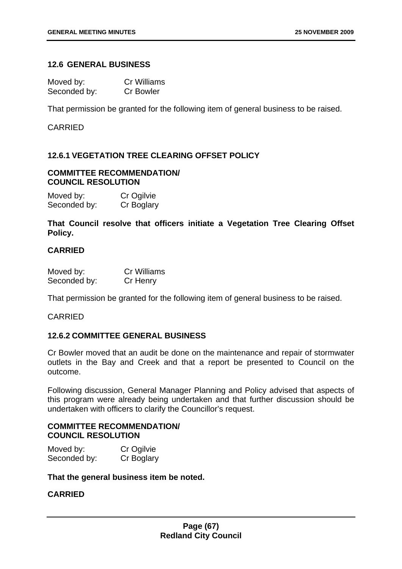## **12.6 GENERAL BUSINESS**

| Moved by:    | <b>Cr Williams</b> |
|--------------|--------------------|
| Seconded by: | <b>Cr Bowler</b>   |

That permission be granted for the following item of general business to be raised.

### CARRIED

## **12.6.1 VEGETATION TREE CLEARING OFFSET POLICY**

## **COMMITTEE RECOMMENDATION/ COUNCIL RESOLUTION**

| Moved by:    | Cr Ogilvie |
|--------------|------------|
| Seconded by: | Cr Boglary |

**That Council resolve that officers initiate a Vegetation Tree Clearing Offset Policy.** 

## **CARRIED**

| Moved by:    | <b>Cr Williams</b> |
|--------------|--------------------|
| Seconded by: | Cr Henry           |

That permission be granted for the following item of general business to be raised.

### CARRIED

## **12.6.2 COMMITTEE GENERAL BUSINESS**

Cr Bowler moved that an audit be done on the maintenance and repair of stormwater outlets in the Bay and Creek and that a report be presented to Council on the outcome.

Following discussion, General Manager Planning and Policy advised that aspects of this program were already being undertaken and that further discussion should be undertaken with officers to clarify the Councillor's request.

## **COMMITTEE RECOMMENDATION/ COUNCIL RESOLUTION**

| Moved by:    | Cr Ogilvie |
|--------------|------------|
| Seconded by: | Cr Boglary |

**That the general business item be noted.** 

# **CARRIED**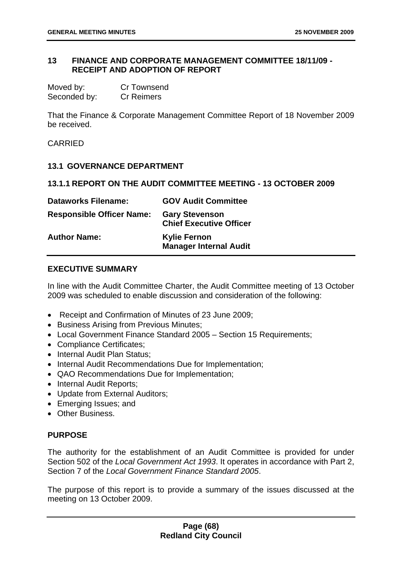## **13 FINANCE AND CORPORATE MANAGEMENT COMMITTEE 18/11/09 - RECEIPT AND ADOPTION OF REPORT**

| Moved by:    | Cr Townsend       |
|--------------|-------------------|
| Seconded by: | <b>Cr Reimers</b> |

That the Finance & Corporate Management Committee Report of 18 November 2009 be received.

### **CARRIED**

### **13.1 GOVERNANCE DEPARTMENT**

#### **13.1.1 REPORT ON THE AUDIT COMMITTEE MEETING - 13 OCTOBER 2009**

| <b>Dataworks Filename:</b>       | <b>GOV Audit Committee</b>                              |
|----------------------------------|---------------------------------------------------------|
| <b>Responsible Officer Name:</b> | <b>Gary Stevenson</b><br><b>Chief Executive Officer</b> |
| <b>Author Name:</b>              | <b>Kylie Fernon</b><br><b>Manager Internal Audit</b>    |

#### **EXECUTIVE SUMMARY**

In line with the Audit Committee Charter, the Audit Committee meeting of 13 October 2009 was scheduled to enable discussion and consideration of the following:

- Receipt and Confirmation of Minutes of 23 June 2009;
- Business Arising from Previous Minutes;
- Local Government Finance Standard 2005 Section 15 Requirements;
- Compliance Certificates;
- Internal Audit Plan Status;
- Internal Audit Recommendations Due for Implementation;
- QAO Recommendations Due for Implementation;
- Internal Audit Reports;
- Update from External Auditors;
- Emerging Issues; and
- Other Business.

#### **PURPOSE**

The authority for the establishment of an Audit Committee is provided for under Section 502 of the *Local Government Act 1993*. It operates in accordance with Part 2, Section 7 of the *Local Government Finance Standard 2005*.

The purpose of this report is to provide a summary of the issues discussed at the meeting on 13 October 2009.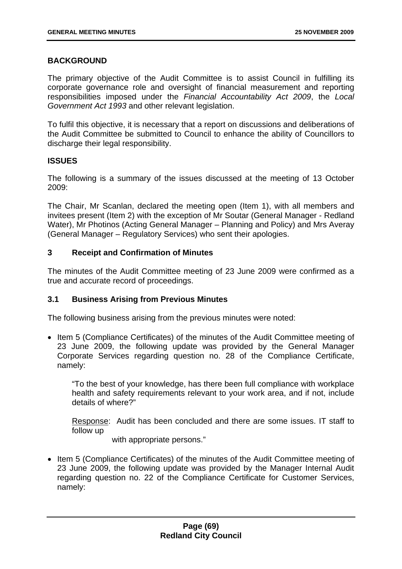## **BACKGROUND**

The primary objective of the Audit Committee is to assist Council in fulfilling its corporate governance role and oversight of financial measurement and reporting responsibilities imposed under the *Financial Accountability Act 2009*, the *Local Government Act 1993* and other relevant legislation.

To fulfil this objective, it is necessary that a report on discussions and deliberations of the Audit Committee be submitted to Council to enhance the ability of Councillors to discharge their legal responsibility.

### **ISSUES**

The following is a summary of the issues discussed at the meeting of 13 October 2009:

The Chair, Mr Scanlan, declared the meeting open (Item 1), with all members and invitees present (Item 2) with the exception of Mr Soutar (General Manager - Redland Water), Mr Photinos (Acting General Manager – Planning and Policy) and Mrs Averay (General Manager – Regulatory Services) who sent their apologies.

## **3 Receipt and Confirmation of Minutes**

The minutes of the Audit Committee meeting of 23 June 2009 were confirmed as a true and accurate record of proceedings.

# **3.1 Business Arising from Previous Minutes**

The following business arising from the previous minutes were noted:

• Item 5 (Compliance Certificates) of the minutes of the Audit Committee meeting of 23 June 2009, the following update was provided by the General Manager Corporate Services regarding question no. 28 of the Compliance Certificate, namely:

"To the best of your knowledge, has there been full compliance with workplace health and safety requirements relevant to your work area, and if not, include details of where?"

Response: Audit has been concluded and there are some issues. IT staff to follow up

with appropriate persons."

• Item 5 (Compliance Certificates) of the minutes of the Audit Committee meeting of 23 June 2009, the following update was provided by the Manager Internal Audit regarding question no. 22 of the Compliance Certificate for Customer Services, namely: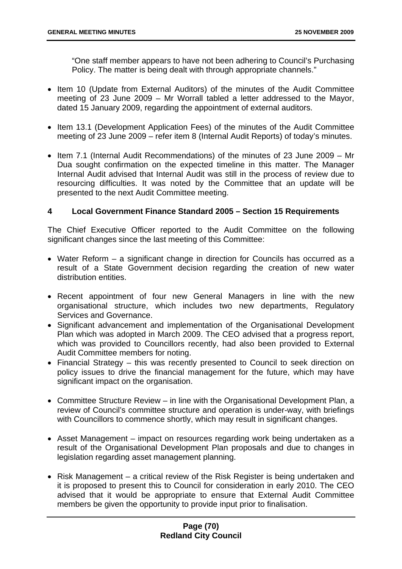"One staff member appears to have not been adhering to Council's Purchasing Policy. The matter is being dealt with through appropriate channels."

- Item 10 (Update from External Auditors) of the minutes of the Audit Committee meeting of 23 June 2009 – Mr Worrall tabled a letter addressed to the Mayor, dated 15 January 2009, regarding the appointment of external auditors.
- Item 13.1 (Development Application Fees) of the minutes of the Audit Committee meeting of 23 June 2009 – refer item 8 (Internal Audit Reports) of today's minutes.
- Item 7.1 (Internal Audit Recommendations) of the minutes of 23 June 2009 Mr Dua sought confirmation on the expected timeline in this matter. The Manager Internal Audit advised that Internal Audit was still in the process of review due to resourcing difficulties. It was noted by the Committee that an update will be presented to the next Audit Committee meeting.

## **4 Local Government Finance Standard 2005 – Section 15 Requirements**

The Chief Executive Officer reported to the Audit Committee on the following significant changes since the last meeting of this Committee:

- Water Reform a significant change in direction for Councils has occurred as a result of a State Government decision regarding the creation of new water distribution entities.
- Recent appointment of four new General Managers in line with the new organisational structure, which includes two new departments, Regulatory Services and Governance.
- Significant advancement and implementation of the Organisational Development Plan which was adopted in March 2009. The CEO advised that a progress report, which was provided to Councillors recently, had also been provided to External Audit Committee members for noting.
- Financial Strategy this was recently presented to Council to seek direction on policy issues to drive the financial management for the future, which may have significant impact on the organisation.
- Committee Structure Review in line with the Organisational Development Plan, a review of Council's committee structure and operation is under-way, with briefings with Councillors to commence shortly, which may result in significant changes.
- Asset Management impact on resources regarding work being undertaken as a result of the Organisational Development Plan proposals and due to changes in legislation regarding asset management planning.
- Risk Management a critical review of the Risk Register is being undertaken and it is proposed to present this to Council for consideration in early 2010. The CEO advised that it would be appropriate to ensure that External Audit Committee members be given the opportunity to provide input prior to finalisation.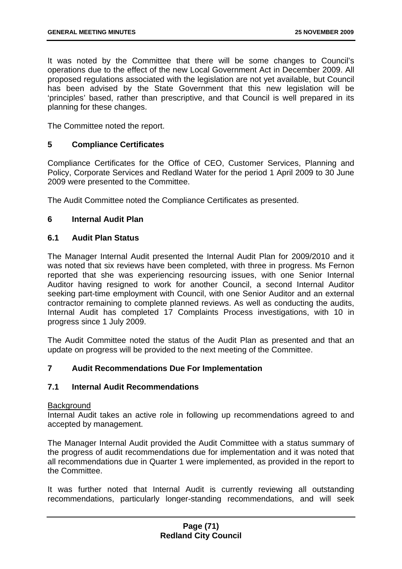It was noted by the Committee that there will be some changes to Council's operations due to the effect of the new Local Government Act in December 2009. All proposed regulations associated with the legislation are not yet available, but Council has been advised by the State Government that this new legislation will be 'principles' based, rather than prescriptive, and that Council is well prepared in its planning for these changes.

The Committee noted the report.

## **5 Compliance Certificates**

Compliance Certificates for the Office of CEO, Customer Services, Planning and Policy, Corporate Services and Redland Water for the period 1 April 2009 to 30 June 2009 were presented to the Committee.

The Audit Committee noted the Compliance Certificates as presented.

## **6 Internal Audit Plan**

## **6.1 Audit Plan Status**

The Manager Internal Audit presented the Internal Audit Plan for 2009/2010 and it was noted that six reviews have been completed, with three in progress. Ms Fernon reported that she was experiencing resourcing issues, with one Senior Internal Auditor having resigned to work for another Council, a second Internal Auditor seeking part-time employment with Council, with one Senior Auditor and an external contractor remaining to complete planned reviews. As well as conducting the audits, Internal Audit has completed 17 Complaints Process investigations, with 10 in progress since 1 July 2009.

The Audit Committee noted the status of the Audit Plan as presented and that an update on progress will be provided to the next meeting of the Committee.

# **7 Audit Recommendations Due For Implementation**

## **7.1 Internal Audit Recommendations**

### **Background**

Internal Audit takes an active role in following up recommendations agreed to and accepted by management.

The Manager Internal Audit provided the Audit Committee with a status summary of the progress of audit recommendations due for implementation and it was noted that all recommendations due in Quarter 1 were implemented, as provided in the report to the Committee.

It was further noted that Internal Audit is currently reviewing all outstanding recommendations, particularly longer-standing recommendations, and will seek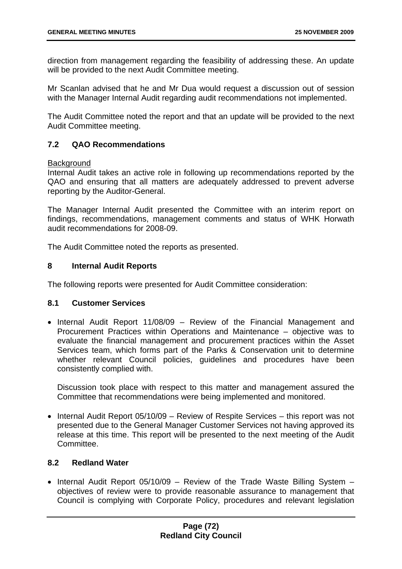direction from management regarding the feasibility of addressing these. An update will be provided to the next Audit Committee meeting.

Mr Scanlan advised that he and Mr Dua would request a discussion out of session with the Manager Internal Audit regarding audit recommendations not implemented.

The Audit Committee noted the report and that an update will be provided to the next Audit Committee meeting.

### **7.2 QAO Recommendations**

#### **Background**

Internal Audit takes an active role in following up recommendations reported by the QAO and ensuring that all matters are adequately addressed to prevent adverse reporting by the Auditor-General.

The Manager Internal Audit presented the Committee with an interim report on findings, recommendations, management comments and status of WHK Horwath audit recommendations for 2008-09.

The Audit Committee noted the reports as presented.

#### **8 Internal Audit Reports**

The following reports were presented for Audit Committee consideration:

#### **8.1 Customer Services**

• Internal Audit Report 11/08/09 – Review of the Financial Management and Procurement Practices within Operations and Maintenance – objective was to evaluate the financial management and procurement practices within the Asset Services team, which forms part of the Parks & Conservation unit to determine whether relevant Council policies, guidelines and procedures have been consistently complied with.

Discussion took place with respect to this matter and management assured the Committee that recommendations were being implemented and monitored.

• Internal Audit Report 05/10/09 – Review of Respite Services – this report was not presented due to the General Manager Customer Services not having approved its release at this time. This report will be presented to the next meeting of the Audit Committee.

## **8.2 Redland Water**

• Internal Audit Report 05/10/09 – Review of the Trade Waste Billing System – objectives of review were to provide reasonable assurance to management that Council is complying with Corporate Policy, procedures and relevant legislation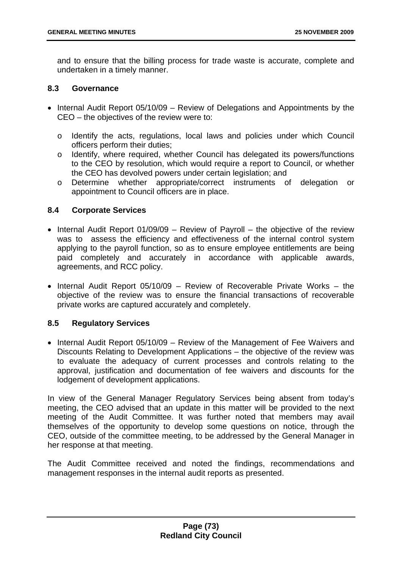and to ensure that the billing process for trade waste is accurate, complete and undertaken in a timely manner.

### **8.3 Governance**

- Internal Audit Report 05/10/09 Review of Delegations and Appointments by the CEO – the objectives of the review were to:
	- o Identify the acts, regulations, local laws and policies under which Council officers perform their duties;
	- o Identify, where required, whether Council has delegated its powers/functions to the CEO by resolution, which would require a report to Council, or whether the CEO has devolved powers under certain legislation; and
	- o Determine whether appropriate/correct instruments of delegation or appointment to Council officers are in place.

### **8.4 Corporate Services**

- Internal Audit Report 01/09/09 Review of Payroll the objective of the review was to assess the efficiency and effectiveness of the internal control system applying to the payroll function, so as to ensure employee entitlements are being paid completely and accurately in accordance with applicable awards, agreements, and RCC policy.
- Internal Audit Report 05/10/09 Review of Recoverable Private Works the objective of the review was to ensure the financial transactions of recoverable private works are captured accurately and completely.

## **8.5 Regulatory Services**

• Internal Audit Report 05/10/09 – Review of the Management of Fee Waivers and Discounts Relating to Development Applications – the objective of the review was to evaluate the adequacy of current processes and controls relating to the approval, justification and documentation of fee waivers and discounts for the lodgement of development applications.

In view of the General Manager Regulatory Services being absent from today's meeting, the CEO advised that an update in this matter will be provided to the next meeting of the Audit Committee. It was further noted that members may avail themselves of the opportunity to develop some questions on notice, through the CEO, outside of the committee meeting, to be addressed by the General Manager in her response at that meeting.

The Audit Committee received and noted the findings, recommendations and management responses in the internal audit reports as presented.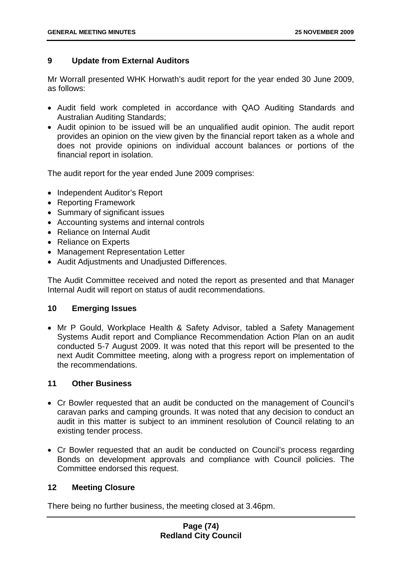## **9 Update from External Auditors**

Mr Worrall presented WHK Horwath's audit report for the year ended 30 June 2009, as follows:

- Audit field work completed in accordance with QAO Auditing Standards and Australian Auditing Standards;
- Audit opinion to be issued will be an unqualified audit opinion. The audit report provides an opinion on the view given by the financial report taken as a whole and does not provide opinions on individual account balances or portions of the financial report in isolation.

The audit report for the year ended June 2009 comprises:

- Independent Auditor's Report
- Reporting Framework
- Summary of significant issues
- Accounting systems and internal controls
- Reliance on Internal Audit
- Reliance on Experts
- Management Representation Letter
- Audit Adjustments and Unadjusted Differences.

The Audit Committee received and noted the report as presented and that Manager Internal Audit will report on status of audit recommendations.

## **10 Emerging Issues**

• Mr P Gould, Workplace Health & Safety Advisor, tabled a Safety Management Systems Audit report and Compliance Recommendation Action Plan on an audit conducted 5-7 August 2009. It was noted that this report will be presented to the next Audit Committee meeting, along with a progress report on implementation of the recommendations.

## **11 Other Business**

- Cr Bowler requested that an audit be conducted on the management of Council's caravan parks and camping grounds. It was noted that any decision to conduct an audit in this matter is subject to an imminent resolution of Council relating to an existing tender process.
- Cr Bowler requested that an audit be conducted on Council's process regarding Bonds on development approvals and compliance with Council policies. The Committee endorsed this request.

#### **12 Meeting Closure**

There being no further business, the meeting closed at 3.46pm.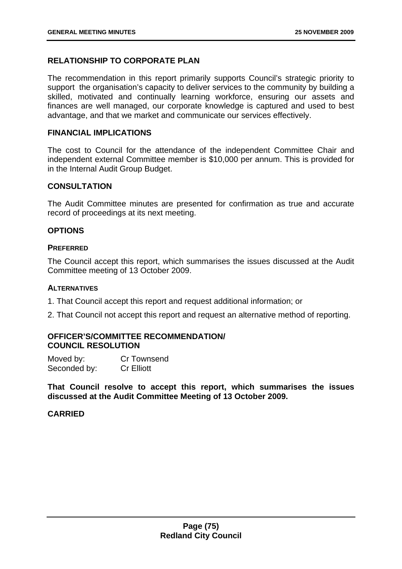## **RELATIONSHIP TO CORPORATE PLAN**

The recommendation in this report primarily supports Council's strategic priority to support the organisation's capacity to deliver services to the community by building a skilled, motivated and continually learning workforce, ensuring our assets and finances are well managed, our corporate knowledge is captured and used to best advantage, and that we market and communicate our services effectively.

#### **FINANCIAL IMPLICATIONS**

The cost to Council for the attendance of the independent Committee Chair and independent external Committee member is \$10,000 per annum. This is provided for in the Internal Audit Group Budget.

#### **CONSULTATION**

The Audit Committee minutes are presented for confirmation as true and accurate record of proceedings at its next meeting.

#### **OPTIONS**

#### **PREFERRED**

The Council accept this report, which summarises the issues discussed at the Audit Committee meeting of 13 October 2009.

#### **ALTERNATIVES**

1. That Council accept this report and request additional information; or

2. That Council not accept this report and request an alternative method of reporting.

### **OFFICER'S/COMMITTEE RECOMMENDATION/ COUNCIL RESOLUTION**

| Moved by:    | Cr Townsend       |
|--------------|-------------------|
| Seconded by: | <b>Cr Elliott</b> |

**That Council resolve to accept this report, which summarises the issues discussed at the Audit Committee Meeting of 13 October 2009.**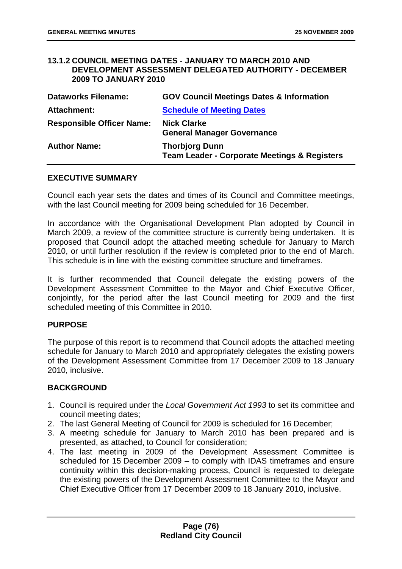#### **13.1.2 COUNCIL MEETING DATES - JANUARY TO MARCH 2010 AND DEVELOPMENT ASSESSMENT DELEGATED AUTHORITY - DECEMBER 2009 TO JANUARY 2010**

| <b>Dataworks Filename:</b>       | <b>GOV Council Meetings Dates &amp; Information</b>                              |
|----------------------------------|----------------------------------------------------------------------------------|
| Attachment:                      | <b>Schedule of Meeting Dates</b>                                                 |
| <b>Responsible Officer Name:</b> | <b>Nick Clarke</b><br><b>General Manager Governance</b>                          |
| <b>Author Name:</b>              | <b>Thorbjorg Dunn</b><br><b>Team Leader - Corporate Meetings &amp; Registers</b> |

#### **EXECUTIVE SUMMARY**

Council each year sets the dates and times of its Council and Committee meetings, with the last Council meeting for 2009 being scheduled for 16 December.

In accordance with the Organisational Development Plan adopted by Council in March 2009, a review of the committee structure is currently being undertaken. It is proposed that Council adopt the attached meeting schedule for January to March 2010, or until further resolution if the review is completed prior to the end of March. This schedule is in line with the existing committee structure and timeframes.

It is further recommended that Council delegate the existing powers of the Development Assessment Committee to the Mayor and Chief Executive Officer, conjointly, for the period after the last Council meeting for 2009 and the first scheduled meeting of this Committee in 2010.

#### **PURPOSE**

The purpose of this report is to recommend that Council adopts the attached meeting schedule for January to March 2010 and appropriately delegates the existing powers of the Development Assessment Committee from 17 December 2009 to 18 January 2010, inclusive.

#### **BACKGROUND**

- 1. Council is required under the *Local Government Act 1993* to set its committee and council meeting dates;
- 2. The last General Meeting of Council for 2009 is scheduled for 16 December;
- 3. A meeting schedule for January to March 2010 has been prepared and is presented, as attached, to Council for consideration;
- 4. The last meeting in 2009 of the Development Assessment Committee is scheduled for 15 December 2009 – to comply with IDAS timeframes and ensure continuity within this decision-making process, Council is requested to delegate the existing powers of the Development Assessment Committee to the Mayor and Chief Executive Officer from 17 December 2009 to 18 January 2010, inclusive.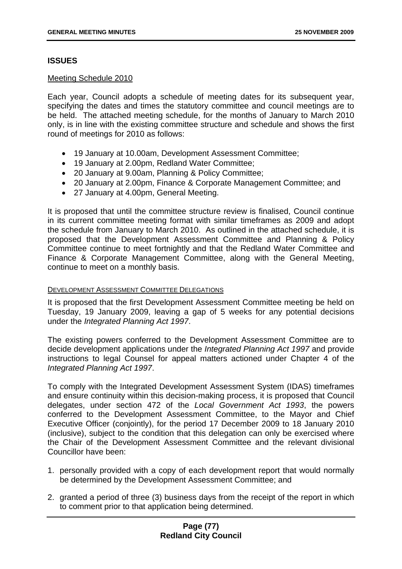## **ISSUES**

#### Meeting Schedule 2010

Each year, Council adopts a schedule of meeting dates for its subsequent year, specifying the dates and times the statutory committee and council meetings are to be held. The attached meeting schedule, for the months of January to March 2010 only, is in line with the existing committee structure and schedule and shows the first round of meetings for 2010 as follows:

- 19 January at 10.00am, Development Assessment Committee;
- 19 January at 2.00pm, Redland Water Committee:
- 20 January at 9.00am, Planning & Policy Committee;
- 20 January at 2.00pm, Finance & Corporate Management Committee; and
- 27 January at 4.00pm, General Meeting.

It is proposed that until the committee structure review is finalised, Council continue in its current committee meeting format with similar timeframes as 2009 and adopt the schedule from January to March 2010. As outlined in the attached schedule, it is proposed that the Development Assessment Committee and Planning & Policy Committee continue to meet fortnightly and that the Redland Water Committee and Finance & Corporate Management Committee, along with the General Meeting, continue to meet on a monthly basis.

#### DEVELOPMENT ASSESSMENT COMMITTEE DELEGATIONS

It is proposed that the first Development Assessment Committee meeting be held on Tuesday, 19 January 2009, leaving a gap of 5 weeks for any potential decisions under the *Integrated Planning Act 1997*.

The existing powers conferred to the Development Assessment Committee are to decide development applications under the *Integrated Planning Act 1997* and provide instructions to legal Counsel for appeal matters actioned under Chapter 4 of the *Integrated Planning Act 1997*.

To comply with the Integrated Development Assessment System (IDAS) timeframes and ensure continuity within this decision-making process, it is proposed that Council delegates, under section 472 of the *Local Government Act 1993*, the powers conferred to the Development Assessment Committee, to the Mayor and Chief Executive Officer (conjointly), for the period 17 December 2009 to 18 January 2010 (inclusive), subject to the condition that this delegation can only be exercised where the Chair of the Development Assessment Committee and the relevant divisional Councillor have been:

- 1. personally provided with a copy of each development report that would normally be determined by the Development Assessment Committee; and
- 2. granted a period of three (3) business days from the receipt of the report in which to comment prior to that application being determined.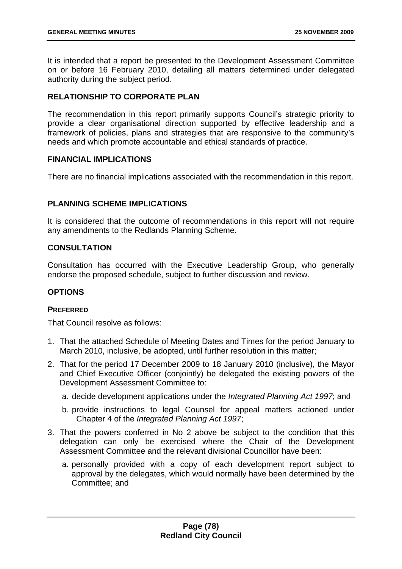It is intended that a report be presented to the Development Assessment Committee on or before 16 February 2010, detailing all matters determined under delegated authority during the subject period.

## **RELATIONSHIP TO CORPORATE PLAN**

The recommendation in this report primarily supports Council's strategic priority to provide a clear organisational direction supported by effective leadership and a framework of policies, plans and strategies that are responsive to the community's needs and which promote accountable and ethical standards of practice.

### **FINANCIAL IMPLICATIONS**

There are no financial implications associated with the recommendation in this report.

# **PLANNING SCHEME IMPLICATIONS**

It is considered that the outcome of recommendations in this report will not require any amendments to the Redlands Planning Scheme.

## **CONSULTATION**

Consultation has occurred with the Executive Leadership Group, who generally endorse the proposed schedule, subject to further discussion and review.

### **OPTIONS**

#### **PREFERRED**

That Council resolve as follows:

- 1. That the attached Schedule of Meeting Dates and Times for the period January to March 2010, inclusive, be adopted, until further resolution in this matter;
- 2. That for the period 17 December 2009 to 18 January 2010 (inclusive), the Mayor and Chief Executive Officer (conjointly) be delegated the existing powers of the Development Assessment Committee to:
	- a. decide development applications under the *Integrated Planning Act 1997*; and
	- b. provide instructions to legal Counsel for appeal matters actioned under Chapter 4 of the *Integrated Planning Act 1997*;
- 3. That the powers conferred in No 2 above be subject to the condition that this delegation can only be exercised where the Chair of the Development Assessment Committee and the relevant divisional Councillor have been:
	- a. personally provided with a copy of each development report subject to approval by the delegates, which would normally have been determined by the Committee; and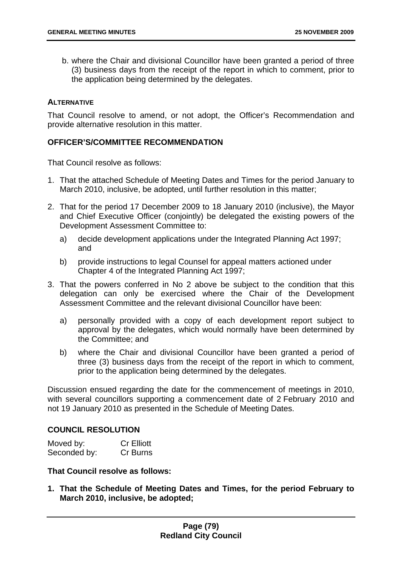b. where the Chair and divisional Councillor have been granted a period of three (3) business days from the receipt of the report in which to comment, prior to the application being determined by the delegates.

### **ALTERNATIVE**

That Council resolve to amend, or not adopt, the Officer's Recommendation and provide alternative resolution in this matter.

### **OFFICER'S/COMMITTEE RECOMMENDATION**

That Council resolve as follows:

- 1. That the attached Schedule of Meeting Dates and Times for the period January to March 2010, inclusive, be adopted, until further resolution in this matter;
- 2. That for the period 17 December 2009 to 18 January 2010 (inclusive), the Mayor and Chief Executive Officer (conjointly) be delegated the existing powers of the Development Assessment Committee to:
	- a) decide development applications under the Integrated Planning Act 1997; and
	- b) provide instructions to legal Counsel for appeal matters actioned under Chapter 4 of the Integrated Planning Act 1997;
- 3. That the powers conferred in No 2 above be subject to the condition that this delegation can only be exercised where the Chair of the Development Assessment Committee and the relevant divisional Councillor have been:
	- a) personally provided with a copy of each development report subject to approval by the delegates, which would normally have been determined by the Committee; and
	- b) where the Chair and divisional Councillor have been granted a period of three (3) business days from the receipt of the report in which to comment, prior to the application being determined by the delegates.

Discussion ensued regarding the date for the commencement of meetings in 2010, with several councillors supporting a commencement date of 2 February 2010 and not 19 January 2010 as presented in the Schedule of Meeting Dates.

### **COUNCIL RESOLUTION**

| Moved by:    | <b>Cr Elliott</b> |
|--------------|-------------------|
| Seconded by: | Cr Burns          |

### **That Council resolve as follows:**

**1. That the Schedule of Meeting Dates and Times, for the period February to March 2010, inclusive, be adopted;**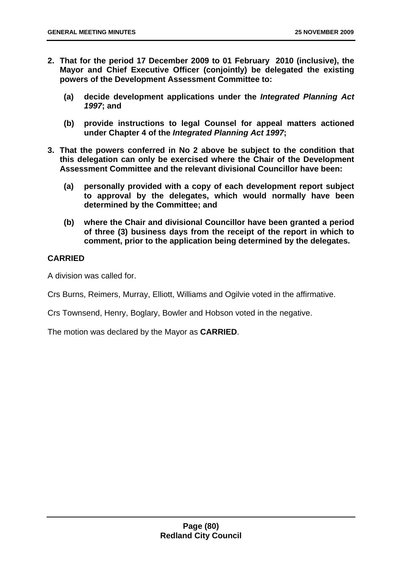- **2. That for the period 17 December 2009 to 01 February 2010 (inclusive), the Mayor and Chief Executive Officer (conjointly) be delegated the existing powers of the Development Assessment Committee to:** 
	- **(a) decide development applications under the** *Integrated Planning Act 1997***; and**
	- **(b) provide instructions to legal Counsel for appeal matters actioned under Chapter 4 of the** *Integrated Planning Act 1997***;**
- **3. That the powers conferred in No 2 above be subject to the condition that this delegation can only be exercised where the Chair of the Development Assessment Committee and the relevant divisional Councillor have been:** 
	- **(a) personally provided with a copy of each development report subject to approval by the delegates, which would normally have been determined by the Committee; and**
	- **(b) where the Chair and divisional Councillor have been granted a period of three (3) business days from the receipt of the report in which to comment, prior to the application being determined by the delegates.**

## **CARRIED**

A division was called for.

Crs Burns, Reimers, Murray, Elliott, Williams and Ogilvie voted in the affirmative.

Crs Townsend, Henry, Boglary, Bowler and Hobson voted in the negative.

The motion was declared by the Mayor as **CARRIED**.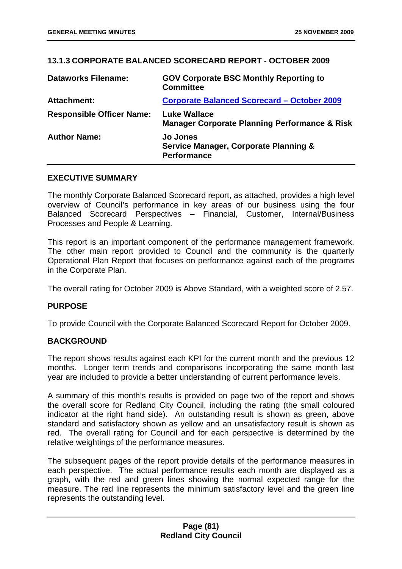## **13.1.3 CORPORATE BALANCED SCORECARD REPORT - OCTOBER 2009**

| <b>Dataworks Filename:</b>       | <b>GOV Corporate BSC Monthly Reporting to</b><br><b>Committee</b>                         |
|----------------------------------|-------------------------------------------------------------------------------------------|
| Attachment:                      | <b>Corporate Balanced Scorecard - October 2009</b>                                        |
| <b>Responsible Officer Name:</b> | <b>Luke Wallace</b><br><b>Manager Corporate Planning Performance &amp; Risk</b>           |
| <b>Author Name:</b>              | <b>Jo Jones</b><br><b>Service Manager, Corporate Planning &amp;</b><br><b>Performance</b> |

#### **EXECUTIVE SUMMARY**

The monthly Corporate Balanced Scorecard report, as attached, provides a high level overview of Council's performance in key areas of our business using the four Balanced Scorecard Perspectives – Financial, Customer, Internal/Business Processes and People & Learning.

This report is an important component of the performance management framework. The other main report provided to Council and the community is the quarterly Operational Plan Report that focuses on performance against each of the programs in the Corporate Plan.

The overall rating for October 2009 is Above Standard, with a weighted score of 2.57.

#### **PURPOSE**

To provide Council with the Corporate Balanced Scorecard Report for October 2009.

#### **BACKGROUND**

The report shows results against each KPI for the current month and the previous 12 months. Longer term trends and comparisons incorporating the same month last year are included to provide a better understanding of current performance levels.

A summary of this month's results is provided on page two of the report and shows the overall score for Redland City Council, including the rating (the small coloured indicator at the right hand side). An outstanding result is shown as green, above standard and satisfactory shown as yellow and an unsatisfactory result is shown as red. The overall rating for Council and for each perspective is determined by the relative weightings of the performance measures.

The subsequent pages of the report provide details of the performance measures in each perspective. The actual performance results each month are displayed as a graph, with the red and green lines showing the normal expected range for the measure. The red line represents the minimum satisfactory level and the green line represents the outstanding level.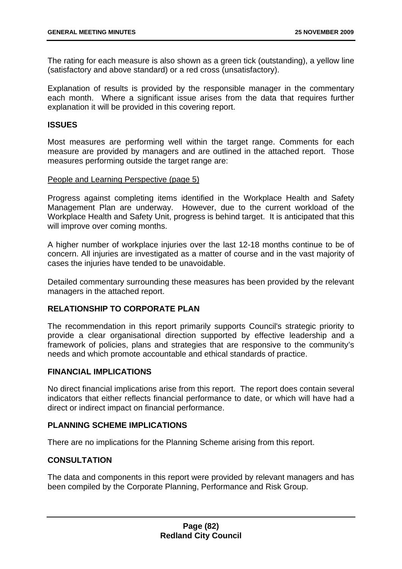The rating for each measure is also shown as a green tick (outstanding), a yellow line (satisfactory and above standard) or a red cross (unsatisfactory).

Explanation of results is provided by the responsible manager in the commentary each month. Where a significant issue arises from the data that requires further explanation it will be provided in this covering report.

#### **ISSUES**

Most measures are performing well within the target range. Comments for each measure are provided by managers and are outlined in the attached report. Those measures performing outside the target range are:

#### People and Learning Perspective (page 5)

Progress against completing items identified in the Workplace Health and Safety Management Plan are underway. However, due to the current workload of the Workplace Health and Safety Unit, progress is behind target. It is anticipated that this will improve over coming months.

A higher number of workplace injuries over the last 12-18 months continue to be of concern. All injuries are investigated as a matter of course and in the vast majority of cases the injuries have tended to be unavoidable.

Detailed commentary surrounding these measures has been provided by the relevant managers in the attached report.

#### **RELATIONSHIP TO CORPORATE PLAN**

The recommendation in this report primarily supports Council's strategic priority to provide a clear organisational direction supported by effective leadership and a framework of policies, plans and strategies that are responsive to the community's needs and which promote accountable and ethical standards of practice.

#### **FINANCIAL IMPLICATIONS**

No direct financial implications arise from this report. The report does contain several indicators that either reflects financial performance to date, or which will have had a direct or indirect impact on financial performance.

### **PLANNING SCHEME IMPLICATIONS**

There are no implications for the Planning Scheme arising from this report.

#### **CONSULTATION**

The data and components in this report were provided by relevant managers and has been compiled by the Corporate Planning, Performance and Risk Group.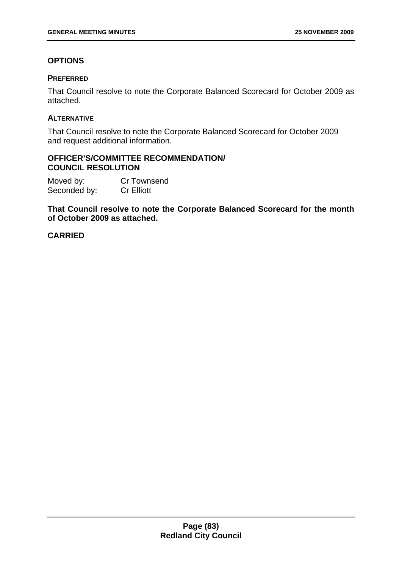# **OPTIONS**

## **PREFERRED**

That Council resolve to note the Corporate Balanced Scorecard for October 2009 as attached.

### **ALTERNATIVE**

That Council resolve to note the Corporate Balanced Scorecard for October 2009 and request additional information.

### **OFFICER'S/COMMITTEE RECOMMENDATION/ COUNCIL RESOLUTION**

Moved by: Cr Townsend Seconded by: Cr Elliott

**That Council resolve to note the Corporate Balanced Scorecard for the month of October 2009 as attached.**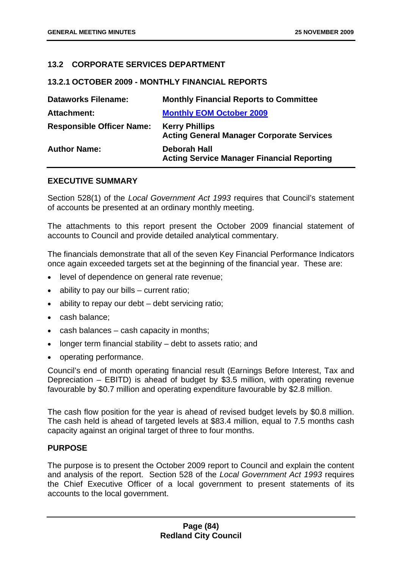### **13.2 CORPORATE SERVICES DEPARTMENT**

#### **13.2.1 OCTOBER 2009 - MONTHLY FINANCIAL REPORTS**

| <b>Dataworks Filename:</b>       | <b>Monthly Financial Reports to Committee</b>                             |
|----------------------------------|---------------------------------------------------------------------------|
| <b>Attachment:</b>               | <b>Monthly EOM October 2009</b>                                           |
| <b>Responsible Officer Name:</b> | <b>Kerry Phillips</b><br><b>Acting General Manager Corporate Services</b> |
| <b>Author Name:</b>              | <b>Deborah Hall</b><br><b>Acting Service Manager Financial Reporting</b>  |

#### **EXECUTIVE SUMMARY**

Section 528(1) of the *Local Government Act 1993* requires that Council's statement of accounts be presented at an ordinary monthly meeting.

The attachments to this report present the October 2009 financial statement of accounts to Council and provide detailed analytical commentary.

The financials demonstrate that all of the seven Key Financial Performance Indicators once again exceeded targets set at the beginning of the financial year. These are:

- level of dependence on general rate revenue;
- ability to pay our bills  $-$  current ratio;
- ability to repay our debt debt servicing ratio;
- cash balance;
- cash balances cash capacity in months;
- longer term financial stability debt to assets ratio; and
- operating performance.

Council's end of month operating financial result (Earnings Before Interest, Tax and Depreciation – EBITD) is ahead of budget by \$3.5 million, with operating revenue favourable by \$0.7 million and operating expenditure favourable by \$2.8 million.

The cash flow position for the year is ahead of revised budget levels by \$0.8 million. The cash held is ahead of targeted levels at \$83.4 million, equal to 7.5 months cash capacity against an original target of three to four months.

#### **PURPOSE**

The purpose is to present the October 2009 report to Council and explain the content and analysis of the report. Section 528 of the *Local Government Act 1993* requires the Chief Executive Officer of a local government to present statements of its accounts to the local government.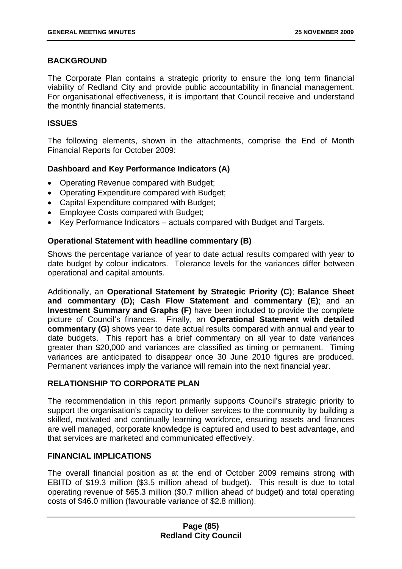## **BACKGROUND**

The Corporate Plan contains a strategic priority to ensure the long term financial viability of Redland City and provide public accountability in financial management. For organisational effectiveness, it is important that Council receive and understand the monthly financial statements.

### **ISSUES**

The following elements, shown in the attachments, comprise the End of Month Financial Reports for October 2009:

## **Dashboard and Key Performance Indicators (A)**

- Operating Revenue compared with Budget;
- Operating Expenditure compared with Budget;
- Capital Expenditure compared with Budget;
- Employee Costs compared with Budget;
- Key Performance Indicators actuals compared with Budget and Targets.

#### **Operational Statement with headline commentary (B)**

Shows the percentage variance of year to date actual results compared with year to date budget by colour indicators. Tolerance levels for the variances differ between operational and capital amounts.

Additionally, an **Operational Statement by Strategic Priority (C)**; **Balance Sheet and commentary (D); Cash Flow Statement and commentary (E)**; and an **Investment Summary and Graphs (F)** have been included to provide the complete picture of Council's finances.Finally, an **Operational Statement with detailed commentary (G)** shows year to date actual results compared with annual and year to date budgets. This report has a brief commentary on all year to date variances greater than \$20,000 and variances are classified as timing or permanent. Timing variances are anticipated to disappear once 30 June 2010 figures are produced. Permanent variances imply the variance will remain into the next financial year.

#### **RELATIONSHIP TO CORPORATE PLAN**

The recommendation in this report primarily supports Council's strategic priority to support the organisation's capacity to deliver services to the community by building a skilled, motivated and continually learning workforce, ensuring assets and finances are well managed, corporate knowledge is captured and used to best advantage, and that services are marketed and communicated effectively.

### **FINANCIAL IMPLICATIONS**

The overall financial position as at the end of October 2009 remains strong with EBITD of \$19.3 million (\$3.5 million ahead of budget). This result is due to total operating revenue of \$65.3 million (\$0.7 million ahead of budget) and total operating costs of \$46.0 million (favourable variance of \$2.8 million).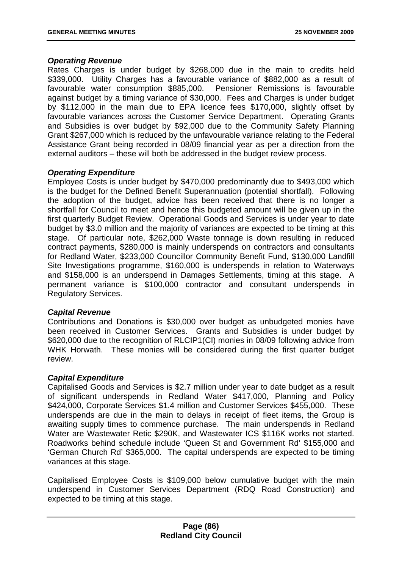#### *Operating Revenue*

Rates Charges is under budget by \$268,000 due in the main to credits held \$339,000. Utility Charges has a favourable variance of \$882,000 as a result of favourable water consumption \$885,000. Pensioner Remissions is favourable against budget by a timing variance of \$30,000. Fees and Charges is under budget by \$112,000 in the main due to EPA licence fees \$170,000, slightly offset by favourable variances across the Customer Service Department. Operating Grants and Subsidies is over budget by \$92,000 due to the Community Safety Planning Grant \$267,000 which is reduced by the unfavourable variance relating to the Federal Assistance Grant being recorded in 08/09 financial year as per a direction from the external auditors – these will both be addressed in the budget review process.

### *Operating Expenditure*

Employee Costs is under budget by \$470,000 predominantly due to \$493,000 which is the budget for the Defined Benefit Superannuation (potential shortfall). Following the adoption of the budget, advice has been received that there is no longer a shortfall for Council to meet and hence this budgeted amount will be given up in the first quarterly Budget Review. Operational Goods and Services is under year to date budget by \$3.0 million and the majority of variances are expected to be timing at this stage. Of particular note, \$262,000 Waste tonnage is down resulting in reduced contract payments, \$280,000 is mainly underspends on contractors and consultants for Redland Water, \$233,000 Councillor Community Benefit Fund, \$130,000 Landfill Site Investigations programme, \$160,000 is underspends in relation to Waterways and \$158,000 is an underspend in Damages Settlements, timing at this stage. A permanent variance is \$100,000 contractor and consultant underspends in Regulatory Services.

#### *Capital Revenue*

Contributions and Donations is \$30,000 over budget as unbudgeted monies have been received in Customer Services. Grants and Subsidies is under budget by \$620,000 due to the recognition of RLCIP1(CI) monies in 08/09 following advice from WHK Horwath. These monies will be considered during the first quarter budget review.

## *Capital Expenditure*

Capitalised Goods and Services is \$2.7 million under year to date budget as a result of significant underspends in Redland Water \$417,000, Planning and Policy \$424,000, Corporate Services \$1.4 million and Customer Services \$455,000. These underspends are due in the main to delays in receipt of fleet items, the Group is awaiting supply times to commence purchase. The main underspends in Redland Water are Wastewater Retic \$290K, and Wastewater ICS \$116K works not started. Roadworks behind schedule include 'Queen St and Government Rd' \$155,000 and 'German Church Rd' \$365,000. The capital underspends are expected to be timing variances at this stage.

Capitalised Employee Costs is \$109,000 below cumulative budget with the main underspend in Customer Services Department (RDQ Road Construction) and expected to be timing at this stage.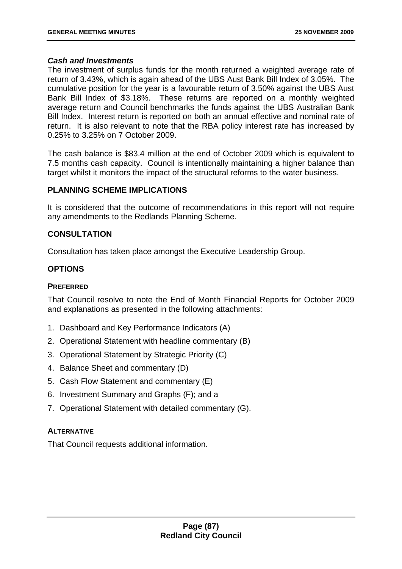## *Cash and Investments*

The investment of surplus funds for the month returned a weighted average rate of return of 3.43%, which is again ahead of the UBS Aust Bank Bill Index of 3.05%. The cumulative position for the year is a favourable return of 3.50% against the UBS Aust Bank Bill Index of \$3.18%. These returns are reported on a monthly weighted average return and Council benchmarks the funds against the UBS Australian Bank Bill Index. Interest return is reported on both an annual effective and nominal rate of return. It is also relevant to note that the RBA policy interest rate has increased by 0.25% to 3.25% on 7 October 2009.

The cash balance is \$83.4 million at the end of October 2009 which is equivalent to 7.5 months cash capacity. Council is intentionally maintaining a higher balance than target whilst it monitors the impact of the structural reforms to the water business.

## **PLANNING SCHEME IMPLICATIONS**

It is considered that the outcome of recommendations in this report will not require any amendments to the Redlands Planning Scheme.

## **CONSULTATION**

Consultation has taken place amongst the Executive Leadership Group.

# **OPTIONS**

## **PREFERRED**

That Council resolve to note the End of Month Financial Reports for October 2009 and explanations as presented in the following attachments:

- 1. Dashboard and Key Performance Indicators (A)
- 2. Operational Statement with headline commentary (B)
- 3. Operational Statement by Strategic Priority (C)
- 4. Balance Sheet and commentary (D)
- 5. Cash Flow Statement and commentary (E)
- 6. Investment Summary and Graphs (F); and a
- 7. Operational Statement with detailed commentary (G).

## **ALTERNATIVE**

That Council requests additional information.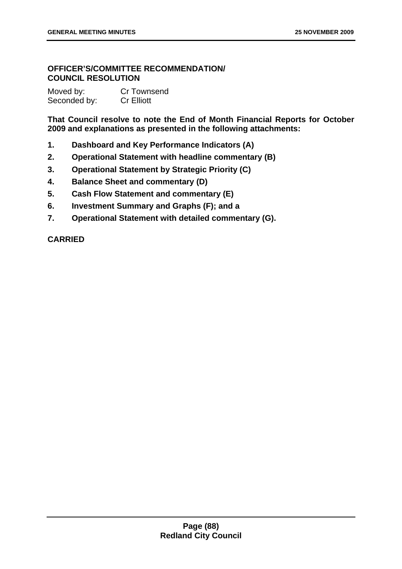# **OFFICER'S/COMMITTEE RECOMMENDATION/ COUNCIL RESOLUTION**

| Moved by:    | Cr Townsend       |
|--------------|-------------------|
| Seconded by: | <b>Cr Elliott</b> |

**That Council resolve to note the End of Month Financial Reports for October 2009 and explanations as presented in the following attachments:** 

- **1. Dashboard and Key Performance Indicators (A)**
- **2. Operational Statement with headline commentary (B)**
- **3. Operational Statement by Strategic Priority (C)**
- **4. Balance Sheet and commentary (D)**
- **5. Cash Flow Statement and commentary (E)**
- **6. Investment Summary and Graphs (F); and a**
- **7. Operational Statement with detailed commentary (G).**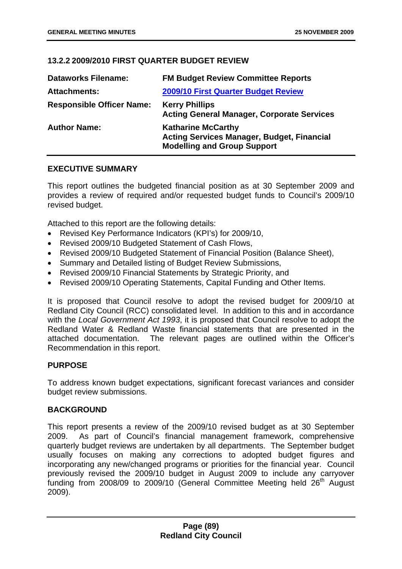## **13.2.2 2009/2010 FIRST QUARTER BUDGET REVIEW**

| <b>Dataworks Filename:</b>       | <b>FM Budget Review Committee Reports</b>                                                                            |
|----------------------------------|----------------------------------------------------------------------------------------------------------------------|
| <b>Attachments:</b>              | 2009/10 First Quarter Budget Review                                                                                  |
| <b>Responsible Officer Name:</b> | <b>Kerry Phillips</b><br><b>Acting General Manager, Corporate Services</b>                                           |
| <b>Author Name:</b>              | <b>Katharine McCarthy</b><br><b>Acting Services Manager, Budget, Financial</b><br><b>Modelling and Group Support</b> |

### **EXECUTIVE SUMMARY**

This report outlines the budgeted financial position as at 30 September 2009 and provides a review of required and/or requested budget funds to Council's 2009/10 revised budget.

Attached to this report are the following details:

- Revised Key Performance Indicators (KPI's) for 2009/10,
- Revised 2009/10 Budgeted Statement of Cash Flows,
- Revised 2009/10 Budgeted Statement of Financial Position (Balance Sheet),
- Summary and Detailed listing of Budget Review Submissions,
- Revised 2009/10 Financial Statements by Strategic Priority, and
- Revised 2009/10 Operating Statements, Capital Funding and Other Items.

It is proposed that Council resolve to adopt the revised budget for 2009/10 at Redland City Council (RCC) consolidated level. In addition to this and in accordance with the *Local Government Act 1993*, it is proposed that Council resolve to adopt the Redland Water & Redland Waste financial statements that are presented in the attached documentation. The relevant pages are outlined within the Officer's Recommendation in this report.

#### **PURPOSE**

To address known budget expectations, significant forecast variances and consider budget review submissions.

#### **BACKGROUND**

This report presents a review of the 2009/10 revised budget as at 30 September 2009. As part of Council's financial management framework, comprehensive quarterly budget reviews are undertaken by all departments. The September budget usually focuses on making any corrections to adopted budget figures and incorporating any new/changed programs or priorities for the financial year. Council previously revised the 2009/10 budget in August 2009 to include any carryover funding from 2008/09 to 2009/10 (General Committee Meeting held 26<sup>th</sup> August 2009).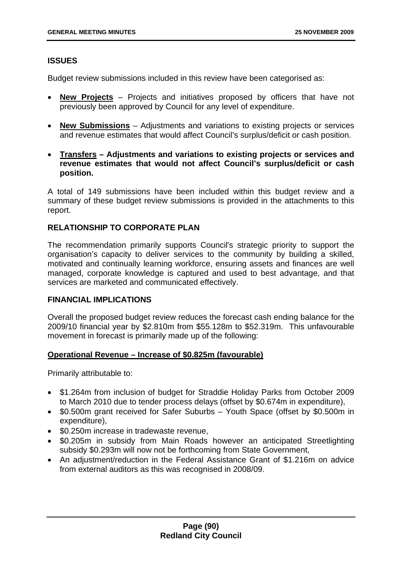## **ISSUES**

Budget review submissions included in this review have been categorised as:

- **New Projects** Projects and initiatives proposed by officers that have not previously been approved by Council for any level of expenditure.
- **New Submissions** Adjustments and variations to existing projects or services and revenue estimates that would affect Council's surplus/deficit or cash position.
- **Transfers Adjustments and variations to existing projects or services and revenue estimates that would not affect Council's surplus/deficit or cash position.**

A total of 149 submissions have been included within this budget review and a summary of these budget review submissions is provided in the attachments to this report.

### **RELATIONSHIP TO CORPORATE PLAN**

The recommendation primarily supports Council's strategic priority to support the organisation's capacity to deliver services to the community by building a skilled, motivated and continually learning workforce, ensuring assets and finances are well managed, corporate knowledge is captured and used to best advantage, and that services are marketed and communicated effectively.

#### **FINANCIAL IMPLICATIONS**

Overall the proposed budget review reduces the forecast cash ending balance for the 2009/10 financial year by \$2.810m from \$55.128m to \$52.319m. This unfavourable movement in forecast is primarily made up of the following:

#### **Operational Revenue – Increase of \$0.825m (favourable)**

Primarily attributable to:

- \$1.264m from inclusion of budget for Straddie Holiday Parks from October 2009 to March 2010 due to tender process delays (offset by \$0.674m in expenditure),
- \$0.500m grant received for Safer Suburbs Youth Space (offset by \$0.500m in expenditure),
- \$0.250m increase in tradewaste revenue,
- \$0.205m in subsidy from Main Roads however an anticipated Streetlighting subsidy \$0.293m will now not be forthcoming from State Government,
- An adjustment/reduction in the Federal Assistance Grant of \$1.216m on advice from external auditors as this was recognised in 2008/09.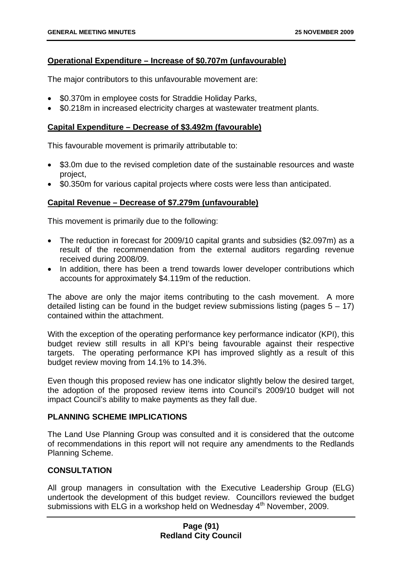### **Operational Expenditure – Increase of \$0.707m (unfavourable)**

The major contributors to this unfavourable movement are:

- \$0.370m in employee costs for Straddie Holiday Parks,
- \$0.218m in increased electricity charges at wastewater treatment plants.

## **Capital Expenditure – Decrease of \$3.492m (favourable)**

This favourable movement is primarily attributable to:

- \$3.0m due to the revised completion date of the sustainable resources and waste project,
- \$0.350m for various capital projects where costs were less than anticipated.

## **Capital Revenue – Decrease of \$7.279m (unfavourable)**

This movement is primarily due to the following:

- The reduction in forecast for 2009/10 capital grants and subsidies (\$2.097m) as a result of the recommendation from the external auditors regarding revenue received during 2008/09.
- In addition, there has been a trend towards lower developer contributions which accounts for approximately \$4.119m of the reduction.

The above are only the major items contributing to the cash movement. A more detailed listing can be found in the budget review submissions listing (pages  $5 - 17$ ) contained within the attachment.

With the exception of the operating performance key performance indicator (KPI), this budget review still results in all KPI's being favourable against their respective targets. The operating performance KPI has improved slightly as a result of this budget review moving from 14.1% to 14.3%.

Even though this proposed review has one indicator slightly below the desired target, the adoption of the proposed review items into Council's 2009/10 budget will not impact Council's ability to make payments as they fall due.

#### **PLANNING SCHEME IMPLICATIONS**

The Land Use Planning Group was consulted and it is considered that the outcome of recommendations in this report will not require any amendments to the Redlands Planning Scheme.

## **CONSULTATION**

All group managers in consultation with the Executive Leadership Group (ELG) undertook the development of this budget review. Councillors reviewed the budget submissions with ELG in a workshop held on Wednesday 4<sup>th</sup> November, 2009.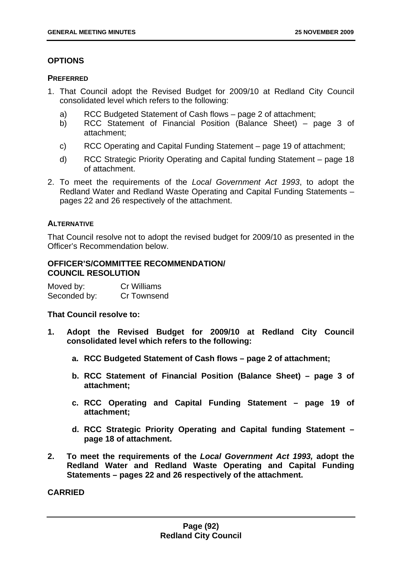# **OPTIONS**

### **PREFERRED**

- 1. That Council adopt the Revised Budget for 2009/10 at Redland City Council consolidated level which refers to the following:
	- a) RCC Budgeted Statement of Cash flows page 2 of attachment;
	- b) RCC Statement of Financial Position (Balance Sheet) page 3 of attachment;
	- c) RCC Operating and Capital Funding Statement page 19 of attachment;
	- d) RCC Strategic Priority Operating and Capital funding Statement page 18 of attachment.
- 2. To meet the requirements of the *Local Government Act 1993*, to adopt the Redland Water and Redland Waste Operating and Capital Funding Statements – pages 22 and 26 respectively of the attachment.

## **ALTERNATIVE**

That Council resolve not to adopt the revised budget for 2009/10 as presented in the Officer's Recommendation below.

### **OFFICER'S/COMMITTEE RECOMMENDATION/ COUNCIL RESOLUTION**

| Moved by:    | <b>Cr Williams</b> |
|--------------|--------------------|
| Seconded by: | Cr Townsend        |

**That Council resolve to:** 

- **1. Adopt the Revised Budget for 2009/10 at Redland City Council consolidated level which refers to the following:** 
	- **a. RCC Budgeted Statement of Cash flows page 2 of attachment;**
	- **b. RCC Statement of Financial Position (Balance Sheet) page 3 of attachment;**
	- **c. RCC Operating and Capital Funding Statement page 19 of attachment;**
	- **d. RCC Strategic Priority Operating and Capital funding Statement page 18 of attachment.**
- **2. To meet the requirements of the** *Local Government Act 1993,* **adopt the Redland Water and Redland Waste Operating and Capital Funding Statements – pages 22 and 26 respectively of the attachment.**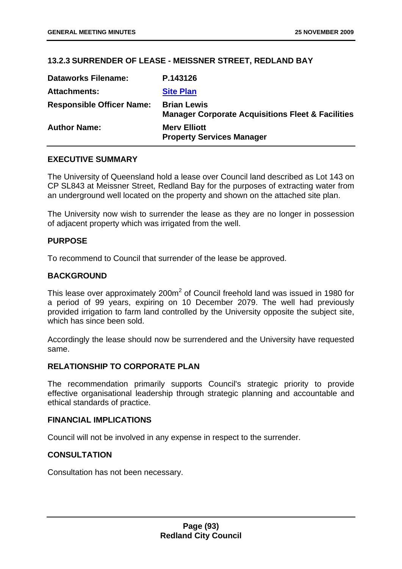## **13.2.3 SURRENDER OF LEASE - MEISSNER STREET, REDLAND BAY**

| <b>Dataworks Filename:</b>       | P.143126                                                                           |
|----------------------------------|------------------------------------------------------------------------------------|
| <b>Attachments:</b>              | <b>Site Plan</b>                                                                   |
| <b>Responsible Officer Name:</b> | <b>Brian Lewis</b><br><b>Manager Corporate Acquisitions Fleet &amp; Facilities</b> |
| <b>Author Name:</b>              | <b>Mery Elliott</b><br><b>Property Services Manager</b>                            |

### **EXECUTIVE SUMMARY**

The University of Queensland hold a lease over Council land described as Lot 143 on CP SL843 at Meissner Street, Redland Bay for the purposes of extracting water from an underground well located on the property and shown on the attached site plan.

The University now wish to surrender the lease as they are no longer in possession of adjacent property which was irrigated from the well.

### **PURPOSE**

To recommend to Council that surrender of the lease be approved.

### **BACKGROUND**

This lease over approximately 200m<sup>2</sup> of Council freehold land was issued in 1980 for a period of 99 years, expiring on 10 December 2079. The well had previously provided irrigation to farm land controlled by the University opposite the subject site, which has since been sold.

Accordingly the lease should now be surrendered and the University have requested same.

### **RELATIONSHIP TO CORPORATE PLAN**

The recommendation primarily supports Council's strategic priority to provide effective organisational leadership through strategic planning and accountable and ethical standards of practice.

#### **FINANCIAL IMPLICATIONS**

Council will not be involved in any expense in respect to the surrender.

## **CONSULTATION**

Consultation has not been necessary.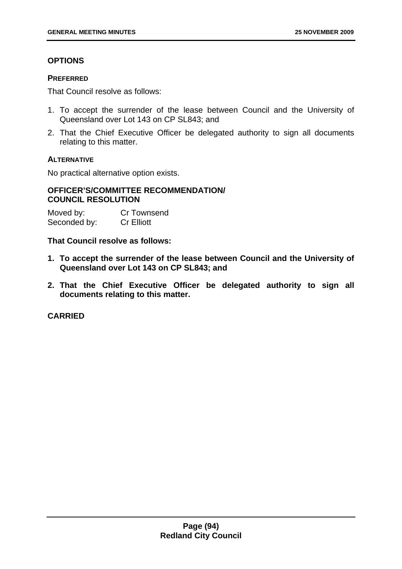## **OPTIONS**

### **PREFERRED**

That Council resolve as follows:

- 1. To accept the surrender of the lease between Council and the University of Queensland over Lot 143 on CP SL843; and
- 2. That the Chief Executive Officer be delegated authority to sign all documents relating to this matter.

### **ALTERNATIVE**

No practical alternative option exists.

# **OFFICER'S/COMMITTEE RECOMMENDATION/ COUNCIL RESOLUTION**

| Moved by:    | <b>Cr Townsend</b> |
|--------------|--------------------|
| Seconded by: | <b>Cr Elliott</b>  |

**That Council resolve as follows:** 

- **1. To accept the surrender of the lease between Council and the University of Queensland over Lot 143 on CP SL843; and**
- **2. That the Chief Executive Officer be delegated authority to sign all documents relating to this matter.**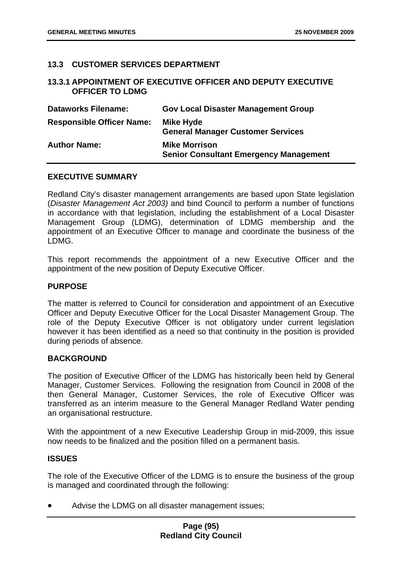### **13.3 CUSTOMER SERVICES DEPARTMENT**

#### **13.3.1 APPOINTMENT OF EXECUTIVE OFFICER AND DEPUTY EXECUTIVE OFFICER TO LDMG**

| <b>Dataworks Filename:</b>       | <b>Gov Local Disaster Management Group</b>                            |
|----------------------------------|-----------------------------------------------------------------------|
| <b>Responsible Officer Name:</b> | Mike Hyde<br><b>General Manager Customer Services</b>                 |
| <b>Author Name:</b>              | <b>Mike Morrison</b><br><b>Senior Consultant Emergency Management</b> |

#### **EXECUTIVE SUMMARY**

Redland City's disaster management arrangements are based upon State legislation (*Disaster Management Act 2003)* and bind Council to perform a number of functions in accordance with that legislation, including the establishment of a Local Disaster Management Group (LDMG), determination of LDMG membership and the appointment of an Executive Officer to manage and coordinate the business of the LDMG.

This report recommends the appointment of a new Executive Officer and the appointment of the new position of Deputy Executive Officer.

#### **PURPOSE**

The matter is referred to Council for consideration and appointment of an Executive Officer and Deputy Executive Officer for the Local Disaster Management Group. The role of the Deputy Executive Officer is not obligatory under current legislation however it has been identified as a need so that continuity in the position is provided during periods of absence.

#### **BACKGROUND**

The position of Executive Officer of the LDMG has historically been held by General Manager, Customer Services. Following the resignation from Council in 2008 of the then General Manager, Customer Services, the role of Executive Officer was transferred as an interim measure to the General Manager Redland Water pending an organisational restructure.

With the appointment of a new Executive Leadership Group in mid-2009, this issue now needs to be finalized and the position filled on a permanent basis.

#### **ISSUES**

The role of the Executive Officer of the LDMG is to ensure the business of the group is managed and coordinated through the following:

• Advise the LDMG on all disaster management issues;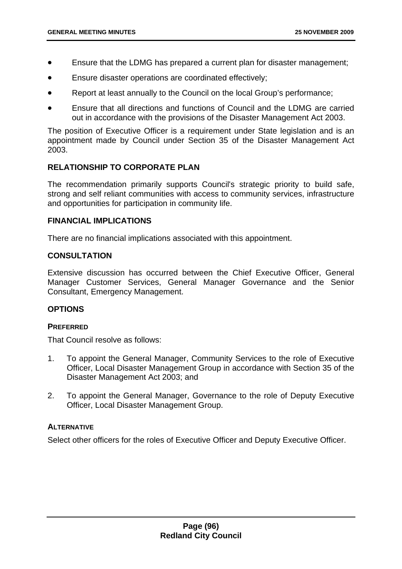- Ensure that the LDMG has prepared a current plan for disaster management;
- Ensure disaster operations are coordinated effectively;
- Report at least annually to the Council on the local Group's performance;
- Ensure that all directions and functions of Council and the LDMG are carried out in accordance with the provisions of the Disaster Management Act 2003.

The position of Executive Officer is a requirement under State legislation and is an appointment made by Council under Section 35 of the Disaster Management Act 2003.

#### **RELATIONSHIP TO CORPORATE PLAN**

The recommendation primarily supports Council's strategic priority to build safe, strong and self reliant communities with access to community services, infrastructure and opportunities for participation in community life.

#### **FINANCIAL IMPLICATIONS**

There are no financial implications associated with this appointment.

#### **CONSULTATION**

Extensive discussion has occurred between the Chief Executive Officer, General Manager Customer Services, General Manager Governance and the Senior Consultant, Emergency Management.

#### **OPTIONS**

#### **PREFERRED**

That Council resolve as follows:

- 1. To appoint the General Manager, Community Services to the role of Executive Officer, Local Disaster Management Group in accordance with Section 35 of the Disaster Management Act 2003; and
- 2. To appoint the General Manager, Governance to the role of Deputy Executive Officer, Local Disaster Management Group.

#### **ALTERNATIVE**

Select other officers for the roles of Executive Officer and Deputy Executive Officer.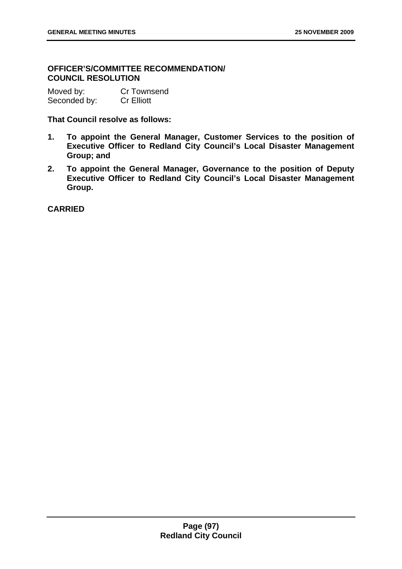# **OFFICER'S/COMMITTEE RECOMMENDATION/ COUNCIL RESOLUTION**

| Moved by:    | Cr Townsend       |
|--------------|-------------------|
| Seconded by: | <b>Cr Elliott</b> |

**That Council resolve as follows:** 

- **1. To appoint the General Manager, Customer Services to the position of Executive Officer to Redland City Council's Local Disaster Management Group; and**
- **2. To appoint the General Manager, Governance to the position of Deputy Executive Officer to Redland City Council's Local Disaster Management Group.**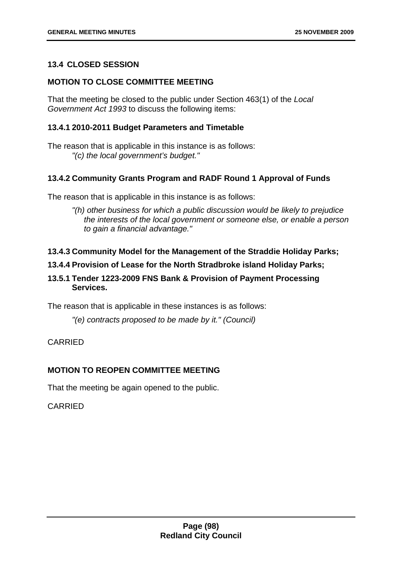## **13.4 CLOSED SESSION**

# **MOTION TO CLOSE COMMITTEE MEETING**

That the meeting be closed to the public under Section 463(1) of the *Local Government Act 1993* to discuss the following items:

## **13.4.1 2010-2011 Budget Parameters and Timetable**

The reason that is applicable in this instance is as follows: *"(c) the local government's budget."* 

## **13.4.2 Community Grants Program and RADF Round 1 Approval of Funds**

The reason that is applicable in this instance is as follows:

*"(h) other business for which a public discussion would be likely to prejudice the interests of the local government or someone else, or enable a person to gain a financial advantage."* 

## **13.4.3 Community Model for the Management of the Straddie Holiday Parks;**

# **13.4.4 Provision of Lease for the North Stradbroke island Holiday Parks;**

# **13.5.1 Tender 1223-2009 FNS Bank & Provision of Payment Processing Services.**

The reason that is applicable in these instances is as follows:

*"(e) contracts proposed to be made by it." (Council)* 

## CARRIED

## **MOTION TO REOPEN COMMITTEE MEETING**

That the meeting be again opened to the public.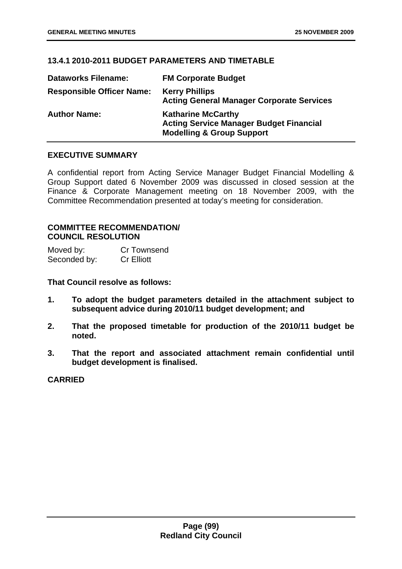## **13.4.1 2010-2011 BUDGET PARAMETERS AND TIMETABLE**

| <b>Dataworks Filename:</b>       | <b>FM Corporate Budget</b>                                                                                          |
|----------------------------------|---------------------------------------------------------------------------------------------------------------------|
| <b>Responsible Officer Name:</b> | <b>Kerry Phillips</b><br><b>Acting General Manager Corporate Services</b>                                           |
| <b>Author Name:</b>              | <b>Katharine McCarthy</b><br><b>Acting Service Manager Budget Financial</b><br><b>Modelling &amp; Group Support</b> |

# **EXECUTIVE SUMMARY**

A confidential report from Acting Service Manager Budget Financial Modelling & Group Support dated 6 November 2009 was discussed in closed session at the Finance & Corporate Management meeting on 18 November 2009, with the Committee Recommendation presented at today's meeting for consideration.

### **COMMITTEE RECOMMENDATION/ COUNCIL RESOLUTION**

| Moved by:    | Cr Townsend       |
|--------------|-------------------|
| Seconded by: | <b>Cr Elliott</b> |

**That Council resolve as follows:** 

- **1. To adopt the budget parameters detailed in the attachment subject to subsequent advice during 2010/11 budget development; and**
- **2. That the proposed timetable for production of the 2010/11 budget be noted.**
- **3. That the report and associated attachment remain confidential until budget development is finalised.**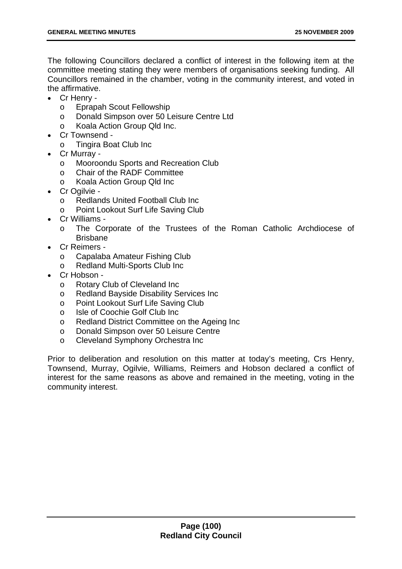The following Councillors declared a conflict of interest in the following item at the committee meeting stating they were members of organisations seeking funding. All Councillors remained in the chamber, voting in the community interest, and voted in the affirmative.

- Cr Henry
	- o Eprapah Scout Fellowship
	- o Donald Simpson over 50 Leisure Centre Ltd
	- o Koala Action Group Qld Inc.
- Cr Townsend
	- o Tingira Boat Club Inc
- Cr Murray
	- o Mooroondu Sports and Recreation Club
	- o Chair of the RADF Committee
	- o Koala Action Group Qld Inc
- Cr Ogilvie
	- o Redlands United Football Club Inc
	- Point Lookout Surf Life Saving Club
- Cr Williams
	- o The Corporate of the Trustees of the Roman Catholic Archdiocese of Brisbane
- Cr Reimers
	- o Capalaba Amateur Fishing Club
	- o Redland Multi-Sports Club Inc
- Cr Hobson
	- o Rotary Club of Cleveland Inc
	- o Redland Bayside Disability Services Inc
	- o Point Lookout Surf Life Saving Club
	- o Isle of Coochie Golf Club Inc
	- o Redland District Committee on the Ageing Inc
	- o Donald Simpson over 50 Leisure Centre
	- o Cleveland Symphony Orchestra Inc

Prior to deliberation and resolution on this matter at today's meeting, Crs Henry, Townsend, Murray, Ogilvie, Williams, Reimers and Hobson declared a conflict of interest for the same reasons as above and remained in the meeting, voting in the community interest.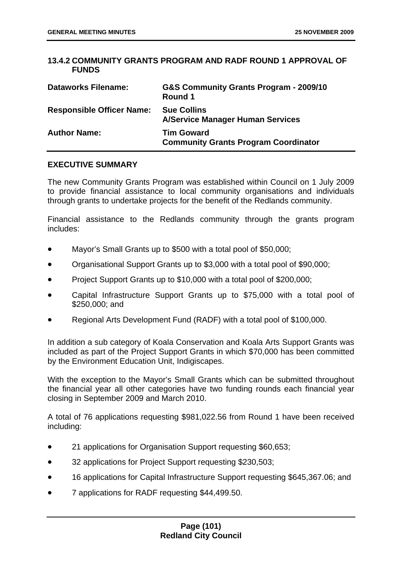## **13.4.2 COMMUNITY GRANTS PROGRAM AND RADF ROUND 1 APPROVAL OF FUNDS**

| <b>Dataworks Filename:</b>       | G&S Community Grants Program - 2009/10<br>Round 1                |
|----------------------------------|------------------------------------------------------------------|
| <b>Responsible Officer Name:</b> | <b>Sue Collins</b><br><b>A/Service Manager Human Services</b>    |
| <b>Author Name:</b>              | <b>Tim Goward</b><br><b>Community Grants Program Coordinator</b> |

### **EXECUTIVE SUMMARY**

The new Community Grants Program was established within Council on 1 July 2009 to provide financial assistance to local community organisations and individuals through grants to undertake projects for the benefit of the Redlands community.

Financial assistance to the Redlands community through the grants program includes:

- Mayor's Small Grants up to \$500 with a total pool of \$50,000;
- Organisational Support Grants up to \$3,000 with a total pool of \$90,000;
- Project Support Grants up to \$10,000 with a total pool of \$200,000;
- Capital Infrastructure Support Grants up to \$75,000 with a total pool of \$250,000; and
- Regional Arts Development Fund (RADF) with a total pool of \$100,000.

In addition a sub category of Koala Conservation and Koala Arts Support Grants was included as part of the Project Support Grants in which \$70,000 has been committed by the Environment Education Unit, Indigiscapes.

With the exception to the Mayor's Small Grants which can be submitted throughout the financial year all other categories have two funding rounds each financial year closing in September 2009 and March 2010.

A total of 76 applications requesting \$981,022.56 from Round 1 have been received including:

- 21 applications for Organisation Support requesting \$60,653;
- 32 applications for Project Support requesting \$230,503;
- 16 applications for Capital Infrastructure Support requesting \$645,367.06; and
- 7 applications for RADF requesting \$44,499.50.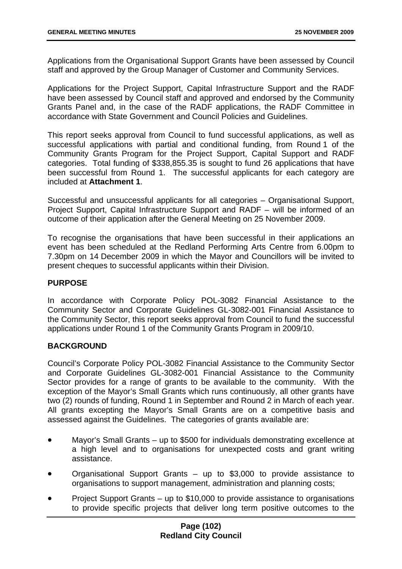Applications from the Organisational Support Grants have been assessed by Council staff and approved by the Group Manager of Customer and Community Services.

Applications for the Project Support, Capital Infrastructure Support and the RADF have been assessed by Council staff and approved and endorsed by the Community Grants Panel and, in the case of the RADF applications, the RADF Committee in accordance with State Government and Council Policies and Guidelines.

This report seeks approval from Council to fund successful applications, as well as successful applications with partial and conditional funding, from Round 1 of the Community Grants Program for the Project Support, Capital Support and RADF categories. Total funding of \$338,855.35 is sought to fund 26 applications that have been successful from Round 1. The successful applicants for each category are included at **Attachment 1**.

Successful and unsuccessful applicants for all categories – Organisational Support, Project Support, Capital Infrastructure Support and RADF – will be informed of an outcome of their application after the General Meeting on 25 November 2009.

To recognise the organisations that have been successful in their applications an event has been scheduled at the Redland Performing Arts Centre from 6.00pm to 7.30pm on 14 December 2009 in which the Mayor and Councillors will be invited to present cheques to successful applicants within their Division.

### **PURPOSE**

In accordance with Corporate Policy POL-3082 Financial Assistance to the Community Sector and Corporate Guidelines GL-3082-001 Financial Assistance to the Community Sector, this report seeks approval from Council to fund the successful applications under Round 1 of the Community Grants Program in 2009/10.

#### **BACKGROUND**

Council's Corporate Policy POL-3082 Financial Assistance to the Community Sector and Corporate Guidelines GL-3082-001 Financial Assistance to the Community Sector provides for a range of grants to be available to the community. With the exception of the Mayor's Small Grants which runs continuously, all other grants have two (2) rounds of funding, Round 1 in September and Round 2 in March of each year. All grants excepting the Mayor's Small Grants are on a competitive basis and assessed against the Guidelines. The categories of grants available are:

- Mayor's Small Grants up to \$500 for individuals demonstrating excellence at a high level and to organisations for unexpected costs and grant writing assistance.
- Organisational Support Grants up to \$3,000 to provide assistance to organisations to support management, administration and planning costs;
- Project Support Grants up to \$10,000 to provide assistance to organisations to provide specific projects that deliver long term positive outcomes to the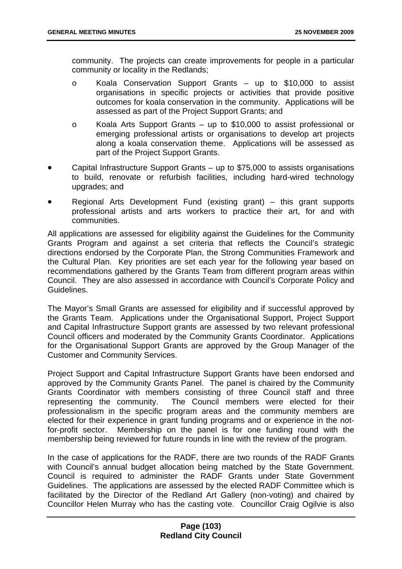community. The projects can create improvements for people in a particular community or locality in the Redlands;

- o Koala Conservation Support Grants up to \$10,000 to assist organisations in specific projects or activities that provide positive outcomes for koala conservation in the community. Applications will be assessed as part of the Project Support Grants; and
- o Koala Arts Support Grants up to \$10,000 to assist professional or emerging professional artists or organisations to develop art projects along a koala conservation theme. Applications will be assessed as part of the Project Support Grants.
- Capital Infrastructure Support Grants up to \$75,000 to assists organisations to build, renovate or refurbish facilities, including hard-wired technology upgrades; and
- Regional Arts Development Fund (existing grant) this grant supports professional artists and arts workers to practice their art, for and with communities.

All applications are assessed for eligibility against the Guidelines for the Community Grants Program and against a set criteria that reflects the Council's strategic directions endorsed by the Corporate Plan, the Strong Communities Framework and the Cultural Plan. Key priorities are set each year for the following year based on recommendations gathered by the Grants Team from different program areas within Council. They are also assessed in accordance with Council's Corporate Policy and Guidelines.

The Mayor's Small Grants are assessed for eligibility and if successful approved by the Grants Team. Applications under the Organisational Support, Project Support and Capital Infrastructure Support grants are assessed by two relevant professional Council officers and moderated by the Community Grants Coordinator. Applications for the Organisational Support Grants are approved by the Group Manager of the Customer and Community Services.

Project Support and Capital Infrastructure Support Grants have been endorsed and approved by the Community Grants Panel. The panel is chaired by the Community Grants Coordinator with members consisting of three Council staff and three representing the community. The Council members were elected for their professionalism in the specific program areas and the community members are elected for their experience in grant funding programs and or experience in the notfor-profit sector. Membership on the panel is for one funding round with the membership being reviewed for future rounds in line with the review of the program.

In the case of applications for the RADF, there are two rounds of the RADF Grants with Council's annual budget allocation being matched by the State Government. Council is required to administer the RADF Grants under State Government Guidelines. The applications are assessed by the elected RADF Committee which is facilitated by the Director of the Redland Art Gallery (non-voting) and chaired by Councillor Helen Murray who has the casting vote. Councillor Craig Ogilvie is also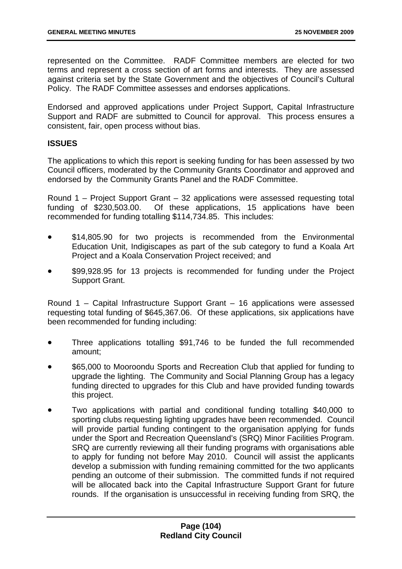represented on the Committee. RADF Committee members are elected for two terms and represent a cross section of art forms and interests. They are assessed against criteria set by the State Government and the objectives of Council's Cultural Policy. The RADF Committee assesses and endorses applications.

Endorsed and approved applications under Project Support, Capital Infrastructure Support and RADF are submitted to Council for approval. This process ensures a consistent, fair, open process without bias.

### **ISSUES**

The applications to which this report is seeking funding for has been assessed by two Council officers, moderated by the Community Grants Coordinator and approved and endorsed by the Community Grants Panel and the RADF Committee.

Round 1 – Project Support Grant – 32 applications were assessed requesting total funding of \$230,503.00. Of these applications, 15 applications have been recommended for funding totalling \$114,734.85. This includes:

- \$14,805.90 for two projects is recommended from the Environmental Education Unit, Indigiscapes as part of the sub category to fund a Koala Art Project and a Koala Conservation Project received; and
- \$99,928.95 for 13 projects is recommended for funding under the Project Support Grant.

Round 1 – Capital Infrastructure Support Grant – 16 applications were assessed requesting total funding of \$645,367.06. Of these applications, six applications have been recommended for funding including:

- Three applications totalling \$91,746 to be funded the full recommended amount;
- \$65,000 to Mooroondu Sports and Recreation Club that applied for funding to upgrade the lighting. The Community and Social Planning Group has a legacy funding directed to upgrades for this Club and have provided funding towards this project.
- Two applications with partial and conditional funding totalling \$40,000 to sporting clubs requesting lighting upgrades have been recommended. Council will provide partial funding contingent to the organisation applying for funds under the Sport and Recreation Queensland's (SRQ) Minor Facilities Program. SRQ are currently reviewing all their funding programs with organisations able to apply for funding not before May 2010. Council will assist the applicants develop a submission with funding remaining committed for the two applicants pending an outcome of their submission. The committed funds if not required will be allocated back into the Capital Infrastructure Support Grant for future rounds. If the organisation is unsuccessful in receiving funding from SRQ, the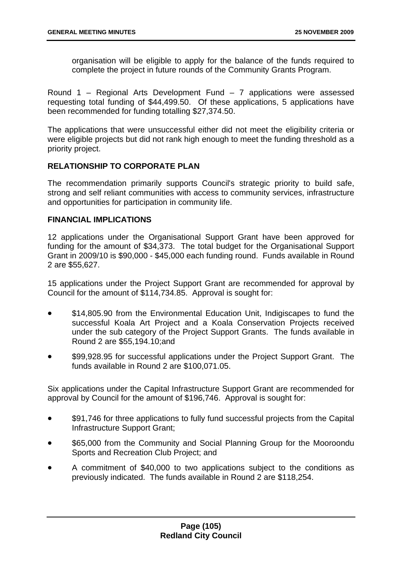organisation will be eligible to apply for the balance of the funds required to complete the project in future rounds of the Community Grants Program.

Round 1 – Regional Arts Development Fund – 7 applications were assessed requesting total funding of \$44,499.50. Of these applications, 5 applications have been recommended for funding totalling \$27,374.50.

The applications that were unsuccessful either did not meet the eligibility criteria or were eligible projects but did not rank high enough to meet the funding threshold as a priority project.

# **RELATIONSHIP TO CORPORATE PLAN**

The recommendation primarily supports Council's strategic priority to build safe, strong and self reliant communities with access to community services, infrastructure and opportunities for participation in community life.

### **FINANCIAL IMPLICATIONS**

12 applications under the Organisational Support Grant have been approved for funding for the amount of \$34,373. The total budget for the Organisational Support Grant in 2009/10 is \$90,000 - \$45,000 each funding round. Funds available in Round 2 are \$55,627.

15 applications under the Project Support Grant are recommended for approval by Council for the amount of \$114,734.85. Approval is sought for:

- \$14,805.90 from the Environmental Education Unit, Indigiscapes to fund the successful Koala Art Project and a Koala Conservation Projects received under the sub category of the Project Support Grants. The funds available in Round 2 are \$55,194.10;and
- \$99,928.95 for successful applications under the Project Support Grant. The funds available in Round 2 are \$100,071.05.

Six applications under the Capital Infrastructure Support Grant are recommended for approval by Council for the amount of \$196,746. Approval is sought for:

- \$91,746 for three applications to fully fund successful projects from the Capital Infrastructure Support Grant;
- \$65,000 from the Community and Social Planning Group for the Mooroondu Sports and Recreation Club Project; and
- A commitment of \$40,000 to two applications subject to the conditions as previously indicated. The funds available in Round 2 are \$118,254.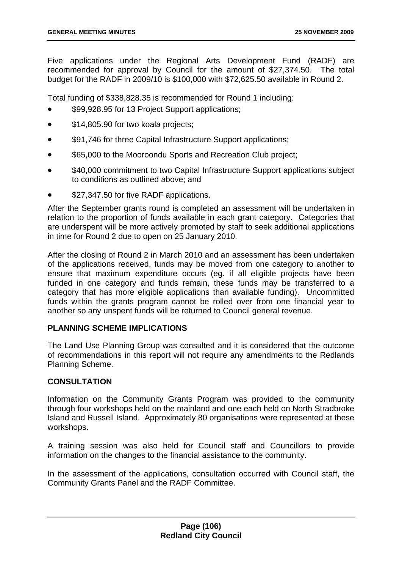Five applications under the Regional Arts Development Fund (RADF) are recommended for approval by Council for the amount of \$27,374.50. The total budget for the RADF in 2009/10 is \$100,000 with \$72,625.50 available in Round 2.

Total funding of \$338,828.35 is recommended for Round 1 including:

- \$99,928.95 for 13 Project Support applications;
- \$14,805.90 for two koala projects;
- \$91,746 for three Capital Infrastructure Support applications;
- \$65,000 to the Mooroondu Sports and Recreation Club project;
- \$40,000 commitment to two Capital Infrastructure Support applications subject to conditions as outlined above; and
- \$27,347.50 for five RADF applications.

After the September grants round is completed an assessment will be undertaken in relation to the proportion of funds available in each grant category. Categories that are underspent will be more actively promoted by staff to seek additional applications in time for Round 2 due to open on 25 January 2010.

After the closing of Round 2 in March 2010 and an assessment has been undertaken of the applications received, funds may be moved from one category to another to ensure that maximum expenditure occurs (eg. if all eligible projects have been funded in one category and funds remain, these funds may be transferred to a category that has more eligible applications than available funding). Uncommitted funds within the grants program cannot be rolled over from one financial year to another so any unspent funds will be returned to Council general revenue.

## **PLANNING SCHEME IMPLICATIONS**

The Land Use Planning Group was consulted and it is considered that the outcome of recommendations in this report will not require any amendments to the Redlands Planning Scheme.

### **CONSULTATION**

Information on the Community Grants Program was provided to the community through four workshops held on the mainland and one each held on North Stradbroke Island and Russell Island. Approximately 80 organisations were represented at these workshops.

A training session was also held for Council staff and Councillors to provide information on the changes to the financial assistance to the community.

In the assessment of the applications, consultation occurred with Council staff, the Community Grants Panel and the RADF Committee.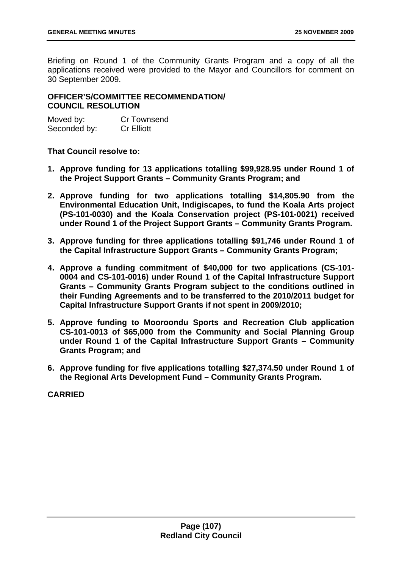Briefing on Round 1 of the Community Grants Program and a copy of all the applications received were provided to the Mayor and Councillors for comment on 30 September 2009.

# **OFFICER'S/COMMITTEE RECOMMENDATION/ COUNCIL RESOLUTION**

| Moved by:    | Cr Townsend       |
|--------------|-------------------|
| Seconded by: | <b>Cr Elliott</b> |

**That Council resolve to:** 

- **1. Approve funding for 13 applications totalling \$99,928.95 under Round 1 of the Project Support Grants – Community Grants Program; and**
- **2. Approve funding for two applications totalling \$14,805.90 from the Environmental Education Unit, Indigiscapes, to fund the Koala Arts project (PS-101-0030) and the Koala Conservation project (PS-101-0021) received under Round 1 of the Project Support Grants – Community Grants Program.**
- **3. Approve funding for three applications totalling \$91,746 under Round 1 of the Capital Infrastructure Support Grants – Community Grants Program;**
- **4. Approve a funding commitment of \$40,000 for two applications (CS-101- 0004 and CS-101-0016) under Round 1 of the Capital Infrastructure Support Grants – Community Grants Program subject to the conditions outlined in their Funding Agreements and to be transferred to the 2010/2011 budget for Capital Infrastructure Support Grants if not spent in 2009/2010;**
- **5. Approve funding to Mooroondu Sports and Recreation Club application CS-101-0013 of \$65,000 from the Community and Social Planning Group under Round 1 of the Capital Infrastructure Support Grants – Community Grants Program; and**
- **6. Approve funding for five applications totalling \$27,374.50 under Round 1 of the Regional Arts Development Fund – Community Grants Program.**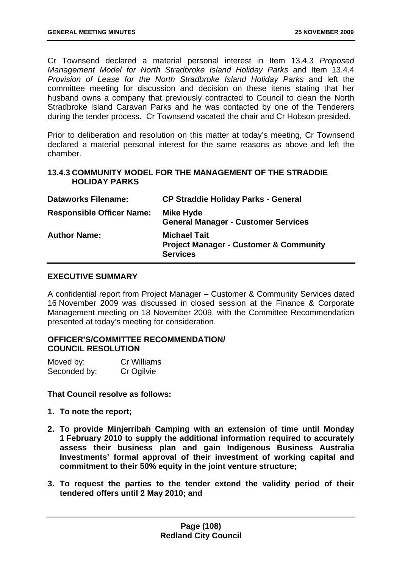Cr Townsend declared a material personal interest in Item 13.4.3 *Proposed Management Model for North Stradbroke Island Holiday Parks* and Item 13.4.4 *Provision of Lease for the North Stradbroke Island Holiday Parks* and left the committee meeting for discussion and decision on these items stating that her husband owns a company that previously contracted to Council to clean the North Stradbroke Island Caravan Parks and he was contacted by one of the Tenderers during the tender process. Cr Townsend vacated the chair and Cr Hobson presided.

Prior to deliberation and resolution on this matter at today's meeting, Cr Townsend declared a material personal interest for the same reasons as above and left the chamber.

#### **13.4.3 COMMUNITY MODEL FOR THE MANAGEMENT OF THE STRADDIE HOLIDAY PARKS**

| <b>Dataworks Filename:</b>       | <b>CP Straddie Holiday Parks - General</b>                                                  |
|----------------------------------|---------------------------------------------------------------------------------------------|
| <b>Responsible Officer Name:</b> | Mike Hyde<br><b>General Manager - Customer Services</b>                                     |
| <b>Author Name:</b>              | <b>Michael Tait</b><br><b>Project Manager - Customer &amp; Community</b><br><b>Services</b> |

### **EXECUTIVE SUMMARY**

A confidential report from Project Manager – Customer & Community Services dated 16 November 2009 was discussed in closed session at the Finance & Corporate Management meeting on 18 November 2009, with the Committee Recommendation presented at today's meeting for consideration.

## **OFFICER'S/COMMITTEE RECOMMENDATION/ COUNCIL RESOLUTION**

| Moved by:    | Cr Williams |
|--------------|-------------|
| Seconded by: | Cr Ogilvie  |

**That Council resolve as follows:** 

- **1. To note the report;**
- **2. To provide Minjerribah Camping with an extension of time until Monday 1 February 2010 to supply the additional information required to accurately assess their business plan and gain Indigenous Business Australia Investments' formal approval of their investment of working capital and commitment to their 50% equity in the joint venture structure;**
- **3. To request the parties to the tender extend the validity period of their tendered offers until 2 May 2010; and**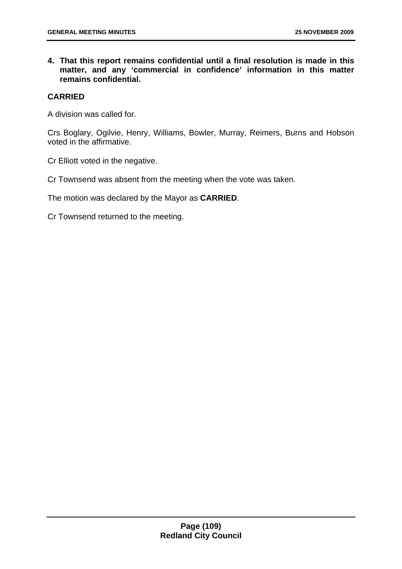**4. That this report remains confidential until a final resolution is made in this matter, and any 'commercial in confidence' information in this matter remains confidential.** 

## **CARRIED**

A division was called for.

Crs Boglary, Ogilvie, Henry, Williams, Bowler, Murray, Reimers, Burns and Hobson voted in the affirmative.

Cr Elliott voted in the negative.

Cr Townsend was absent from the meeting when the vote was taken.

The motion was declared by the Mayor as **CARRIED**.

Cr Townsend returned to the meeting.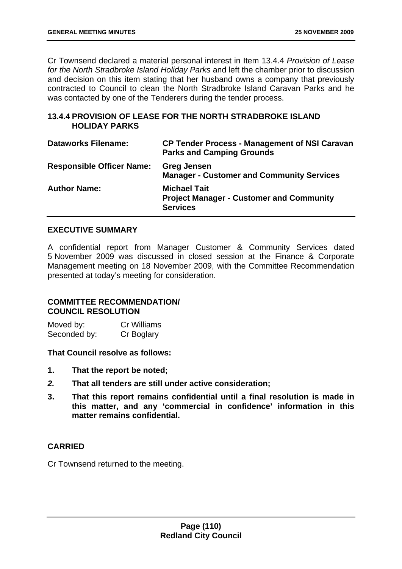Cr Townsend declared a material personal interest in Item 13.4.4 *Provision of Lease for the North Stradbroke Island Holiday Parks* and left the chamber prior to discussion and decision on this item stating that her husband owns a company that previously contracted to Council to clean the North Stradbroke Island Caravan Parks and he was contacted by one of the Tenderers during the tender process.

## **13.4.4 PROVISION OF LEASE FOR THE NORTH STRADBROKE ISLAND HOLIDAY PARKS**

| <b>Dataworks Filename:</b>       | <b>CP Tender Process - Management of NSI Caravan</b><br><b>Parks and Camping Grounds</b>  |
|----------------------------------|-------------------------------------------------------------------------------------------|
| <b>Responsible Officer Name:</b> | <b>Greg Jensen</b><br><b>Manager - Customer and Community Services</b>                    |
| <b>Author Name:</b>              | <b>Michael Tait</b><br><b>Project Manager - Customer and Community</b><br><b>Services</b> |

## **EXECUTIVE SUMMARY**

A confidential report from Manager Customer & Community Services dated 5 November 2009 was discussed in closed session at the Finance & Corporate Management meeting on 18 November 2009, with the Committee Recommendation presented at today's meeting for consideration.

### **COMMITTEE RECOMMENDATION/ COUNCIL RESOLUTION**

Moved by: Cr Williams Seconded by: Cr Boglary

**That Council resolve as follows:** 

- **1. That the report be noted;**
- *2.* **That all tenders are still under active consideration;**
- **3. That this report remains confidential until a final resolution is made in this matter, and any 'commercial in confidence' information in this matter remains confidential.**

## **CARRIED**

Cr Townsend returned to the meeting.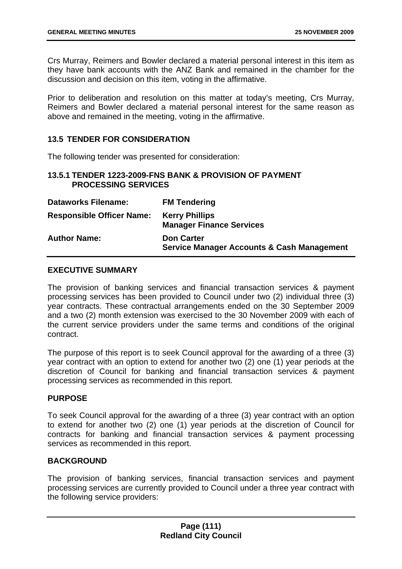Crs Murray, Reimers and Bowler declared a material personal interest in this item as they have bank accounts with the ANZ Bank and remained in the chamber for the discussion and decision on this item, voting in the affirmative.

Prior to deliberation and resolution on this matter at today's meeting, Crs Murray, Reimers and Bowler declared a material personal interest for the same reason as above and remained in the meeting, voting in the affirmative.

## **13.5 TENDER FOR CONSIDERATION**

The following tender was presented for consideration:

### **13.5.1 TENDER 1223-2009-FNS BANK & PROVISION OF PAYMENT PROCESSING SERVICES**

| <b>Dataworks Filename:</b>       | <b>FM Tendering</b>                                                        |
|----------------------------------|----------------------------------------------------------------------------|
| <b>Responsible Officer Name:</b> | <b>Kerry Phillips</b><br><b>Manager Finance Services</b>                   |
| <b>Author Name:</b>              | <b>Don Carter</b><br><b>Service Manager Accounts &amp; Cash Management</b> |

### **EXECUTIVE SUMMARY**

The provision of banking services and financial transaction services & payment processing services has been provided to Council under two (2) individual three (3) year contracts. These contractual arrangements ended on the 30 September 2009 and a two (2) month extension was exercised to the 30 November 2009 with each of the current service providers under the same terms and conditions of the original contract.

The purpose of this report is to seek Council approval for the awarding of a three (3) year contract with an option to extend for another two (2) one (1) year periods at the discretion of Council for banking and financial transaction services & payment processing services as recommended in this report.

#### **PURPOSE**

To seek Council approval for the awarding of a three (3) year contract with an option to extend for another two (2) one (1) year periods at the discretion of Council for contracts for banking and financial transaction services & payment processing services as recommended in this report.

#### **BACKGROUND**

The provision of banking services, financial transaction services and payment processing services are currently provided to Council under a three year contract with the following service providers: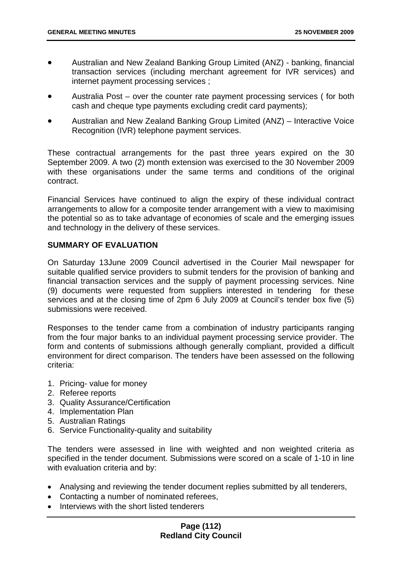- Australian and New Zealand Banking Group Limited (ANZ) banking, financial transaction services (including merchant agreement for IVR services) and internet payment processing services ;
- Australia Post over the counter rate payment processing services (for both cash and cheque type payments excluding credit card payments);
- Australian and New Zealand Banking Group Limited (ANZ) Interactive Voice Recognition (IVR) telephone payment services.

These contractual arrangements for the past three years expired on the 30 September 2009. A two (2) month extension was exercised to the 30 November 2009 with these organisations under the same terms and conditions of the original contract.

Financial Services have continued to align the expiry of these individual contract arrangements to allow for a composite tender arrangement with a view to maximising the potential so as to take advantage of economies of scale and the emerging issues and technology in the delivery of these services.

### **SUMMARY OF EVALUATION**

On Saturday 13June 2009 Council advertised in the Courier Mail newspaper for suitable qualified service providers to submit tenders for the provision of banking and financial transaction services and the supply of payment processing services. Nine (9) documents were requested from suppliers interested in tendering for these services and at the closing time of 2pm 6 July 2009 at Council's tender box five (5) submissions were received.

Responses to the tender came from a combination of industry participants ranging from the four major banks to an individual payment processing service provider. The form and contents of submissions although generally compliant, provided a difficult environment for direct comparison. The tenders have been assessed on the following criteria:

- 1. Pricing- value for money
- 2. Referee reports
- 3. Quality Assurance/Certification
- 4. Implementation Plan
- 5. Australian Ratings
- 6. Service Functionality-quality and suitability

The tenders were assessed in line with weighted and non weighted criteria as specified in the tender document. Submissions were scored on a scale of 1-10 in line with evaluation criteria and by:

- Analysing and reviewing the tender document replies submitted by all tenderers,
- Contacting a number of nominated referees,
- Interviews with the short listed tenderers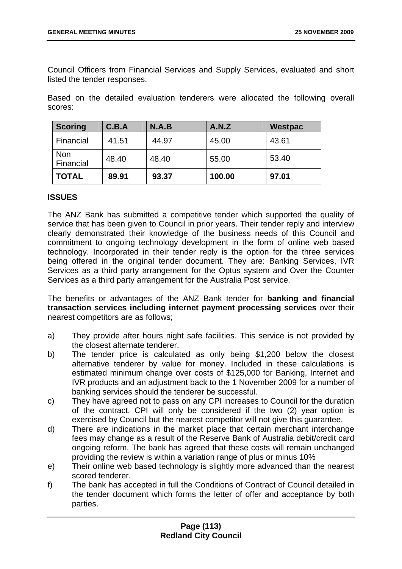Council Officers from Financial Services and Supply Services, evaluated and short listed the tender responses.

Based on the detailed evaluation tenderers were allocated the following overall scores:

| Scoring          | C.B.A | N.A.B | A.N.Z  | <b>Westpac</b> |
|------------------|-------|-------|--------|----------------|
| Financial        | 41.51 | 44.97 | 45.00  | 43.61          |
| Non<br>Financial | 48.40 | 48.40 | 55.00  | 53.40          |
| <b>TOTAL</b>     | 89.91 | 93.37 | 100.00 | 97.01          |

#### **ISSUES**

The ANZ Bank has submitted a competitive tender which supported the quality of service that has been given to Council in prior years. Their tender reply and interview clearly demonstrated their knowledge of the business needs of this Council and commitment to ongoing technology development in the form of online web based technology. Incorporated in their tender reply is the option for the three services being offered in the original tender document. They are: Banking Services, IVR Services as a third party arrangement for the Optus system and Over the Counter Services as a third party arrangement for the Australia Post service.

The benefits or advantages of the ANZ Bank tender for **banking and financial transaction services including internet payment processing services** over their nearest competitors are as follows;

- a) They provide after hours night safe facilities. This service is not provided by the closest alternate tenderer.
- b) The tender price is calculated as only being \$1,200 below the closest alternative tenderer by value for money. Included in these calculations is estimated minimum change over costs of \$125,000 for Banking, Internet and IVR products and an adjustment back to the 1 November 2009 for a number of banking services should the tenderer be successful.
- c) They have agreed not to pass on any CPI increases to Council for the duration of the contract. CPI will only be considered if the two (2) year option is exercised by Council but the nearest competitor will not give this guarantee.
- d) There are indications in the market place that certain merchant interchange fees may change as a result of the Reserve Bank of Australia debit/credit card ongoing reform. The bank has agreed that these costs will remain unchanged providing the review is within a variation range of plus or minus 10%
- e) Their online web based technology is slightly more advanced than the nearest scored tenderer.
- f) The bank has accepted in full the Conditions of Contract of Council detailed in the tender document which forms the letter of offer and acceptance by both parties.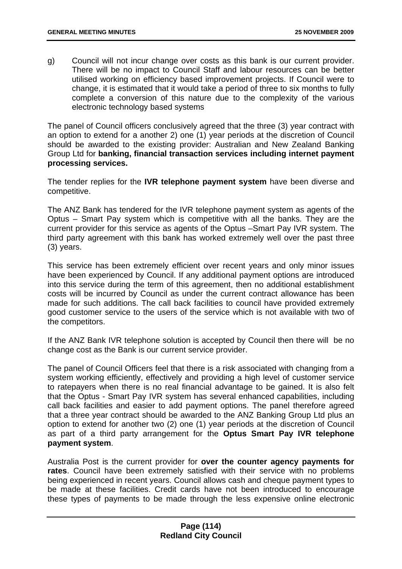g) Council will not incur change over costs as this bank is our current provider. There will be no impact to Council Staff and labour resources can be better utilised working on efficiency based improvement projects. If Council were to change, it is estimated that it would take a period of three to six months to fully complete a conversion of this nature due to the complexity of the various electronic technology based systems

The panel of Council officers conclusively agreed that the three (3) year contract with an option to extend for a another 2) one (1) year periods at the discretion of Council should be awarded to the existing provider: Australian and New Zealand Banking Group Ltd for **banking, financial transaction services including internet payment processing services.** 

The tender replies for the **IVR telephone payment system** have been diverse and competitive.

The ANZ Bank has tendered for the IVR telephone payment system as agents of the Optus – Smart Pay system which is competitive with all the banks. They are the current provider for this service as agents of the Optus –Smart Pay IVR system. The third party agreement with this bank has worked extremely well over the past three (3) years.

This service has been extremely efficient over recent years and only minor issues have been experienced by Council. If any additional payment options are introduced into this service during the term of this agreement, then no additional establishment costs will be incurred by Council as under the current contract allowance has been made for such additions. The call back facilities to council have provided extremely good customer service to the users of the service which is not available with two of the competitors.

If the ANZ Bank IVR telephone solution is accepted by Council then there will be no change cost as the Bank is our current service provider.

The panel of Council Officers feel that there is a risk associated with changing from a system working efficiently, effectively and providing a high level of customer service to ratepayers when there is no real financial advantage to be gained. It is also felt that the Optus - Smart Pay IVR system has several enhanced capabilities, including call back facilities and easier to add payment options. The panel therefore agreed that a three year contract should be awarded to the ANZ Banking Group Ltd plus an option to extend for another two (2) one (1) year periods at the discretion of Council as part of a third party arrangement for the **Optus Smart Pay IVR telephone payment system**.

Australia Post is the current provider for **over the counter agency payments for rates**. Council have been extremely satisfied with their service with no problems being experienced in recent years. Council allows cash and cheque payment types to be made at these facilities. Credit cards have not been introduced to encourage these types of payments to be made through the less expensive online electronic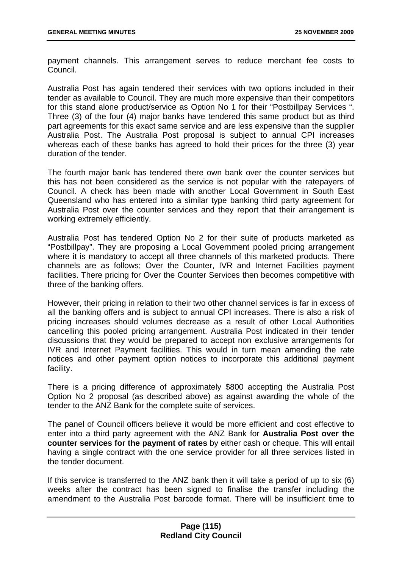payment channels. This arrangement serves to reduce merchant fee costs to Council.

Australia Post has again tendered their services with two options included in their tender as available to Council. They are much more expensive than their competitors for this stand alone product/service as Option No 1 for their "Postbillpay Services ". Three (3) of the four (4) major banks have tendered this same product but as third part agreements for this exact same service and are less expensive than the supplier Australia Post. The Australia Post proposal is subject to annual CPI increases whereas each of these banks has agreed to hold their prices for the three (3) year duration of the tender.

The fourth major bank has tendered there own bank over the counter services but this has not been considered as the service is not popular with the ratepayers of Council. A check has been made with another Local Government in South East Queensland who has entered into a similar type banking third party agreement for Australia Post over the counter services and they report that their arrangement is working extremely efficiently.

Australia Post has tendered Option No 2 for their suite of products marketed as "Postbillpay". They are proposing a Local Government pooled pricing arrangement where it is mandatory to accept all three channels of this marketed products. There channels are as follows; Over the Counter, IVR and Internet Facilities payment facilities. There pricing for Over the Counter Services then becomes competitive with three of the banking offers.

However, their pricing in relation to their two other channel services is far in excess of all the banking offers and is subject to annual CPI increases. There is also a risk of pricing increases should volumes decrease as a result of other Local Authorities cancelling this pooled pricing arrangement. Australia Post indicated in their tender discussions that they would be prepared to accept non exclusive arrangements for IVR and Internet Payment facilities. This would in turn mean amending the rate notices and other payment option notices to incorporate this additional payment facility.

There is a pricing difference of approximately \$800 accepting the Australia Post Option No 2 proposal (as described above) as against awarding the whole of the tender to the ANZ Bank for the complete suite of services.

The panel of Council officers believe it would be more efficient and cost effective to enter into a third party agreement with the ANZ Bank for **Australia Post over the counter services for the payment of rates** by either cash or cheque. This will entail having a single contract with the one service provider for all three services listed in the tender document.

If this service is transferred to the ANZ bank then it will take a period of up to six (6) weeks after the contract has been signed to finalise the transfer including the amendment to the Australia Post barcode format. There will be insufficient time to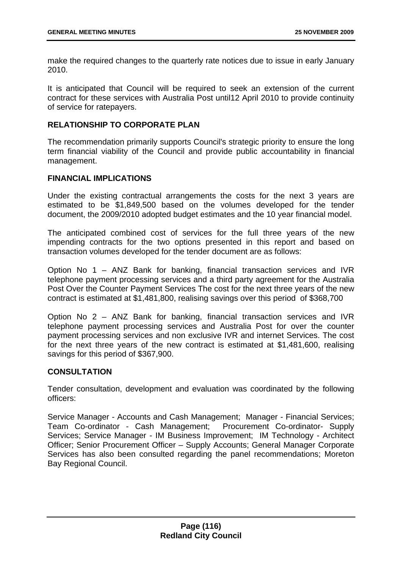make the required changes to the quarterly rate notices due to issue in early January 2010.

It is anticipated that Council will be required to seek an extension of the current contract for these services with Australia Post until12 April 2010 to provide continuity of service for ratepayers.

# **RELATIONSHIP TO CORPORATE PLAN**

The recommendation primarily supports Council's strategic priority to ensure the long term financial viability of the Council and provide public accountability in financial management.

### **FINANCIAL IMPLICATIONS**

Under the existing contractual arrangements the costs for the next 3 years are estimated to be \$1,849,500 based on the volumes developed for the tender document, the 2009/2010 adopted budget estimates and the 10 year financial model.

The anticipated combined cost of services for the full three years of the new impending contracts for the two options presented in this report and based on transaction volumes developed for the tender document are as follows:

Option No 1 – ANZ Bank for banking, financial transaction services and IVR telephone payment processing services and a third party agreement for the Australia Post Over the Counter Payment Services The cost for the next three years of the new contract is estimated at \$1,481,800, realising savings over this period of \$368,700

Option No 2 – ANZ Bank for banking, financial transaction services and IVR telephone payment processing services and Australia Post for over the counter payment processing services and non exclusive IVR and internet Services. The cost for the next three years of the new contract is estimated at \$1,481,600, realising savings for this period of \$367,900.

## **CONSULTATION**

Tender consultation, development and evaluation was coordinated by the following officers:

Service Manager - Accounts and Cash Management; Manager - Financial Services; Team Co-ordinator - Cash Management; Procurement Co-ordinator- Supply Services; Service Manager - IM Business Improvement; IM Technology - Architect Officer; Senior Procurement Officer – Supply Accounts; General Manager Corporate Services has also been consulted regarding the panel recommendations; Moreton Bay Regional Council.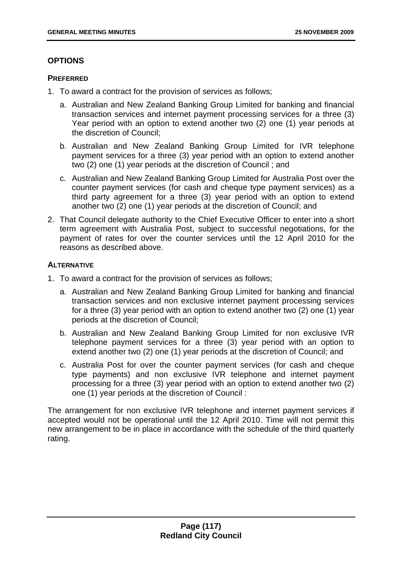# **OPTIONS**

## **PREFERRED**

- 1. To award a contract for the provision of services as follows;
	- a. Australian and New Zealand Banking Group Limited for banking and financial transaction services and internet payment processing services for a three (3) Year period with an option to extend another two (2) one (1) year periods at the discretion of Council;
	- b. Australian and New Zealand Banking Group Limited for IVR telephone payment services for a three (3) year period with an option to extend another two (2) one (1) year periods at the discretion of Council ; and
	- c. Australian and New Zealand Banking Group Limited for Australia Post over the counter payment services (for cash and cheque type payment services) as a third party agreement for a three (3) year period with an option to extend another two (2) one (1) year periods at the discretion of Council; and
- 2. That Council delegate authority to the Chief Executive Officer to enter into a short term agreement with Australia Post, subject to successful negotiations, for the payment of rates for over the counter services until the 12 April 2010 for the reasons as described above.

## **ALTERNATIVE**

- 1. To award a contract for the provision of services as follows;
	- a. Australian and New Zealand Banking Group Limited for banking and financial transaction services and non exclusive internet payment processing services for a three (3) year period with an option to extend another two (2) one (1) year periods at the discretion of Council;
	- b. Australian and New Zealand Banking Group Limited for non exclusive IVR telephone payment services for a three (3) year period with an option to extend another two (2) one (1) year periods at the discretion of Council; and
	- c. Australia Post for over the counter payment services (for cash and cheque type payments) and non exclusive IVR telephone and internet payment processing for a three (3) year period with an option to extend another two (2) one (1) year periods at the discretion of Council :

The arrangement for non exclusive IVR telephone and internet payment services if accepted would not be operational until the 12 April 2010. Time will not permit this new arrangement to be in place in accordance with the schedule of the third quarterly rating.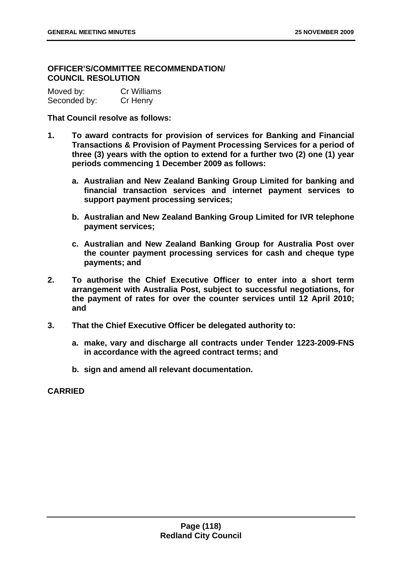# **OFFICER'S/COMMITTEE RECOMMENDATION/ COUNCIL RESOLUTION**

| Moved by:    | Cr Williams |
|--------------|-------------|
| Seconded by: | Cr Henry    |

### **That Council resolve as follows:**

- **1. To award contracts for provision of services for Banking and Financial Transactions & Provision of Payment Processing Services for a period of three (3) years with the option to extend for a further two (2) one (1) year periods commencing 1 December 2009 as follows:** 
	- **a. Australian and New Zealand Banking Group Limited for banking and financial transaction services and internet payment services to support payment processing services;**
	- **b. Australian and New Zealand Banking Group Limited for IVR telephone payment services;**
	- **c. Australian and New Zealand Banking Group for Australia Post over the counter payment processing services for cash and cheque type payments; and**
- **2. To authorise the Chief Executive Officer to enter into a short term arrangement with Australia Post, subject to successful negotiations, for the payment of rates for over the counter services until 12 April 2010; and**
- **3. That the Chief Executive Officer be delegated authority to:** 
	- **a. make, vary and discharge all contracts under Tender 1223-2009-FNS in accordance with the agreed contract terms; and**
	- **b. sign and amend all relevant documentation.**

**CARRIED**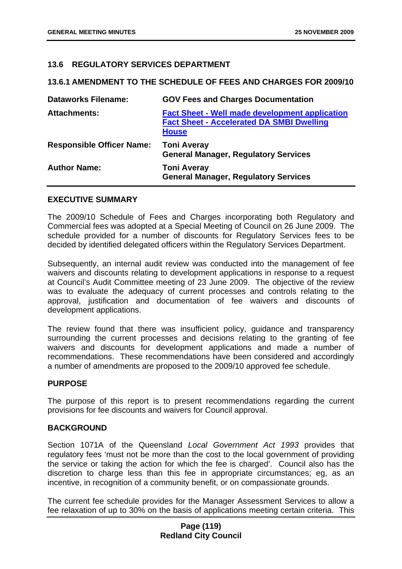### **13.6 REGULATORY SERVICES DEPARTMENT**

#### **13.6.1 AMENDMENT TO THE SCHEDULE OF FEES AND CHARGES FOR 2009/10**

| <b>Dataworks Filename:</b>       | <b>GOV Fees and Charges Documentation</b>                                                                                 |
|----------------------------------|---------------------------------------------------------------------------------------------------------------------------|
| <b>Attachments:</b>              | <b>Fact Sheet - Well made development application</b><br><b>Fact Sheet - Accelerated DA SMBI Dwelling</b><br><b>House</b> |
| <b>Responsible Officer Name:</b> | <b>Toni Averay</b><br><b>General Manager, Regulatory Services</b>                                                         |
| <b>Author Name:</b>              | <b>Toni Averay</b><br><b>General Manager, Regulatory Services</b>                                                         |

#### **EXECUTIVE SUMMARY**

The 2009/10 Schedule of Fees and Charges incorporating both Regulatory and Commercial fees was adopted at a Special Meeting of Council on 26 June 2009. The schedule provided for a number of discounts for Regulatory Services fees to be decided by identified delegated officers within the Regulatory Services Department.

Subsequently, an internal audit review was conducted into the management of fee waivers and discounts relating to development applications in response to a request at Council's Audit Committee meeting of 23 June 2009. The objective of the review was to evaluate the adequacy of current processes and controls relating to the approval, justification and documentation of fee waivers and discounts of development applications.

The review found that there was insufficient policy, guidance and transparency surrounding the current processes and decisions relating to the granting of fee waivers and discounts for development applications and made a number of recommendations. These recommendations have been considered and accordingly a number of amendments are proposed to the 2009/10 approved fee schedule.

#### **PURPOSE**

The purpose of this report is to present recommendations regarding the current provisions for fee discounts and waivers for Council approval.

## **BACKGROUND**

Section 1071A of the Queensland *Local Government Act 1993* provides that regulatory fees 'must not be more than the cost to the local government of providing the service or taking the action for which the fee is charged'. Council also has the discretion to charge less than this fee in appropriate circumstances; eg, as an incentive, in recognition of a community benefit, or on compassionate grounds.

The current fee schedule provides for the Manager Assessment Services to allow a fee relaxation of up to 30% on the basis of applications meeting certain criteria. This

### **Page (119) Redland City Council**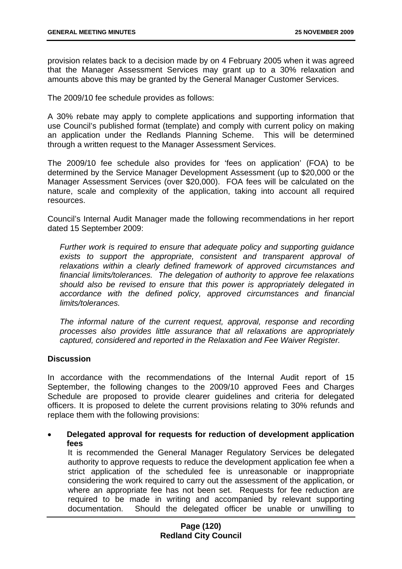provision relates back to a decision made by on 4 February 2005 when it was agreed that the Manager Assessment Services may grant up to a 30% relaxation and amounts above this may be granted by the General Manager Customer Services.

The 2009/10 fee schedule provides as follows:

A 30% rebate may apply to complete applications and supporting information that use Council's published format (template) and comply with current policy on making an application under the Redlands Planning Scheme. This will be determined through a written request to the Manager Assessment Services.

The 2009/10 fee schedule also provides for 'fees on application' (FOA) to be determined by the Service Manager Development Assessment (up to \$20,000 or the Manager Assessment Services (over \$20,000). FOA fees will be calculated on the nature, scale and complexity of the application, taking into account all required resources.

Council's Internal Audit Manager made the following recommendations in her report dated 15 September 2009:

*Further work is required to ensure that adequate policy and supporting guidance*  exists to support the appropriate, consistent and transparent approval of *relaxations within a clearly defined framework of approved circumstances and financial limits/tolerances. The delegation of authority to approve fee relaxations should also be revised to ensure that this power is appropriately delegated in accordance with the defined policy, approved circumstances and financial limits/tolerances.* 

*The informal nature of the current request, approval, response and recording processes also provides little assurance that all relaxations are appropriately captured, considered and reported in the Relaxation and Fee Waiver Register.* 

#### **Discussion**

In accordance with the recommendations of the Internal Audit report of 15 September, the following changes to the 2009/10 approved Fees and Charges Schedule are proposed to provide clearer guidelines and criteria for delegated officers. It is proposed to delete the current provisions relating to 30% refunds and replace them with the following provisions:

• **Delegated approval for requests for reduction of development application fees** 

It is recommended the General Manager Regulatory Services be delegated authority to approve requests to reduce the development application fee when a strict application of the scheduled fee is unreasonable or inappropriate considering the work required to carry out the assessment of the application, or where an appropriate fee has not been set. Requests for fee reduction are required to be made in writing and accompanied by relevant supporting documentation. Should the delegated officer be unable or unwilling to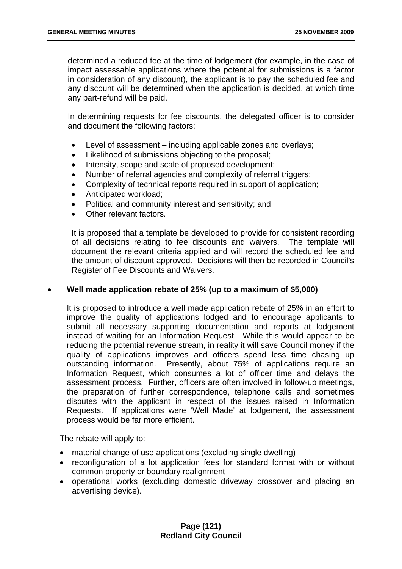determined a reduced fee at the time of lodgement (for example, in the case of impact assessable applications where the potential for submissions is a factor in consideration of any discount), the applicant is to pay the scheduled fee and any discount will be determined when the application is decided, at which time any part-refund will be paid.

In determining requests for fee discounts, the delegated officer is to consider and document the following factors:

- Level of assessment including applicable zones and overlays;
- Likelihood of submissions objecting to the proposal;
- Intensity, scope and scale of proposed development;
- Number of referral agencies and complexity of referral triggers;
- Complexity of technical reports required in support of application;
- Anticipated workload;
- Political and community interest and sensitivity; and
- Other relevant factors.

It is proposed that a template be developed to provide for consistent recording of all decisions relating to fee discounts and waivers. The template will document the relevant criteria applied and will record the scheduled fee and the amount of discount approved. Decisions will then be recorded in Council's Register of Fee Discounts and Waivers.

#### • **Well made application rebate of 25% (up to a maximum of \$5,000)**

It is proposed to introduce a well made application rebate of 25% in an effort to improve the quality of applications lodged and to encourage applicants to submit all necessary supporting documentation and reports at lodgement instead of waiting for an Information Request. While this would appear to be reducing the potential revenue stream, in reality it will save Council money if the quality of applications improves and officers spend less time chasing up outstanding information. Presently, about 75% of applications require an Information Request, which consumes a lot of officer time and delays the assessment process. Further, officers are often involved in follow-up meetings, the preparation of further correspondence, telephone calls and sometimes disputes with the applicant in respect of the issues raised in Information Requests. If applications were 'Well Made' at lodgement, the assessment process would be far more efficient.

The rebate will apply to:

- material change of use applications (excluding single dwelling)
- reconfiguration of a lot application fees for standard format with or without common property or boundary realignment
- operational works (excluding domestic driveway crossover and placing an advertising device).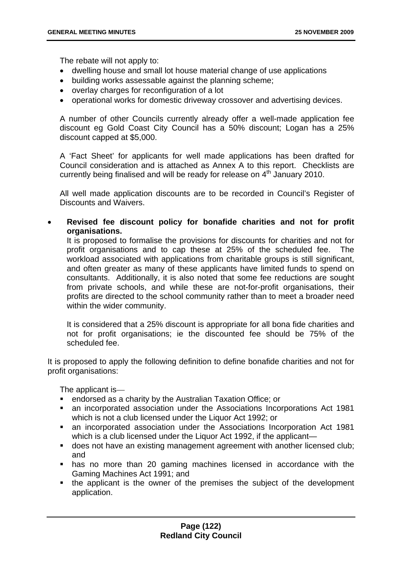The rebate will not apply to:

- dwelling house and small lot house material change of use applications
- building works assessable against the planning scheme;
- overlay charges for reconfiguration of a lot
- operational works for domestic driveway crossover and advertising devices.

A number of other Councils currently already offer a well-made application fee discount eg Gold Coast City Council has a 50% discount; Logan has a 25% discount capped at \$5,000.

A 'Fact Sheet' for applicants for well made applications has been drafted for Council consideration and is attached as Annex A to this report. Checklists are currently being finalised and will be ready for release on  $4<sup>th</sup>$  January 2010.

All well made application discounts are to be recorded in Council's Register of Discounts and Waivers.

• **Revised fee discount policy for bonafide charities and not for profit organisations.** 

It is proposed to formalise the provisions for discounts for charities and not for profit organisations and to cap these at 25% of the scheduled fee. The workload associated with applications from charitable groups is still significant, and often greater as many of these applicants have limited funds to spend on consultants. Additionally, it is also noted that some fee reductions are sought from private schools, and while these are not-for-profit organisations, their profits are directed to the school community rather than to meet a broader need within the wider community.

It is considered that a 25% discount is appropriate for all bona fide charities and not for profit organisations; ie the discounted fee should be 75% of the scheduled fee.

It is proposed to apply the following definition to define bonafide charities and not for profit organisations:

The applicant is—

- endorsed as a charity by the Australian Taxation Office; or
- an incorporated association under the Associations Incorporations Act 1981 which is not a club licensed under the Liquor Act 1992; or
- an incorporated association under the Associations Incorporation Act 1981 which is a club licensed under the Liquor Act 1992, if the applicant—
- **does not have an existing management agreement with another licensed club;** and
- has no more than 20 gaming machines licensed in accordance with the Gaming Machines Act 1991; and
- the applicant is the owner of the premises the subject of the development application.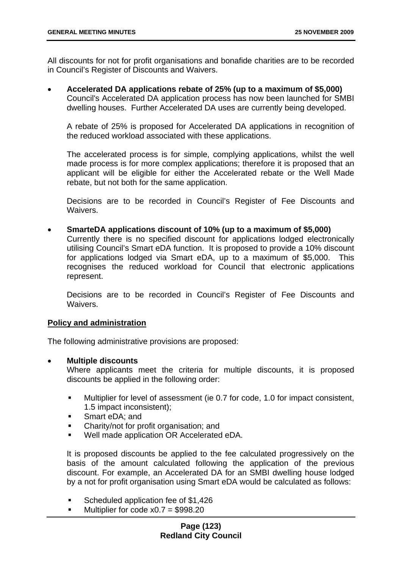All discounts for not for profit organisations and bonafide charities are to be recorded in Council's Register of Discounts and Waivers.

• **Accelerated DA applications rebate of 25% (up to a maximum of \$5,000)**  Council's Accelerated DA application process has now been launched for SMBI dwelling houses. Further Accelerated DA uses are currently being developed.

A rebate of 25% is proposed for Accelerated DA applications in recognition of the reduced workload associated with these applications.

The accelerated process is for simple, complying applications, whilst the well made process is for more complex applications; therefore it is proposed that an applicant will be eligible for either the Accelerated rebate or the Well Made rebate, but not both for the same application.

Decisions are to be recorded in Council's Register of Fee Discounts and Waivers.

• **SmarteDA applications discount of 10% (up to a maximum of \$5,000)**  Currently there is no specified discount for applications lodged electronically utilising Council's Smart eDA function. It is proposed to provide a 10% discount for applications lodged via Smart eDA, up to a maximum of \$5,000. This recognises the reduced workload for Council that electronic applications represent.

Decisions are to be recorded in Council's Register of Fee Discounts and Waivers.

## **Policy and administration**

The following administrative provisions are proposed:

#### • **Multiple discounts**

Where applicants meet the criteria for multiple discounts, it is proposed discounts be applied in the following order:

- Multiplier for level of assessment (ie 0.7 for code, 1.0 for impact consistent, 1.5 impact inconsistent);
- **Smart eDA; and**
- Charity/not for profit organisation; and
- Well made application OR Accelerated eDA.

It is proposed discounts be applied to the fee calculated progressively on the basis of the amount calculated following the application of the previous discount. For example, an Accelerated DA for an SMBI dwelling house lodged by a not for profit organisation using Smart eDA would be calculated as follows:

- Scheduled application fee of \$1,426
- $\blacksquare$  Multiplier for code x0.7 = \$998.20

### **Page (123) Redland City Council**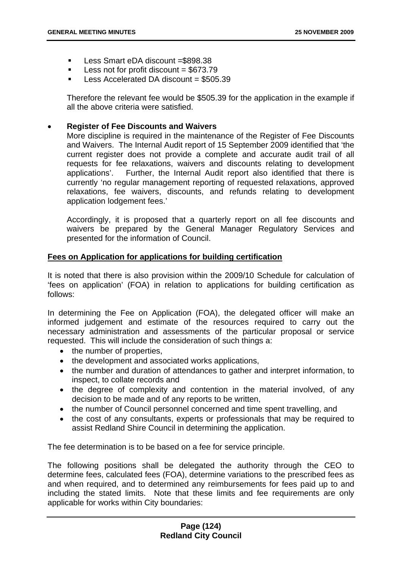- Less Smart eDA discount = \$898.38
- $\blacksquare$  Less not for profit discount = \$673.79
- $\blacksquare$  Less Accelerated DA discount = \$505.39

Therefore the relevant fee would be \$505.39 for the application in the example if all the above criteria were satisfied.

### • **Register of Fee Discounts and Waivers**

More discipline is required in the maintenance of the Register of Fee Discounts and Waivers. The Internal Audit report of 15 September 2009 identified that 'the current register does not provide a complete and accurate audit trail of all requests for fee relaxations, waivers and discounts relating to development applications'. Further, the Internal Audit report also identified that there is currently 'no regular management reporting of requested relaxations, approved relaxations, fee waivers, discounts, and refunds relating to development application lodgement fees.'

Accordingly, it is proposed that a quarterly report on all fee discounts and waivers be prepared by the General Manager Regulatory Services and presented for the information of Council.

### **Fees on Application for applications for building certification**

It is noted that there is also provision within the 2009/10 Schedule for calculation of 'fees on application' (FOA) in relation to applications for building certification as follows:

In determining the Fee on Application (FOA), the delegated officer will make an informed judgement and estimate of the resources required to carry out the necessary administration and assessments of the particular proposal or service requested. This will include the consideration of such things a:

- the number of properties,
- the development and associated works applications,
- the number and duration of attendances to gather and interpret information, to inspect, to collate records and
- the degree of complexity and contention in the material involved, of any decision to be made and of any reports to be written,
- the number of Council personnel concerned and time spent travelling, and
- the cost of any consultants, experts or professionals that may be required to assist Redland Shire Council in determining the application.

The fee determination is to be based on a fee for service principle.

The following positions shall be delegated the authority through the CEO to determine fees, calculated fees (FOA), determine variations to the prescribed fees as and when required, and to determined any reimbursements for fees paid up to and including the stated limits. Note that these limits and fee requirements are only applicable for works within City boundaries: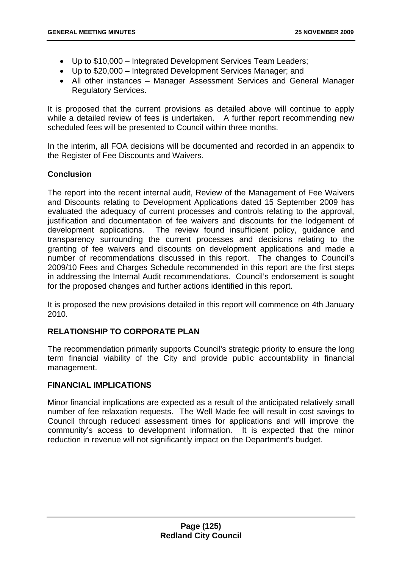- Up to \$10,000 Integrated Development Services Team Leaders;
- Up to \$20,000 Integrated Development Services Manager; and
- All other instances Manager Assessment Services and General Manager Regulatory Services.

It is proposed that the current provisions as detailed above will continue to apply while a detailed review of fees is undertaken. A further report recommending new scheduled fees will be presented to Council within three months.

In the interim, all FOA decisions will be documented and recorded in an appendix to the Register of Fee Discounts and Waivers.

# **Conclusion**

The report into the recent internal audit, Review of the Management of Fee Waivers and Discounts relating to Development Applications dated 15 September 2009 has evaluated the adequacy of current processes and controls relating to the approval, justification and documentation of fee waivers and discounts for the lodgement of development applications. The review found insufficient policy, guidance and transparency surrounding the current processes and decisions relating to the granting of fee waivers and discounts on development applications and made a number of recommendations discussed in this report. The changes to Council's 2009/10 Fees and Charges Schedule recommended in this report are the first steps in addressing the Internal Audit recommendations. Council's endorsement is sought for the proposed changes and further actions identified in this report.

It is proposed the new provisions detailed in this report will commence on 4th January 2010.

## **RELATIONSHIP TO CORPORATE PLAN**

The recommendation primarily supports Council's strategic priority to ensure the long term financial viability of the City and provide public accountability in financial management.

## **FINANCIAL IMPLICATIONS**

Minor financial implications are expected as a result of the anticipated relatively small number of fee relaxation requests. The Well Made fee will result in cost savings to Council through reduced assessment times for applications and will improve the community's access to development information. It is expected that the minor reduction in revenue will not significantly impact on the Department's budget.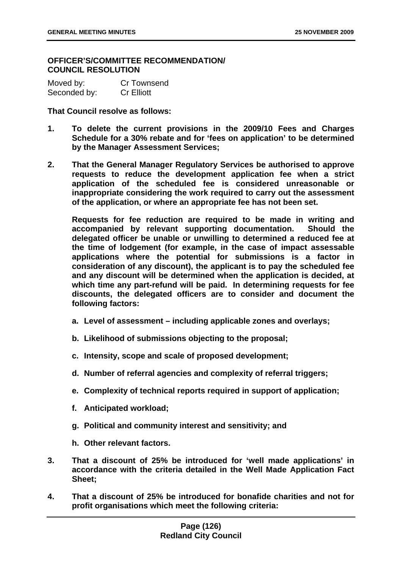### **OFFICER'S/COMMITTEE RECOMMENDATION/ COUNCIL RESOLUTION**

| Moved by:    | <b>Cr Townsend</b> |
|--------------|--------------------|
| Seconded by: | <b>Cr Elliott</b>  |

**That Council resolve as follows:** 

- **1. To delete the current provisions in the 2009/10 Fees and Charges Schedule for a 30% rebate and for 'fees on application' to be determined by the Manager Assessment Services;**
- **2. That the General Manager Regulatory Services be authorised to approve requests to reduce the development application fee when a strict application of the scheduled fee is considered unreasonable or inappropriate considering the work required to carry out the assessment of the application, or where an appropriate fee has not been set.**

**Requests for fee reduction are required to be made in writing and accompanied by relevant supporting documentation. Should the delegated officer be unable or unwilling to determined a reduced fee at the time of lodgement (for example, in the case of impact assessable applications where the potential for submissions is a factor in consideration of any discount), the applicant is to pay the scheduled fee and any discount will be determined when the application is decided, at which time any part-refund will be paid. In determining requests for fee discounts, the delegated officers are to consider and document the following factors:** 

- **a. Level of assessment including applicable zones and overlays;**
- **b. Likelihood of submissions objecting to the proposal;**
- **c. Intensity, scope and scale of proposed development;**
- **d. Number of referral agencies and complexity of referral triggers;**
- **e. Complexity of technical reports required in support of application;**
- **f. Anticipated workload;**
- **g. Political and community interest and sensitivity; and**
- **h. Other relevant factors.**
- **3. That a discount of 25% be introduced for 'well made applications' in accordance with the criteria detailed in the Well Made Application Fact Sheet;**
- **4. That a discount of 25% be introduced for bonafide charities and not for profit organisations which meet the following criteria:**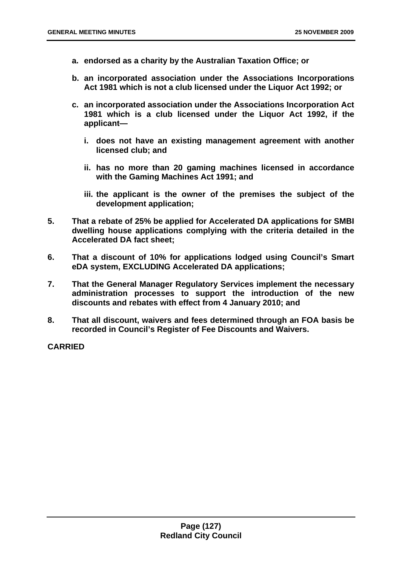- **a. endorsed as a charity by the Australian Taxation Office; or**
- **b. an incorporated association under the Associations Incorporations Act 1981 which is not a club licensed under the Liquor Act 1992; or**
- **c. an incorporated association under the Associations Incorporation Act 1981 which is a club licensed under the Liquor Act 1992, if the applicant** 
	- **i. does not have an existing management agreement with another licensed club; and**
	- **ii. has no more than 20 gaming machines licensed in accordance with the Gaming Machines Act 1991; and**
	- **iii. the applicant is the owner of the premises the subject of the development application;**
- **5. That a rebate of 25% be applied for Accelerated DA applications for SMBI dwelling house applications complying with the criteria detailed in the Accelerated DA fact sheet;**
- **6. That a discount of 10% for applications lodged using Council's Smart eDA system, EXCLUDING Accelerated DA applications;**
- **7. That the General Manager Regulatory Services implement the necessary administration processes to support the introduction of the new discounts and rebates with effect from 4 January 2010; and**
- **8. That all discount, waivers and fees determined through an FOA basis be recorded in Council's Register of Fee Discounts and Waivers.**

**CARRIED**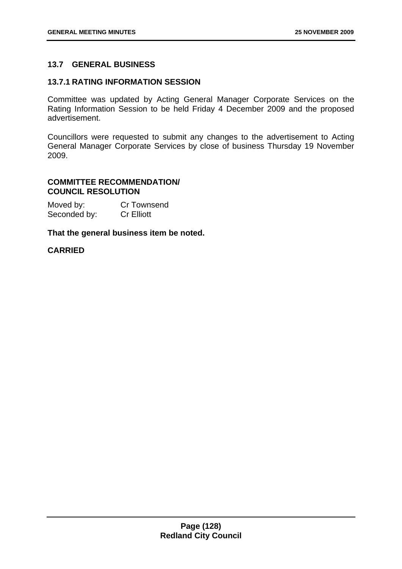## **13.7 GENERAL BUSINESS**

### **13.7.1 RATING INFORMATION SESSION**

Committee was updated by Acting General Manager Corporate Services on the Rating Information Session to be held Friday 4 December 2009 and the proposed advertisement.

Councillors were requested to submit any changes to the advertisement to Acting General Manager Corporate Services by close of business Thursday 19 November 2009.

## **COMMITTEE RECOMMENDATION/ COUNCIL RESOLUTION**

| Moved by:    | <b>Cr Townsend</b> |
|--------------|--------------------|
| Seconded by: | <b>Cr Elliott</b>  |

### **That the general business item be noted.**

## **CARRIED**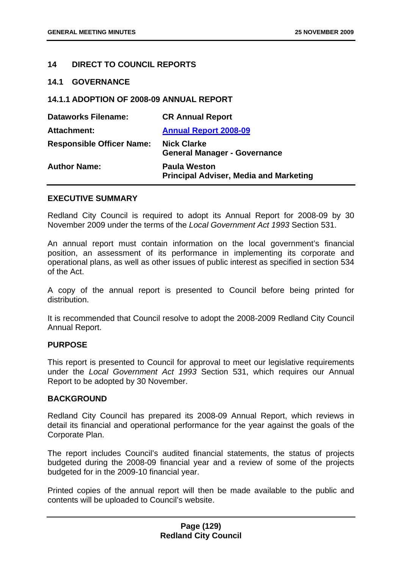## **14 DIRECT TO COUNCIL REPORTS**

#### **14.1 GOVERNANCE**

### **14.1.1 ADOPTION OF 2008-09 ANNUAL REPORT**

| <b>Dataworks Filename:</b>       | <b>CR Annual Report</b>                                              |
|----------------------------------|----------------------------------------------------------------------|
| <b>Attachment:</b>               | <b>Annual Report 2008-09</b>                                         |
| <b>Responsible Officer Name:</b> | <b>Nick Clarke</b><br><b>General Manager - Governance</b>            |
| <b>Author Name:</b>              | <b>Paula Weston</b><br><b>Principal Adviser, Media and Marketing</b> |

#### **EXECUTIVE SUMMARY**

Redland City Council is required to adopt its Annual Report for 2008-09 by 30 November 2009 under the terms of the *Local Government Act 1993* Section 531.

An annual report must contain information on the local government's financial position, an assessment of its performance in implementing its corporate and operational plans, as well as other issues of public interest as specified in section 534 of the Act.

A copy of the annual report is presented to Council before being printed for distribution.

It is recommended that Council resolve to adopt the 2008-2009 Redland City Council Annual Report.

#### **PURPOSE**

This report is presented to Council for approval to meet our legislative requirements under the *Local Government Act 1993* Section 531, which requires our Annual Report to be adopted by 30 November.

#### **BACKGROUND**

Redland City Council has prepared its 2008-09 Annual Report, which reviews in detail its financial and operational performance for the year against the goals of the Corporate Plan.

The report includes Council's audited financial statements, the status of projects budgeted during the 2008-09 financial year and a review of some of the projects budgeted for in the 2009-10 financial year.

Printed copies of the annual report will then be made available to the public and contents will be uploaded to Council's website.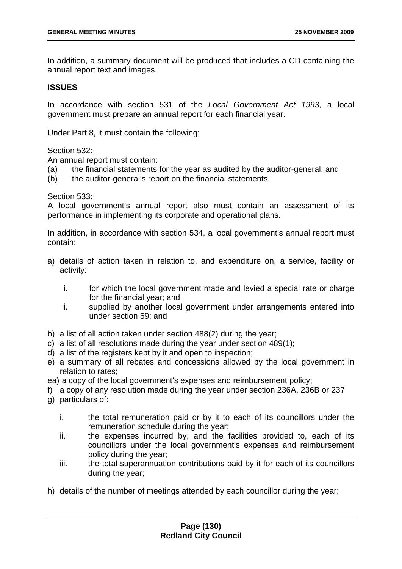In addition, a summary document will be produced that includes a CD containing the annual report text and images.

## **ISSUES**

In accordance with section 531 of the *Local Government Act 1993*, a local government must prepare an annual report for each financial year.

Under Part 8, it must contain the following:

Section 532:

An annual report must contain:

- (a) the financial statements for the year as audited by the auditor-general; and
- (b) the auditor-general's report on the financial statements.

### Section 533:

A local government's annual report also must contain an assessment of its performance in implementing its corporate and operational plans.

In addition, in accordance with section 534, a local government's annual report must contain:

- a) details of action taken in relation to, and expenditure on, a service, facility or activity:
	- i. for which the local government made and levied a special rate or charge for the financial year; and
	- ii. supplied by another local government under arrangements entered into under section 59; and
- b) a list of all action taken under section 488(2) during the year;
- c) a list of all resolutions made during the year under section 489(1);
- d) a list of the registers kept by it and open to inspection;
- e) a summary of all rebates and concessions allowed by the local government in relation to rates;
- ea) a copy of the local government's expenses and reimbursement policy;
- f) a copy of any resolution made during the year under section 236A, 236B or 237
- g) particulars of:
	- i. the total remuneration paid or by it to each of its councillors under the remuneration schedule during the year;
	- ii. the expenses incurred by, and the facilities provided to, each of its councillors under the local government's expenses and reimbursement policy during the year;
	- iii. the total superannuation contributions paid by it for each of its councillors during the year;
- h) details of the number of meetings attended by each councillor during the year;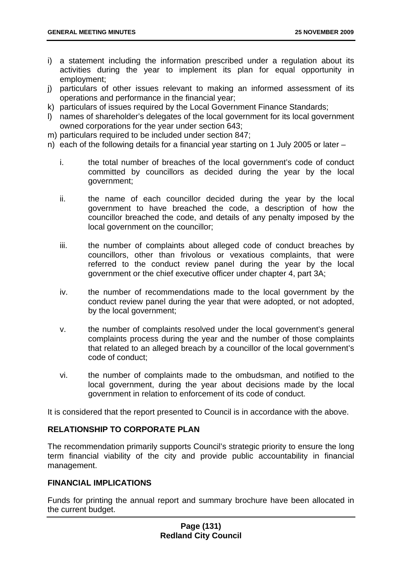- i) a statement including the information prescribed under a regulation about its activities during the year to implement its plan for equal opportunity in employment;
- j) particulars of other issues relevant to making an informed assessment of its operations and performance in the financial year;
- k) particulars of issues required by the Local Government Finance Standards;
- l) names of shareholder's delegates of the local government for its local government owned corporations for the year under section 643;
- m) particulars required to be included under section 847;
- n) each of the following details for a financial year starting on 1 July 2005 or later
	- i. the total number of breaches of the local government's code of conduct committed by councillors as decided during the year by the local government;
	- ii. the name of each councillor decided during the year by the local government to have breached the code, a description of how the councillor breached the code, and details of any penalty imposed by the local government on the councillor:
	- iii. the number of complaints about alleged code of conduct breaches by councillors, other than frivolous or vexatious complaints, that were referred to the conduct review panel during the year by the local government or the chief executive officer under chapter 4, part 3A;
	- iv. the number of recommendations made to the local government by the conduct review panel during the year that were adopted, or not adopted, by the local government;
	- v. the number of complaints resolved under the local government's general complaints process during the year and the number of those complaints that related to an alleged breach by a councillor of the local government's code of conduct;
	- vi. the number of complaints made to the ombudsman, and notified to the local government, during the year about decisions made by the local government in relation to enforcement of its code of conduct.

It is considered that the report presented to Council is in accordance with the above.

## **RELATIONSHIP TO CORPORATE PLAN**

The recommendation primarily supports Council's strategic priority to ensure the long term financial viability of the city and provide public accountability in financial management.

#### **FINANCIAL IMPLICATIONS**

Funds for printing the annual report and summary brochure have been allocated in the current budget.